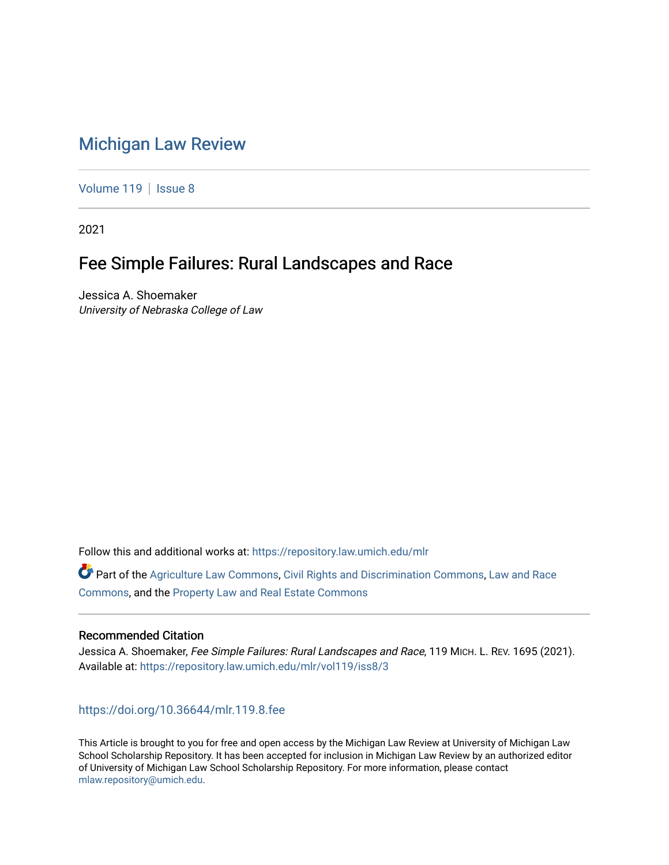## [Michigan Law Review](https://repository.law.umich.edu/mlr)

[Volume 119](https://repository.law.umich.edu/mlr/vol119) | [Issue 8](https://repository.law.umich.edu/mlr/vol119/iss8)

2021

# Fee Simple Failures: Rural Landscapes and Race

Jessica A. Shoemaker University of Nebraska College of Law

Follow this and additional works at: [https://repository.law.umich.edu/mlr](https://repository.law.umich.edu/mlr?utm_source=repository.law.umich.edu%2Fmlr%2Fvol119%2Fiss8%2F3&utm_medium=PDF&utm_campaign=PDFCoverPages) 

Part of the [Agriculture Law Commons](http://network.bepress.com/hgg/discipline/581?utm_source=repository.law.umich.edu%2Fmlr%2Fvol119%2Fiss8%2F3&utm_medium=PDF&utm_campaign=PDFCoverPages), [Civil Rights and Discrimination Commons](http://network.bepress.com/hgg/discipline/585?utm_source=repository.law.umich.edu%2Fmlr%2Fvol119%2Fiss8%2F3&utm_medium=PDF&utm_campaign=PDFCoverPages), [Law and Race](http://network.bepress.com/hgg/discipline/1300?utm_source=repository.law.umich.edu%2Fmlr%2Fvol119%2Fiss8%2F3&utm_medium=PDF&utm_campaign=PDFCoverPages)  [Commons](http://network.bepress.com/hgg/discipline/1300?utm_source=repository.law.umich.edu%2Fmlr%2Fvol119%2Fiss8%2F3&utm_medium=PDF&utm_campaign=PDFCoverPages), and the [Property Law and Real Estate Commons](http://network.bepress.com/hgg/discipline/897?utm_source=repository.law.umich.edu%2Fmlr%2Fvol119%2Fiss8%2F3&utm_medium=PDF&utm_campaign=PDFCoverPages) 

## Recommended Citation

Jessica A. Shoemaker, Fee Simple Failures: Rural Landscapes and Race, 119 MICH. L. REV. 1695 (2021). Available at: [https://repository.law.umich.edu/mlr/vol119/iss8/3](https://repository.law.umich.edu/mlr/vol119/iss8/3?utm_source=repository.law.umich.edu%2Fmlr%2Fvol119%2Fiss8%2F3&utm_medium=PDF&utm_campaign=PDFCoverPages) 

## <https://doi.org/10.36644/mlr.119.8.fee>

This Article is brought to you for free and open access by the Michigan Law Review at University of Michigan Law School Scholarship Repository. It has been accepted for inclusion in Michigan Law Review by an authorized editor of University of Michigan Law School Scholarship Repository. For more information, please contact [mlaw.repository@umich.edu.](mailto:mlaw.repository@umich.edu)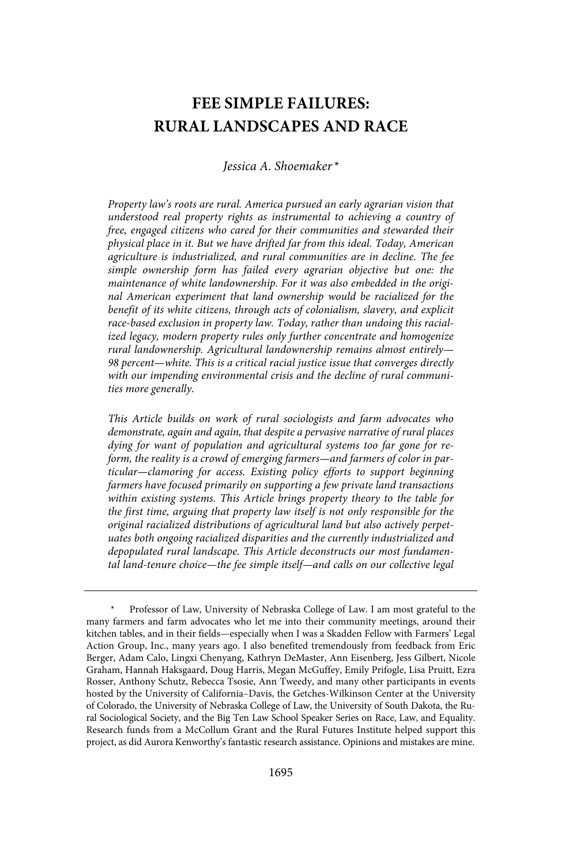## **FEE SIMPLE FAILURES: RURAL LANDSCAPES AND RACE**

Jessica A. Shoemaker\*

Property law's roots are rural. America pursued an early agrarian vision that understood real property rights as instrumental to achieving a country of free, engaged citizens who cared for their communities and stewarded their physical place in it. But we have drifted far from this ideal. Today, American agriculture is industrialized, and rural communities are in decline. The fee simple ownership form has failed every agrarian objective but one: the maintenance of white landownership. For it was also embedded in the original American experiment that land ownership would be racialized for the benefit of its white citizens, through acts of colonialism, slavery, and explicit race-based exclusion in property law. Today, rather than undoing this racialized legacy, modern property rules only further concentrate and homogenize rural landownership. Agricultural landownership remains almost entirely— 98 percent—white. This is a critical racial justice issue that converges directly with our impending environmental crisis and the decline of rural communities more generally.

This Article builds on work of rural sociologists and farm advocates who demonstrate, again and again, that despite a pervasive narrative of rural places dying for want of population and agricultural systems too far gone for reform, the reality is a crowd of emerging farmers—and farmers of color in particular—clamoring for access. Existing policy efforts to support beginning farmers have focused primarily on supporting a few private land transactions within existing systems. This Article brings property theory to the table for the first time, arguing that property law itself is not only responsible for the original racialized distributions of agricultural land but also actively perpetuates both ongoing racialized disparities and the currently industrialized and depopulated rural landscape. This Article deconstructs our most fundamental land-tenure choice—the fee simple itself—and calls on our collective legal

Professor of Law, University of Nebraska College of Law. I am most grateful to the many farmers and farm advocates who let me into their community meetings, around their kitchen tables, and in their fields—especially when I was a Skadden Fellow with Farmers' Legal Action Group, Inc., many years ago. I also benefited tremendously from feedback from Eric Berger, Adam Calo, Lingxi Chenyang, Kathryn DeMaster, Ann Eisenberg, Jess Gilbert, Nicole Graham, Hannah Haksgaard, Doug Harris, Megan McGuffey, Emily Prifogle, Lisa Pruitt, Ezra Rosser, Anthony Schutz, Rebecca Tsosie, Ann Tweedy, and many other participants in events hosted by the University of California–Davis, the Getches-Wilkinson Center at the University of Colorado, the University of Nebraska College of Law, the University of South Dakota, the Rural Sociological Society, and the Big Ten Law School Speaker Series on Race, Law, and Equality. Research funds from a McCollum Grant and the Rural Futures Institute helped support this project, as did Aurora Kenworthy's fantastic research assistance. Opinions and mistakes are mine.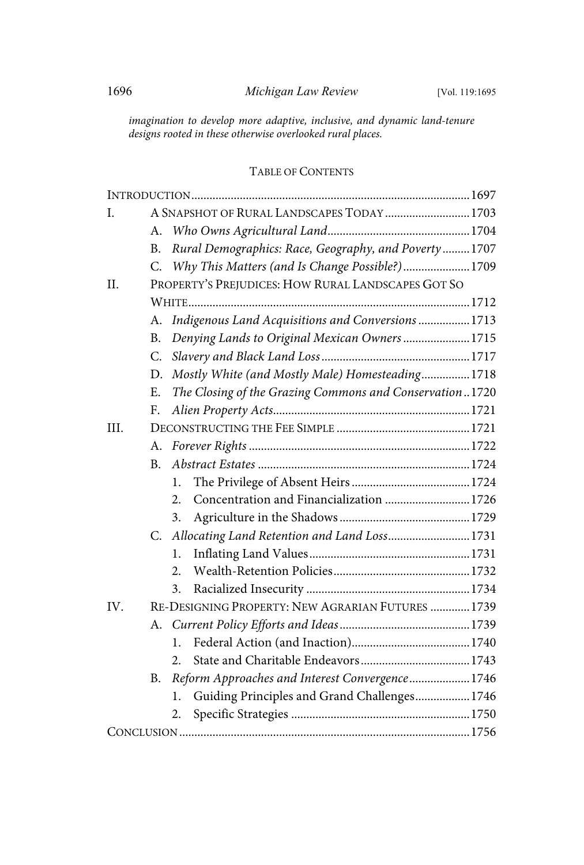imagination to develop more adaptive, inclusive, and dynamic land-tenure designs rooted in these otherwise overlooked rural places.

## TABLE OF CONTENTS

| I.   |    | A SNAPSHOT OF RURAL LANDSCAPES TODAY  1703              |  |
|------|----|---------------------------------------------------------|--|
|      | А. |                                                         |  |
|      | В. | Rural Demographics: Race, Geography, and Poverty1707    |  |
|      | C. | Why This Matters (and Is Change Possible?) 1709         |  |
| II.  |    | PROPERTY'S PREJUDICES: HOW RURAL LANDSCAPES GOT SO      |  |
|      |    |                                                         |  |
|      | А. | Indigenous Land Acquisitions and Conversions 1713       |  |
|      | В. | Denying Lands to Original Mexican Owners 1715           |  |
|      | C. |                                                         |  |
|      | D. | Mostly White (and Mostly Male) Homesteading 1718        |  |
|      | Е. | The Closing of the Grazing Commons and Conservation1720 |  |
|      | F. |                                                         |  |
| III. |    |                                                         |  |
|      | A. |                                                         |  |
|      | B. |                                                         |  |
|      |    | 1.                                                      |  |
|      |    | Concentration and Financialization 1726<br>2.           |  |
|      |    | 3.                                                      |  |
|      | C. | Allocating Land Retention and Land Loss 1731            |  |
|      |    | 1.                                                      |  |
|      |    | 2.                                                      |  |
|      |    | 3.                                                      |  |
| IV.  |    | RE-DESIGNING PROPERTY: NEW AGRARIAN FUTURES  1739       |  |
|      | А. |                                                         |  |
|      |    | 1.                                                      |  |
|      |    | 2.                                                      |  |
|      | B. | Reform Approaches and Interest Convergence1746          |  |
|      |    | Guiding Principles and Grand Challenges 1746<br>1.      |  |
|      |    | 2.                                                      |  |
|      |    |                                                         |  |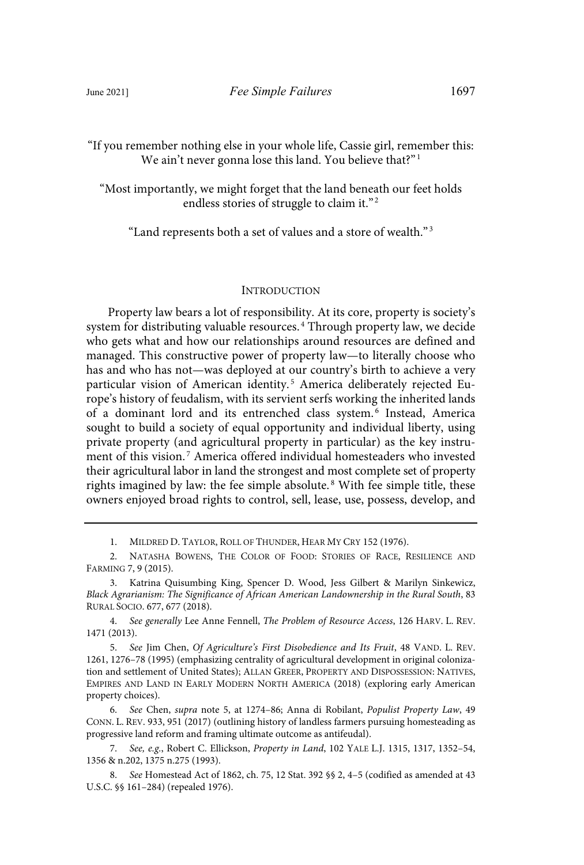"If you remember nothing else in your whole life, Cassie girl, remember this: We ain't never gonna lose this land. You believe that?"<sup>1</sup>

"Most importantly, we might forget that the land beneath our feet holds endless stories of struggle to claim it."<sup>2</sup>

"Land represents both a set of values and a store of wealth." <sup>3</sup>

#### **INTRODUCTION**

Property law bears a lot of responsibility. At its core, property is society's system for distributing valuable resources.<sup>4</sup> Through property law, we decide who gets what and how our relationships around resources are defined and managed. This constructive power of property law—to literally choose who has and who has not—was deployed at our country's birth to achieve a very particular vision of American identity. <sup>5</sup> America deliberately rejected Europe's history of feudalism, with its servient serfs working the inherited lands of a dominant lord and its entrenched class system.<sup>6</sup> Instead, America sought to build a society of equal opportunity and individual liberty, using private property (and agricultural property in particular) as the key instrument of this vision. <sup>7</sup> America offered individual homesteaders who invested their agricultural labor in land the strongest and most complete set of property rights imagined by law: the fee simple absolute. <sup>8</sup> With fee simple title, these owners enjoyed broad rights to control, sell, lease, use, possess, develop, and

6. See Chen, supra note 5, at 1274–86; Anna di Robilant, Populist Property Law, 49 CONN. L. REV. 933, 951 (2017) (outlining history of landless farmers pursuing homesteading as progressive land reform and framing ultimate outcome as antifeudal).

7. See, e.g., Robert C. Ellickson, Property in Land, 102 YALE L.J. 1315, 1317, 1352–54, 1356 & n.202, 1375 n.275 (1993).

8. See Homestead Act of 1862, ch. 75, 12 Stat. 392 §§ 2, 4–5 (codified as amended at 43 U.S.C. §§ 161–284) (repealed 1976).

<sup>1.</sup> MILDRED D. TAYLOR, ROLL OF THUNDER, HEAR MY CRY 152 (1976).

<sup>2.</sup> NATASHA BOWENS, THE COLOR OF FOOD: STORIES OF RACE, RESILIENCE AND FARMING 7, 9 (2015).

<sup>3.</sup> Katrina Quisumbing King, Spencer D. Wood, Jess Gilbert & Marilyn Sinkewicz, Black Agrarianism: The Significance of African American Landownership in the Rural South, 83 RURAL SOCIO. 677, 677 (2018).

<sup>4.</sup> See generally Lee Anne Fennell, The Problem of Resource Access, 126 HARV. L. REV. 1471 (2013).

<sup>5.</sup> See Jim Chen, Of Agriculture's First Disobedience and Its Fruit, 48 VAND. L. REV. 1261, 1276–78 (1995) (emphasizing centrality of agricultural development in original colonization and settlement of United States); ALLAN GREER, PROPERTY AND DISPOSSESSION: NATIVES, EMPIRES AND LAND IN EARLY MODERN NORTH AMERICA (2018) (exploring early American property choices).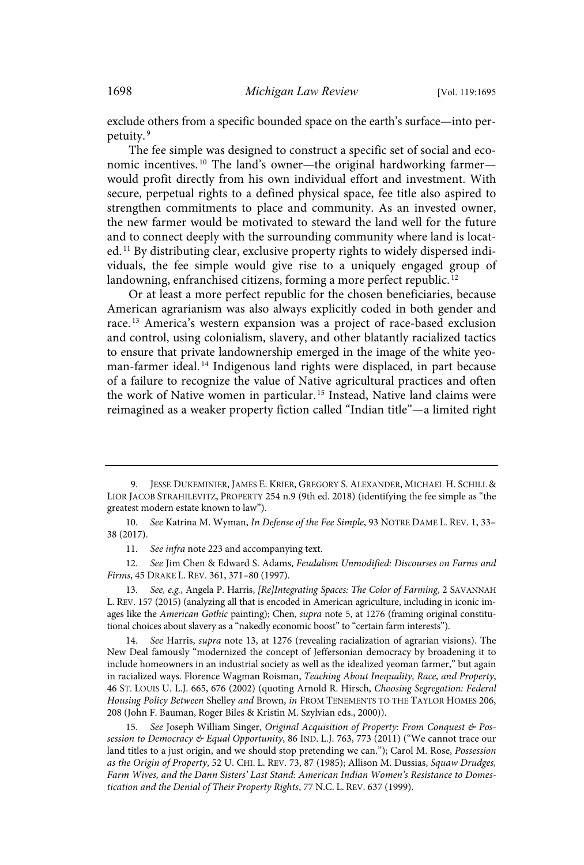exclude others from a specific bounded space on the earth's surface—into perpetuity.<sup>9</sup>

The fee simple was designed to construct a specific set of social and economic incentives.<sup>10</sup> The land's owner—the original hardworking farmer would profit directly from his own individual effort and investment. With secure, perpetual rights to a defined physical space, fee title also aspired to strengthen commitments to place and community. As an invested owner, the new farmer would be motivated to steward the land well for the future and to connect deeply with the surrounding community where land is located. <sup>11</sup> By distributing clear, exclusive property rights to widely dispersed individuals, the fee simple would give rise to a uniquely engaged group of landowning, enfranchised citizens, forming a more perfect republic.  $^{\rm 12}$ 

Or at least a more perfect republic for the chosen beneficiaries, because American agrarianism was also always explicitly coded in both gender and race.<sup>13</sup> America's western expansion was a project of race-based exclusion and control, using colonialism, slavery, and other blatantly racialized tactics to ensure that private landownership emerged in the image of the white yeoman-farmer ideal.<sup>14</sup> Indigenous land rights were displaced, in part because of a failure to recognize the value of Native agricultural practices and often the work of Native women in particular. <sup>15</sup> Instead, Native land claims were reimagined as a weaker property fiction called "Indian title"—a limited right

12. See Jim Chen & Edward S. Adams, Feudalism Unmodified: Discourses on Farms and Firms, 45 DRAKE L. REV. 361, 371–80 (1997).

13. See, e.g., Angela P. Harris, [Re]Integrating Spaces: The Color of Farming, 2 SAVANNAH L. REV. 157 (2015) (analyzing all that is encoded in American agriculture, including in iconic images like the American Gothic painting); Chen, supra note 5, at 1276 (framing original constitutional choices about slavery as a "nakedly economic boost" to "certain farm interests").

14. See Harris, supra note 13, at 1276 (revealing racialization of agrarian visions). The New Deal famously "modernized the concept of Jeffersonian democracy by broadening it to include homeowners in an industrial society as well as the idealized yeoman farmer," but again in racialized ways. Florence Wagman Roisman, Teaching About Inequality, Race, and Property, 46 ST. LOUIS U. L.J. 665, 676 (2002) (quoting Arnold R. Hirsch, Choosing Segregation: Federal Housing Policy Between Shelley and Brown, in FROM TENEMENTS TO THE TAYLOR HOMES 206, 208 (John F. Bauman, Roger Biles & Kristin M. Szylvian eds., 2000)).

15. See Joseph William Singer, Original Acquisition of Property: From Conquest & Possession to Democracy & Equal Opportunity, 86 IND. L.J. 763, 773 (2011) ("We cannot trace our land titles to a just origin, and we should stop pretending we can."); Carol M. Rose, Possession as the Origin of Property, 52 U. CHI. L. REV. 73, 87 (1985); Allison M. Dussias, Squaw Drudges, Farm Wives, and the Dann Sisters' Last Stand: American Indian Women's Resistance to Domestication and the Denial of Their Property Rights, 77 N.C. L. REV. 637 (1999).

<sup>9.</sup> JESSE DUKEMINIER, JAMES E. KRIER, GREGORY S. ALEXANDER, MICHAEL H. SCHILL & LIOR JACOB STRAHILEVITZ, PROPERTY 254 n.9 (9th ed. 2018) (identifying the fee simple as "the greatest modern estate known to law").

<sup>10.</sup> See Katrina M. Wyman, In Defense of the Fee Simple, 93 NOTRE DAME L. REV. 1, 33-38 (2017).

<sup>11.</sup> See infra note 223 and accompanying text.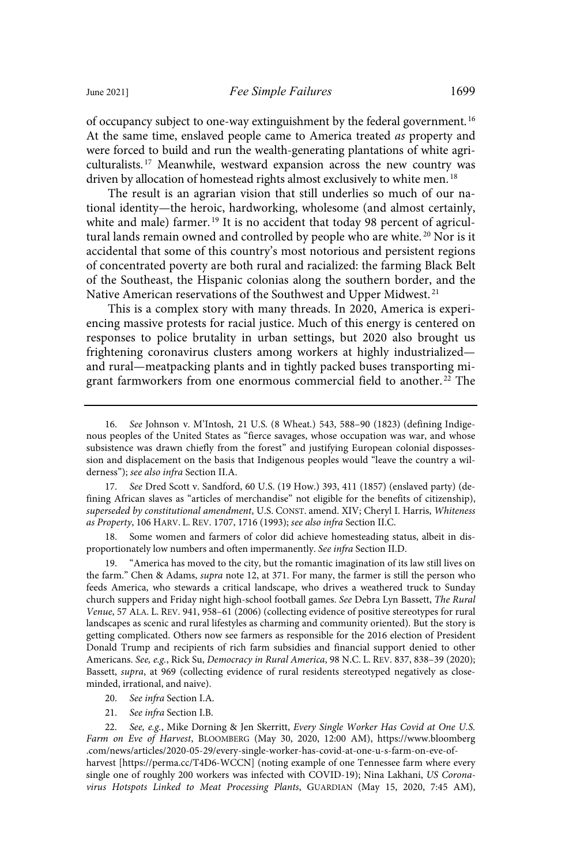of occupancy subject to one-way extinguishment by the federal government.<sup>16</sup> At the same time, enslaved people came to America treated as property and were forced to build and run the wealth-generating plantations of white agriculturalists. <sup>17</sup> Meanwhile, westward expansion across the new country was driven by allocation of homestead rights almost exclusively to white men.<sup>18</sup>

The result is an agrarian vision that still underlies so much of our national identity—the heroic, hardworking, wholesome (and almost certainly, white and male) farmer.<sup>19</sup> It is no accident that today 98 percent of agricultural lands remain owned and controlled by people who are white.<sup>20</sup> Nor is it accidental that some of this country's most notorious and persistent regions of concentrated poverty are both rural and racialized: the farming Black Belt of the Southeast, the Hispanic colonias along the southern border, and the Native American reservations of the Southwest and Upper Midwest. <sup>21</sup>

This is a complex story with many threads. In 2020, America is experiencing massive protests for racial justice. Much of this energy is centered on responses to police brutality in urban settings, but 2020 also brought us frightening coronavirus clusters among workers at highly industrialized and rural—meatpacking plants and in tightly packed buses transporting migrant farmworkers from one enormous commercial field to another.<sup>22</sup> The

17. See Dred Scott v. Sandford, 60 U.S. (19 How.) 393, 411 (1857) (enslaved party) (defining African slaves as "articles of merchandise" not eligible for the benefits of citizenship), superseded by constitutional amendment, U.S. CONST. amend. XIV; Cheryl I. Harris, Whiteness as Property, 106 HARV. L. REV. 1707, 1716 (1993); see also infra Section II.C.

18. Some women and farmers of color did achieve homesteading status, albeit in disproportionately low numbers and often impermanently. See infra Section II.D.

19. "America has moved to the city, but the romantic imagination of its law still lives on the farm." Chen & Adams, supra note 12, at 371. For many, the farmer is still the person who feeds America, who stewards a critical landscape, who drives a weathered truck to Sunday church suppers and Friday night high-school football games. See Debra Lyn Bassett, The Rural Venue, 57 ALA. L. REV. 941, 958–61 (2006) (collecting evidence of positive stereotypes for rural landscapes as scenic and rural lifestyles as charming and community oriented). But the story is getting complicated. Others now see farmers as responsible for the 2016 election of President Donald Trump and recipients of rich farm subsidies and financial support denied to other Americans. See, e.g., Rick Su, Democracy in Rural America, 98 N.C. L. REV. 837, 838–39 (2020); Bassett, supra, at 969 (collecting evidence of rural residents stereotyped negatively as closeminded, irrational, and naive).

- 20. See infra Section I.A.
- 21. See infra Section I.B.

22. See, e.g., Mike Dorning & Jen Skerritt, Every Single Worker Has Covid at One U.S. Farm on Eve of Harvest, BLOOMBERG (May 30, 2020, 12:00 AM), https://www.bloomberg .com/news/articles/2020-05-29/every-single-worker-has-covid-at-one-u-s-farm-on-eve-ofharvest [https://perma.cc/T4D6-WCCN] (noting example of one Tennessee farm where every single one of roughly 200 workers was infected with COVID-19); Nina Lakhani, US Coronavirus Hotspots Linked to Meat Processing Plants, GUARDIAN (May 15, 2020, 7:45 AM),

<sup>16.</sup> See Johnson v. M'Intosh, 21 U.S. (8 Wheat.) 543, 588–90 (1823) (defining Indigenous peoples of the United States as "fierce savages, whose occupation was war, and whose subsistence was drawn chiefly from the forest" and justifying European colonial dispossession and displacement on the basis that Indigenous peoples would "leave the country a wilderness"); see also infra Section II.A.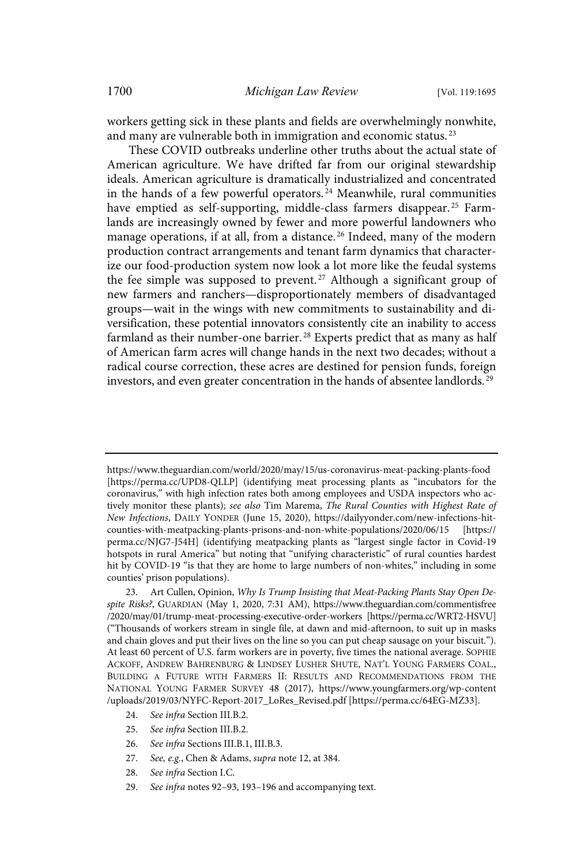workers getting sick in these plants and fields are overwhelmingly nonwhite, and many are vulnerable both in immigration and economic status.  $^{23}$ 

These COVID outbreaks underline other truths about the actual state of American agriculture. We have drifted far from our original stewardship ideals. American agriculture is dramatically industrialized and concentrated in the hands of a few powerful operators.<sup>24</sup> Meanwhile, rural communities have emptied as self-supporting, middle-class farmers disappear. <sup>25</sup> Farmlands are increasingly owned by fewer and more powerful landowners who manage operations, if at all, from a distance.<sup>26</sup> Indeed, many of the modern production contract arrangements and tenant farm dynamics that characterize our food-production system now look a lot more like the feudal systems the fee simple was supposed to prevent.<sup>27</sup> Although a significant group of new farmers and ranchers—disproportionately members of disadvantaged groups—wait in the wings with new commitments to sustainability and diversification, these potential innovators consistently cite an inability to access farmland as their number-one barrier.<sup>28</sup> Experts predict that as many as half of American farm acres will change hands in the next two decades; without a radical course correction, these acres are destined for pension funds, foreign investors, and even greater concentration in the hands of absentee landlords.<sup>29</sup>

- 24. See infra Section III.B.2.
- 25. See infra Section III.B.2.
- 26. See infra Sections III.B.1, III.B.3.
- 27. See, e.g., Chen & Adams, supra note 12, at 384.
- 28. See infra Section I.C.
- 29. See infra notes 92–93, 193–196 and accompanying text.

https://www.theguardian.com/world/2020/may/15/us-coronavirus-meat-packing-plants-food [https://perma.cc/UPD8-QLLP] (identifying meat processing plants as "incubators for the coronavirus," with high infection rates both among employees and USDA inspectors who actively monitor these plants); see also Tim Marema, The Rural Counties with Highest Rate of New Infections, DAILY YONDER (June 15, 2020), https://dailyyonder.com/new-infections-hitcounties-with-meatpacking-plants-prisons-and-non-white-populations/2020/06/15 [https:// perma.cc/NJG7-J54H] (identifying meatpacking plants as "largest single factor in Covid-19 hotspots in rural America" but noting that "unifying characteristic" of rural counties hardest hit by COVID-19 "is that they are home to large numbers of non-whites," including in some counties' prison populations).

<sup>23.</sup> Art Cullen, Opinion, Why Is Trump Insisting that Meat-Packing Plants Stay Open Despite Risks?, GUARDIAN (May 1, 2020, 7:31 AM), https://www.theguardian.com/commentisfree /2020/may/01/trump-meat-processing-executive-order-workers [https://perma.cc/WRT2-HSVU] ("Thousands of workers stream in single file, at dawn and mid-afternoon, to suit up in masks and chain gloves and put their lives on the line so you can put cheap sausage on your biscuit."). At least 60 percent of U.S. farm workers are in poverty, five times the national average. SOPHIE ACKOFF, ANDREW BAHRENBURG & LINDSEY LUSHER SHUTE, NAT'L YOUNG FARMERS COAL., BUILDING A FUTURE WITH FARMERS II: RESULTS AND RECOMMENDATIONS FROM THE NATIONAL YOUNG FARMER SURVEY 48 (2017), https://www.youngfarmers.org/wp-content /uploads/2019/03/NYFC-Report-2017\_LoRes\_Revised.pdf [https://perma.cc/64EG-MZ33].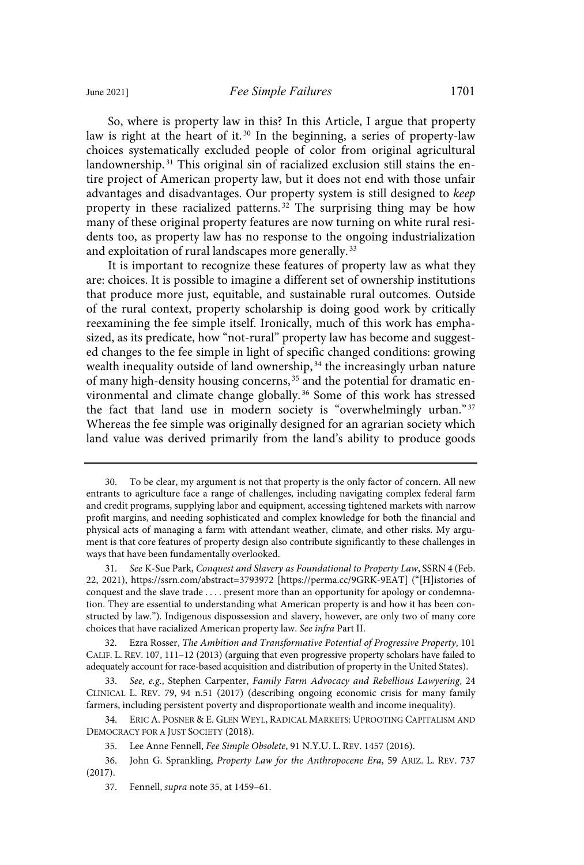So, where is property law in this? In this Article, I argue that property law is right at the heart of it. <sup>30</sup> In the beginning, a series of property-law choices systematically excluded people of color from original agricultural landownership. <sup>31</sup> This original sin of racialized exclusion still stains the entire project of American property law, but it does not end with those unfair advantages and disadvantages. Our property system is still designed to keep property in these racialized patterns. <sup>32</sup> The surprising thing may be how many of these original property features are now turning on white rural residents too, as property law has no response to the ongoing industrialization and exploitation of rural landscapes more generally. <sup>33</sup>

It is important to recognize these features of property law as what they are: choices. It is possible to imagine a different set of ownership institutions that produce more just, equitable, and sustainable rural outcomes. Outside of the rural context, property scholarship is doing good work by critically reexamining the fee simple itself. Ironically, much of this work has emphasized, as its predicate, how "not-rural" property law has become and suggested changes to the fee simple in light of specific changed conditions: growing wealth inequality outside of land ownership,  $34$  the increasingly urban nature of many high-density housing concerns, <sup>35</sup> and the potential for dramatic environmental and climate change globally. <sup>36</sup> Some of this work has stressed the fact that land use in modern society is "overwhelmingly urban."<sup>37</sup> Whereas the fee simple was originally designed for an agrarian society which land value was derived primarily from the land's ability to produce goods

<sup>30.</sup> To be clear, my argument is not that property is the only factor of concern. All new entrants to agriculture face a range of challenges, including navigating complex federal farm and credit programs, supplying labor and equipment, accessing tightened markets with narrow profit margins, and needing sophisticated and complex knowledge for both the financial and physical acts of managing a farm with attendant weather, climate, and other risks. My argument is that core features of property design also contribute significantly to these challenges in ways that have been fundamentally overlooked.

<sup>31.</sup> See K-Sue Park, Conquest and Slavery as Foundational to Property Law, SSRN 4 (Feb. 22, 2021), https://ssrn.com/abstract=3793972 [https://perma.cc/9GRK-9EAT] ("[H]istories of conquest and the slave trade . . . . present more than an opportunity for apology or condemnation. They are essential to understanding what American property is and how it has been constructed by law."). Indigenous dispossession and slavery, however, are only two of many core choices that have racialized American property law. See infra Part II.

<sup>32.</sup> Ezra Rosser, The Ambition and Transformative Potential of Progressive Property, 101 CALIF. L. REV. 107, 111–12 (2013) (arguing that even progressive property scholars have failed to adequately account for race-based acquisition and distribution of property in the United States).

<sup>33.</sup> See, e.g., Stephen Carpenter, Family Farm Advocacy and Rebellious Lawyering, 24 CLINICAL L. REV. 79, 94 n.51 (2017) (describing ongoing economic crisis for many family farmers, including persistent poverty and disproportionate wealth and income inequality).

<sup>34.</sup> ERIC A. POSNER & E. GLEN WEYL, RADICAL MARKETS: UPROOTING CAPITALISM AND DEMOCRACY FOR A JUST SOCIETY (2018).

<sup>35.</sup> Lee Anne Fennell, Fee Simple Obsolete, 91 N.Y.U. L. REV. 1457 (2016).

<sup>36.</sup> John G. Sprankling, Property Law for the Anthropocene Era, 59 ARIZ. L. REV. 737 (2017).

<sup>37.</sup> Fennell, supra note 35, at 1459–61.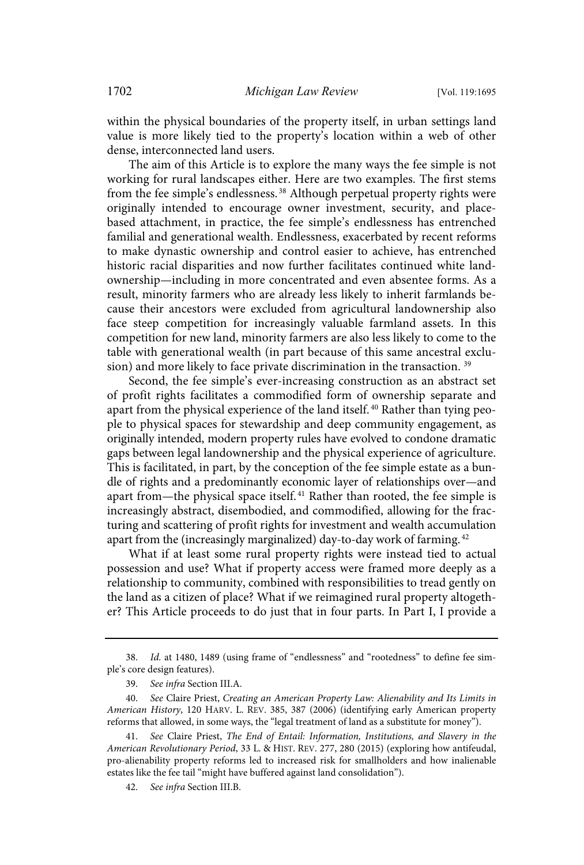within the physical boundaries of the property itself, in urban settings land value is more likely tied to the property's location within a web of other dense, interconnected land users.

The aim of this Article is to explore the many ways the fee simple is not working for rural landscapes either. Here are two examples. The first stems from the fee simple's endlessness. <sup>38</sup> Although perpetual property rights were originally intended to encourage owner investment, security, and placebased attachment, in practice, the fee simple's endlessness has entrenched familial and generational wealth. Endlessness, exacerbated by recent reforms to make dynastic ownership and control easier to achieve, has entrenched historic racial disparities and now further facilitates continued white landownership—including in more concentrated and even absentee forms. As a result, minority farmers who are already less likely to inherit farmlands because their ancestors were excluded from agricultural landownership also face steep competition for increasingly valuable farmland assets. In this competition for new land, minority farmers are also less likely to come to the table with generational wealth (in part because of this same ancestral exclusion) and more likely to face private discrimination in the transaction.<sup>39</sup>

Second, the fee simple's ever-increasing construction as an abstract set of profit rights facilitates a commodified form of ownership separate and apart from the physical experience of the land itself. <sup>40</sup> Rather than tying people to physical spaces for stewardship and deep community engagement, as originally intended, modern property rules have evolved to condone dramatic gaps between legal landownership and the physical experience of agriculture. This is facilitated, in part, by the conception of the fee simple estate as a bundle of rights and a predominantly economic layer of relationships over—and apart from—the physical space itself. <sup>41</sup> Rather than rooted, the fee simple is increasingly abstract, disembodied, and commodified, allowing for the fracturing and scattering of profit rights for investment and wealth accumulation apart from the (increasingly marginalized) day-to-day work of farming.<sup>42</sup>

What if at least some rural property rights were instead tied to actual possession and use? What if property access were framed more deeply as a relationship to community, combined with responsibilities to tread gently on the land as a citizen of place? What if we reimagined rural property altogether? This Article proceeds to do just that in four parts. In Part I, I provide a

<sup>38.</sup> Id. at 1480, 1489 (using frame of "endlessness" and "rootedness" to define fee simple's core design features).

<sup>39.</sup> See infra Section III.A.

<sup>40.</sup> See Claire Priest, Creating an American Property Law: Alienability and Its Limits in American History, 120 HARV. L. REV. 385, 387 (2006) (identifying early American property reforms that allowed, in some ways, the "legal treatment of land as a substitute for money").

<sup>41.</sup> See Claire Priest, The End of Entail: Information, Institutions, and Slavery in the American Revolutionary Period, 33 L. & HIST. REV. 277, 280 (2015) (exploring how antifeudal, pro-alienability property reforms led to increased risk for smallholders and how inalienable estates like the fee tail "might have buffered against land consolidation").

<sup>42.</sup> See infra Section III.B.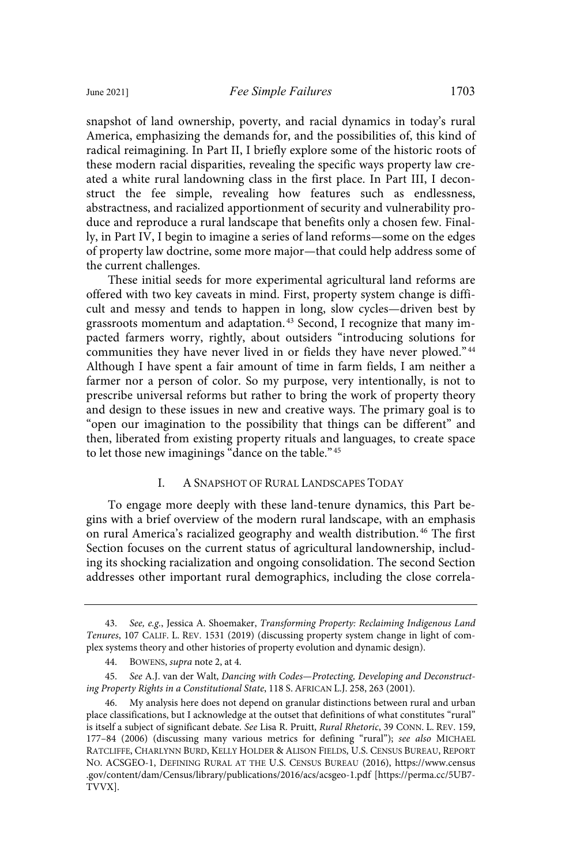snapshot of land ownership, poverty, and racial dynamics in today's rural America, emphasizing the demands for, and the possibilities of, this kind of radical reimagining. In Part II, I briefly explore some of the historic roots of these modern racial disparities, revealing the specific ways property law created a white rural landowning class in the first place. In Part III, I deconstruct the fee simple, revealing how features such as endlessness, abstractness, and racialized apportionment of security and vulnerability produce and reproduce a rural landscape that benefits only a chosen few. Finally, in Part IV, I begin to imagine a series of land reforms—some on the edges of property law doctrine, some more major—that could help address some of the current challenges.

These initial seeds for more experimental agricultural land reforms are offered with two key caveats in mind. First, property system change is difficult and messy and tends to happen in long, slow cycles—driven best by grassroots momentum and adaptation. <sup>43</sup> Second, I recognize that many impacted farmers worry, rightly, about outsiders "introducing solutions for communities they have never lived in or fields they have never plowed." <sup>44</sup> Although I have spent a fair amount of time in farm fields, I am neither a farmer nor a person of color. So my purpose, very intentionally, is not to prescribe universal reforms but rather to bring the work of property theory and design to these issues in new and creative ways. The primary goal is to "open our imagination to the possibility that things can be different" and then, liberated from existing property rituals and languages, to create space to let those new imaginings "dance on the table."<sup>45</sup>

## I. A SNAPSHOT OF RURAL LANDSCAPES TODAY

To engage more deeply with these land-tenure dynamics, this Part begins with a brief overview of the modern rural landscape, with an emphasis on rural America's racialized geography and wealth distribution. <sup>46</sup> The first Section focuses on the current status of agricultural landownership, including its shocking racialization and ongoing consolidation. The second Section addresses other important rural demographics, including the close correla-

<sup>43.</sup> See, e.g., Jessica A. Shoemaker, Transforming Property: Reclaiming Indigenous Land Tenures, 107 CALIF. L. REV. 1531 (2019) (discussing property system change in light of complex systems theory and other histories of property evolution and dynamic design).

<sup>44.</sup> BOWENS, supra note 2, at 4.

<sup>45.</sup> See A.J. van der Walt, Dancing with Codes—Protecting, Developing and Deconstructing Property Rights in a Constitutional State, 118 S. AFRICAN L.J. 258, 263 (2001).

<sup>46.</sup> My analysis here does not depend on granular distinctions between rural and urban place classifications, but I acknowledge at the outset that definitions of what constitutes "rural" is itself a subject of significant debate. See Lisa R. Pruitt, Rural Rhetoric, 39 CONN. L. REV. 159, 177–84 (2006) (discussing many various metrics for defining "rural"); see also MICHAEL RATCLIFFE, CHARLYNN BURD, KELLY HOLDER & ALISON FIELDS, U.S. CENSUS BUREAU, REPORT NO. ACSGEO-1, DEFINING RURAL AT THE U.S. CENSUS BUREAU (2016), https://www.census .gov/content/dam/Census/library/publications/2016/acs/acsgeo-1.pdf [https://perma.cc/5UB7- TVVX].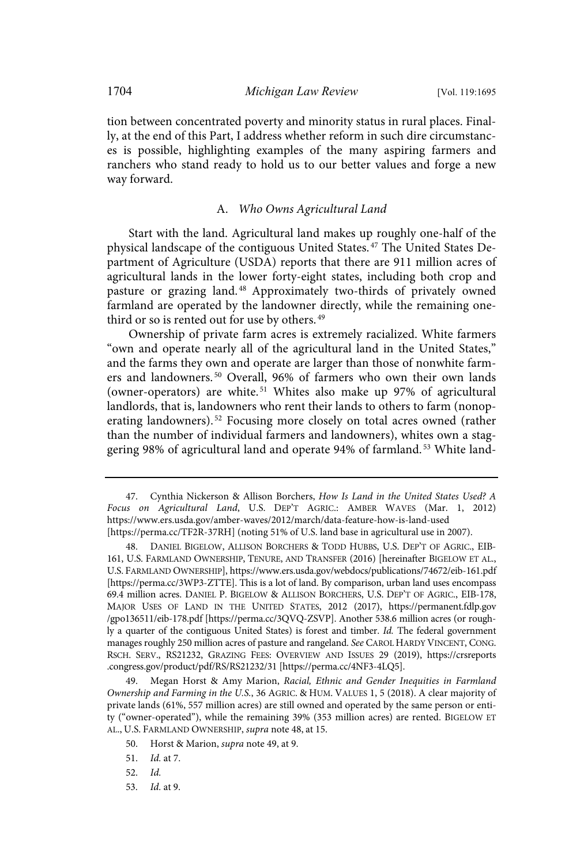tion between concentrated poverty and minority status in rural places. Finally, at the end of this Part, I address whether reform in such dire circumstances is possible, highlighting examples of the many aspiring farmers and ranchers who stand ready to hold us to our better values and forge a new way forward.

## A. Who Owns Agricultural Land

Start with the land. Agricultural land makes up roughly one-half of the physical landscape of the contiguous United States. <sup>47</sup> The United States Department of Agriculture (USDA) reports that there are 911 million acres of agricultural lands in the lower forty-eight states, including both crop and pasture or grazing land. <sup>48</sup> Approximately two-thirds of privately owned farmland are operated by the landowner directly, while the remaining onethird or so is rented out for use by others.<sup>49</sup>

Ownership of private farm acres is extremely racialized. White farmers "own and operate nearly all of the agricultural land in the United States," and the farms they own and operate are larger than those of nonwhite farmers and landowners. <sup>50</sup> Overall, 96% of farmers who own their own lands (owner-operators) are white. <sup>51</sup> Whites also make up 97% of agricultural landlords, that is, landowners who rent their lands to others to farm (nonoperating landowners). <sup>52</sup> Focusing more closely on total acres owned (rather than the number of individual farmers and landowners), whites own a staggering 98% of agricultural land and operate 94% of farmland. <sup>53</sup> White land-

<sup>47.</sup> Cynthia Nickerson & Allison Borchers, How Is Land in the United States Used? A Focus on Agricultural Land, U.S. DEP'T AGRIC.: AMBER WAVES (Mar. 1, 2012) https://www.ers.usda.gov/amber-waves/2012/march/data-feature-how-is-land-used [https://perma.cc/TF2R-37RH] (noting 51% of U.S. land base in agricultural use in 2007).

<sup>48.</sup> DANIEL BIGELOW, ALLISON BORCHERS & TODD HUBBS, U.S. DEP'T OF AGRIC., EIB-161, U.S. FARMLAND OWNERSHIP, TENURE, AND TRANSFER (2016) [hereinafter BIGELOW ET AL., U.S. FARMLAND OWNERSHIP], https://www.ers.usda.gov/webdocs/publications/74672/eib-161.pdf [https://perma.cc/3WP3-ZTTE]. This is a lot of land. By comparison, urban land uses encompass 69.4 million acres. DANIEL P. BIGELOW & ALLISON BORCHERS, U.S. DEP'T OF AGRIC., EIB-178, MAJOR USES OF LAND IN THE UNITED STATES, 2012 (2017), https://permanent.fdlp.gov /gpo136511/eib-178.pdf [https://perma.cc/3QVQ-ZSVP]. Another 538.6 million acres (or roughly a quarter of the contiguous United States) is forest and timber. Id. The federal government manages roughly 250 million acres of pasture and rangeland. See CAROL HARDY VINCENT, CONG. RSCH. SERV., RS21232, GRAZING FEES: OVERVIEW AND ISSUES 29 (2019), https://crsreports .congress.gov/product/pdf/RS/RS21232/31 [https://perma.cc/4NF3-4LQ5].

<sup>49.</sup> Megan Horst & Amy Marion, Racial, Ethnic and Gender Inequities in Farmland Ownership and Farming in the U.S., 36 AGRIC. & HUM. VALUES 1, 5 (2018). A clear majority of private lands (61%, 557 million acres) are still owned and operated by the same person or entity ("owner-operated"), while the remaining 39% (353 million acres) are rented. BIGELOW ET AL., U.S. FARMLAND OWNERSHIP, supra note 48, at 15.

<sup>50.</sup> Horst & Marion, supra note 49, at 9.

<sup>51.</sup> Id. at 7.

<sup>52.</sup> Id.

<sup>53.</sup> Id. at 9.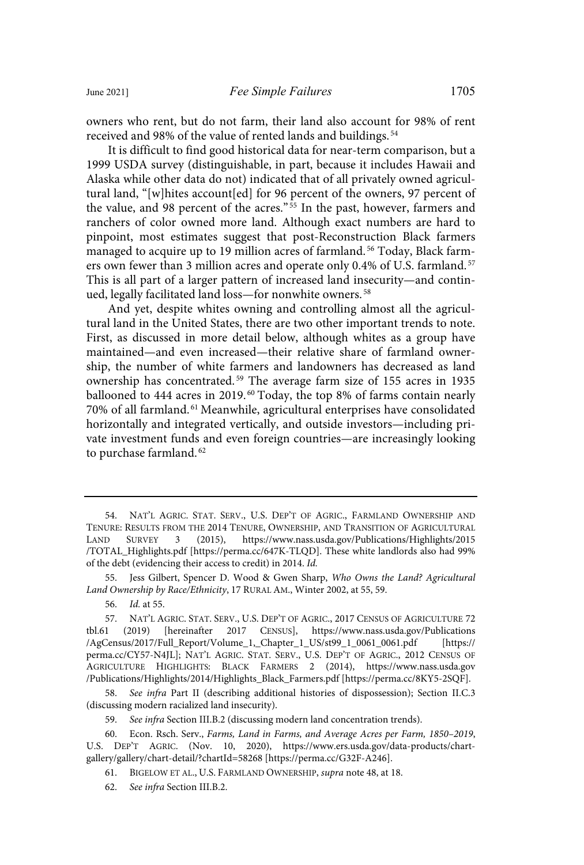owners who rent, but do not farm, their land also account for 98% of rent received and 98% of the value of rented lands and buildings. <sup>54</sup>

It is difficult to find good historical data for near-term comparison, but a 1999 USDA survey (distinguishable, in part, because it includes Hawaii and Alaska while other data do not) indicated that of all privately owned agricultural land, "[w]hites account[ed] for 96 percent of the owners, 97 percent of the value, and 98 percent of the acres." <sup>55</sup> In the past, however, farmers and ranchers of color owned more land. Although exact numbers are hard to pinpoint, most estimates suggest that post-Reconstruction Black farmers managed to acquire up to 19 million acres of farmland. <sup>56</sup> Today, Black farmers own fewer than 3 million acres and operate only 0.4% of U.S. farmland.<sup>57</sup> This is all part of a larger pattern of increased land insecurity—and continued, legally facilitated land loss—for nonwhite owners. 58

And yet, despite whites owning and controlling almost all the agricultural land in the United States, there are two other important trends to note. First, as discussed in more detail below, although whites as a group have maintained—and even increased—their relative share of farmland ownership, the number of white farmers and landowners has decreased as land ownership has concentrated. <sup>59</sup> The average farm size of 155 acres in 1935 ballooned to 444 acres in 2019.<sup>60</sup> Today, the top 8% of farms contain nearly 70% of all farmland. <sup>61</sup> Meanwhile, agricultural enterprises have consolidated horizontally and integrated vertically, and outside investors—including private investment funds and even foreign countries—are increasingly looking to purchase farmland.<sup>62</sup>

<sup>54.</sup> NAT'L AGRIC. STAT. SERV., U.S. DEP'T OF AGRIC., FARMLAND OWNERSHIP AND TENURE: RESULTS FROM THE 2014 TENURE, OWNERSHIP, AND TRANSITION OF AGRICULTURAL<br>LAND SURVEY 3 (2015). https://www.nass.usda.gov/Publications/Highlights/2015 LAND SURVEY 3 (2015), https://www.nass.usda.gov/Publications/Highlights/2015 /TOTAL\_Highlights.pdf [https://perma.cc/647K-TLQD]. These white landlords also had 99% of the debt (evidencing their access to credit) in 2014. Id.

<sup>55.</sup> Jess Gilbert, Spencer D. Wood & Gwen Sharp, Who Owns the Land? Agricultural Land Ownership by Race/Ethnicity, 17 RURAL AM., Winter 2002, at 55, 59.

<sup>56.</sup> Id. at 55.

<sup>57.</sup> NAT'L AGRIC. STAT. SERV., U.S. DEP'T OF AGRIC., 2017 CENSUS OF AGRICULTURE 72 tbl.61 (2019) [hereinafter 2017 CENSUS], https://www.nass.usda.gov/Publications /AgCensus/2017/Full\_Report/Volume\_1,\_Chapter\_1\_US/st99\_1\_0061\_0061.pdf [https:// perma.cc/CY57-N4JL]; NAT'L AGRIC. STAT. SERV., U.S. DEP'T OF AGRIC., 2012 CENSUS OF AGRICULTURE HIGHLIGHTS: BLACK FARMERS 2 (2014), https://www.nass.usda.gov /Publications/Highlights/2014/Highlights\_Black\_Farmers.pdf [https://perma.cc/8KY5-2SQF].

<sup>58.</sup> See infra Part II (describing additional histories of dispossession); Section II.C.3 (discussing modern racialized land insecurity).

<sup>59.</sup> See infra Section III.B.2 (discussing modern land concentration trends).

<sup>60.</sup> Econ. Rsch. Serv., Farms, Land in Farms, and Average Acres per Farm, 1850–2019, U.S. DEP'T AGRIC. (Nov. 10, 2020), https://www.ers.usda.gov/data-products/chartgallery/gallery/chart-detail/?chartId=58268 [https://perma.cc/G32F-A246].

<sup>61.</sup> BIGELOW ET AL., U.S. FARMLAND OWNERSHIP, supra note 48, at 18.

<sup>62.</sup> See infra Section III.B.2.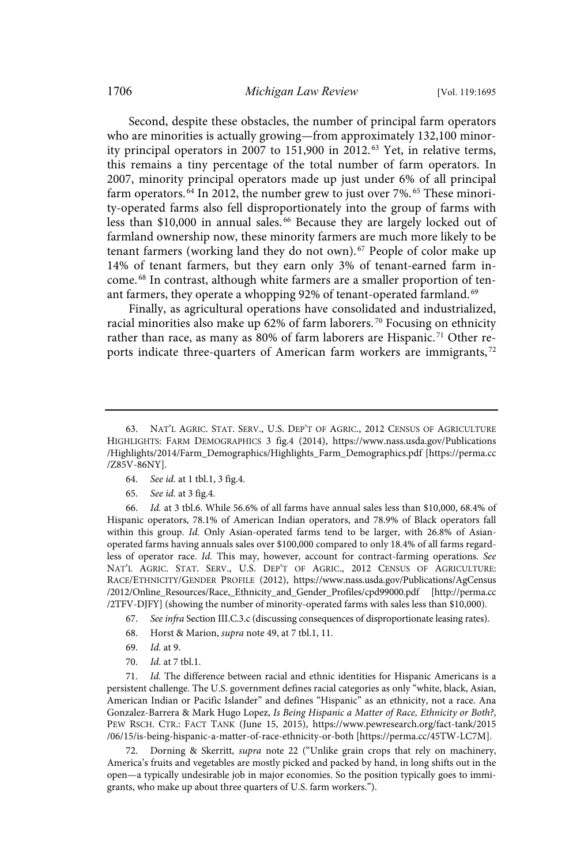Second, despite these obstacles, the number of principal farm operators who are minorities is actually growing—from approximately 132,100 minority principal operators in 2007 to 151,900 in 2012. <sup>63</sup> Yet, in relative terms, this remains a tiny percentage of the total number of farm operators. In 2007, minority principal operators made up just under 6% of all principal farm operators.<sup>64</sup> In 2012, the number grew to just over 7%.<sup>65</sup> These minority-operated farms also fell disproportionately into the group of farms with less than \$10,000 in annual sales.<sup>66</sup> Because they are largely locked out of farmland ownership now, these minority farmers are much more likely to be tenant farmers (working land they do not own).<sup>67</sup> People of color make up 14% of tenant farmers, but they earn only 3% of tenant-earned farm income. <sup>68</sup> In contrast, although white farmers are a smaller proportion of tenant farmers, they operate a whopping 92% of tenant-operated farmland.<sup>69</sup>

Finally, as agricultural operations have consolidated and industrialized, racial minorities also make up 62% of farm laborers. <sup>70</sup> Focusing on ethnicity rather than race, as many as 80% of farm laborers are Hispanic.<sup>71</sup> Other reports indicate three-quarters of American farm workers are immigrants, $72$ 

65. See id. at 3 fig.4.

66. Id. at 3 tbl.6. While 56.6% of all farms have annual sales less than \$10,000, 68.4% of Hispanic operators, 78.1% of American Indian operators, and 78.9% of Black operators fall within this group. Id. Only Asian-operated farms tend to be larger, with 26.8% of Asianoperated farms having annuals sales over \$100,000 compared to only 18.4% of all farms regardless of operator race. Id. This may, however, account for contract-farming operations. See NAT'L AGRIC. STAT. SERV., U.S. DEP'T OF AGRIC., 2012 CENSUS OF AGRICULTURE: RACE/ETHNICITY/GENDER PROFILE (2012), https://www.nass.usda.gov/Publications/AgCensus /2012/Online\_Resources/Race,\_Ethnicity\_and\_Gender\_Profiles/cpd99000.pdf [http://perma.cc /2TFV-DJFY] (showing the number of minority-operated farms with sales less than \$10,000).

67. See infra Section III.C.3.c (discussing consequences of disproportionate leasing rates).

- 68. Horst & Marion, supra note 49, at 7 tbl.1, 11.
- 69. Id. at 9.
- 70. Id. at 7 tbl.1.

71. Id. The difference between racial and ethnic identities for Hispanic Americans is a persistent challenge. The U.S. government defines racial categories as only "white, black, Asian, American Indian or Pacific Islander" and defines "Hispanic" as an ethnicity, not a race. Ana Gonzalez-Barrera & Mark Hugo Lopez, Is Being Hispanic a Matter of Race, Ethnicity or Both?, PEW RSCH. CTR.: FACT TANK (June 15, 2015), https://www.pewresearch.org/fact-tank/2015 /06/15/is-being-hispanic-a-matter-of-race-ethnicity-or-both [https://perma.cc/45TW-LC7M].

72. Dorning & Skerritt, supra note 22 ("Unlike grain crops that rely on machinery, America's fruits and vegetables are mostly picked and packed by hand, in long shifts out in the open—a typically undesirable job in major economies. So the position typically goes to immigrants, who make up about three quarters of U.S. farm workers.").

<sup>63.</sup> NAT'L AGRIC. STAT. SERV., U.S. DEP'T OF AGRIC., 2012 CENSUS OF AGRICULTURE HIGHLIGHTS: FARM DEMOGRAPHICS 3 fig.4 (2014), https://www.nass.usda.gov/Publications /Highlights/2014/Farm\_Demographics/Highlights\_Farm\_Demographics.pdf [https://perma.cc /Z85V-86NY].

<sup>64.</sup> See id. at 1 tbl.1, 3 fig.4.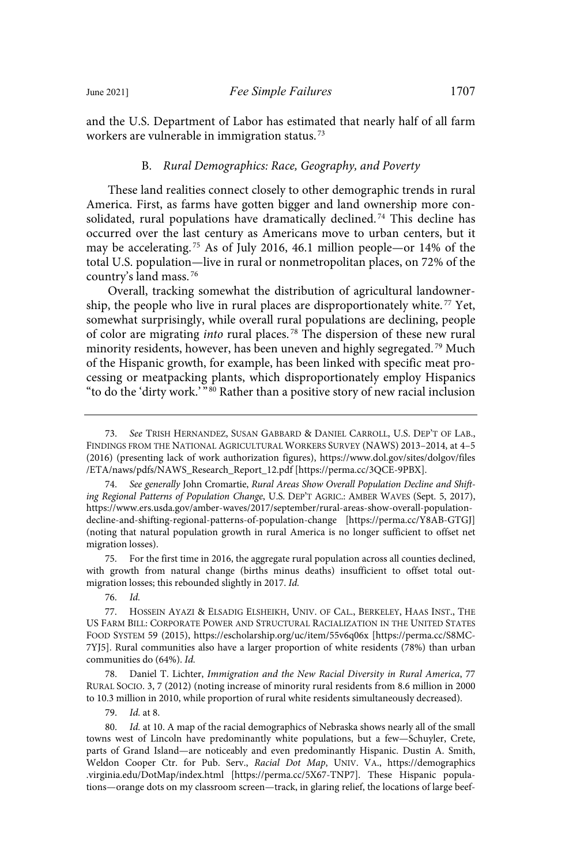and the U.S. Department of Labor has estimated that nearly half of all farm workers are vulnerable in immigration status. 73

## B. Rural Demographics: Race, Geography, and Poverty

These land realities connect closely to other demographic trends in rural America. First, as farms have gotten bigger and land ownership more consolidated, rural populations have dramatically declined.<sup>74</sup> This decline has occurred over the last century as Americans move to urban centers, but it may be accelerating. <sup>75</sup> As of July 2016, 46.1 million people—or 14% of the total U.S. population—live in rural or nonmetropolitan places, on 72% of the country's land mass. <sup>76</sup>

Overall, tracking somewhat the distribution of agricultural landownership, the people who live in rural places are disproportionately white.<sup>77</sup> Yet, somewhat surprisingly, while overall rural populations are declining, people of color are migrating into rural places. <sup>78</sup> The dispersion of these new rural minority residents, however, has been uneven and highly segregated. <sup>79</sup> Much of the Hispanic growth, for example, has been linked with specific meat processing or meatpacking plants, which disproportionately employ Hispanics "to do the 'dirty work.' " <sup>80</sup> Rather than a positive story of new racial inclusion

75. For the first time in 2016, the aggregate rural population across all counties declined, with growth from natural change (births minus deaths) insufficient to offset total outmigration losses; this rebounded slightly in 2017. Id.

78. Daniel T. Lichter, Immigration and the New Racial Diversity in Rural America, 77 RURAL SOCIO. 3, 7 (2012) (noting increase of minority rural residents from 8.6 million in 2000 to 10.3 million in 2010, while proportion of rural white residents simultaneously decreased).

79. Id. at 8.

<sup>73.</sup> See TRISH HERNANDEZ, SUSAN GABBARD & DANIEL CARROLL, U.S. DEP'T OF LAB., FINDINGS FROM THE NATIONAL AGRICULTURAL WORKERS SURVEY (NAWS) 2013–2014, at 4–5 (2016) (presenting lack of work authorization figures), https://www.dol.gov/sites/dolgov/files /ETA/naws/pdfs/NAWS\_Research\_Report\_12.pdf [https://perma.cc/3QCE-9PBX].

<sup>74.</sup> See generally John Cromartie, Rural Areas Show Overall Population Decline and Shifting Regional Patterns of Population Change, U.S. DEP'T AGRIC.: AMBER WAVES (Sept. 5, 2017), https://www.ers.usda.gov/amber-waves/2017/september/rural-areas-show-overall-populationdecline-and-shifting-regional-patterns-of-population-change [https://perma.cc/Y8AB-GTGJ] (noting that natural population growth in rural America is no longer sufficient to offset net migration losses).

<sup>76.</sup> Id.

<sup>77.</sup> HOSSEIN AYAZI & ELSADIG ELSHEIKH, UNIV. OF CAL., BERKELEY, HAAS INST., THE US FARM BILL: CORPORATE POWER AND STRUCTURAL RACIALIZATION IN THE UNITED STATES FOOD SYSTEM 59 (2015), https://escholarship.org/uc/item/55v6q06x [https://perma.cc/S8MC-7YJ5]. Rural communities also have a larger proportion of white residents (78%) than urban communities do (64%). Id.

<sup>80.</sup> Id. at 10. A map of the racial demographics of Nebraska shows nearly all of the small towns west of Lincoln have predominantly white populations, but a few—Schuyler, Crete, parts of Grand Island—are noticeably and even predominantly Hispanic. Dustin A. Smith, Weldon Cooper Ctr. for Pub. Serv., Racial Dot Map, UNIV. VA., https://demographics .virginia.edu/DotMap/index.html [https://perma.cc/5X67-TNP7]. These Hispanic populations—orange dots on my classroom screen—track, in glaring relief, the locations of large beef-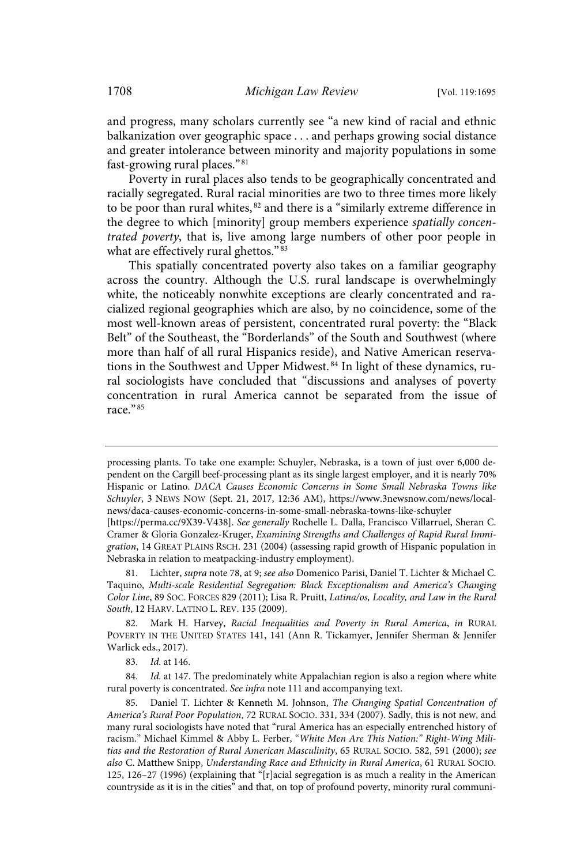and progress, many scholars currently see "a new kind of racial and ethnic balkanization over geographic space . . . and perhaps growing social distance and greater intolerance between minority and majority populations in some fast-growing rural places." <sup>81</sup>

Poverty in rural places also tends to be geographically concentrated and racially segregated. Rural racial minorities are two to three times more likely to be poor than rural whites, <sup>82</sup> and there is a "similarly extreme difference in the degree to which [minority] group members experience spatially concentrated poverty, that is, live among large numbers of other poor people in what are effectively rural ghettos."<sup>83</sup>

This spatially concentrated poverty also takes on a familiar geography across the country. Although the U.S. rural landscape is overwhelmingly white, the noticeably nonwhite exceptions are clearly concentrated and racialized regional geographies which are also, by no coincidence, some of the most well-known areas of persistent, concentrated rural poverty: the "Black Belt" of the Southeast, the "Borderlands" of the South and Southwest (where more than half of all rural Hispanics reside), and Native American reservations in the Southwest and Upper Midwest.<sup>84</sup> In light of these dynamics, rural sociologists have concluded that "discussions and analyses of poverty concentration in rural America cannot be separated from the issue of race."<sup>85</sup>

processing plants. To take one example: Schuyler, Nebraska, is a town of just over 6,000 dependent on the Cargill beef-processing plant as its single largest employer, and it is nearly 70% Hispanic or Latino. DACA Causes Economic Concerns in Some Small Nebraska Towns like Schuyler, 3 NEWS NOW (Sept. 21, 2017, 12:36 AM), https://www.3newsnow.com/news/localnews/daca-causes-economic-concerns-in-some-small-nebraska-towns-like-schuyler

<sup>[</sup>https://perma.cc/9X39-V438]. See generally Rochelle L. Dalla, Francisco Villarruel, Sheran C. Cramer & Gloria Gonzalez-Kruger, Examining Strengths and Challenges of Rapid Rural Immigration, 14 GREAT PLAINS RSCH. 231 (2004) (assessing rapid growth of Hispanic population in Nebraska in relation to meatpacking-industry employment).

Lichter, supra note 78, at 9; see also Domenico Parisi, Daniel T. Lichter & Michael C. Taquino, Multi-scale Residential Segregation: Black Exceptionalism and America's Changing Color Line, 89 SOC. FORCES 829 (2011); Lisa R. Pruitt, Latina/os, Locality, and Law in the Rural South, 12 HARV. LATINO L. REV. 135 (2009).

<sup>82.</sup> Mark H. Harvey, Racial Inequalities and Poverty in Rural America, in RURAL POVERTY IN THE UNITED STATES 141, 141 (Ann R. Tickamyer, Jennifer Sherman & Jennifer Warlick eds., 2017).

<sup>83.</sup> Id. at 146.

<sup>84.</sup> Id. at 147. The predominately white Appalachian region is also a region where white rural poverty is concentrated. See infra note 111 and accompanying text.

<sup>85.</sup> Daniel T. Lichter & Kenneth M. Johnson, The Changing Spatial Concentration of America's Rural Poor Population, 72 RURAL SOCIO. 331, 334 (2007). Sadly, this is not new, and many rural sociologists have noted that "rural America has an especially entrenched history of racism." Michael Kimmel & Abby L. Ferber, "White Men Are This Nation:" Right-Wing Militias and the Restoration of Rural American Masculinity, 65 RURAL SOCIO. 582, 591 (2000); see also C. Matthew Snipp, Understanding Race and Ethnicity in Rural America, 61 RURAL SOCIO. 125, 126–27 (1996) (explaining that "[r]acial segregation is as much a reality in the American countryside as it is in the cities" and that, on top of profound poverty, minority rural communi-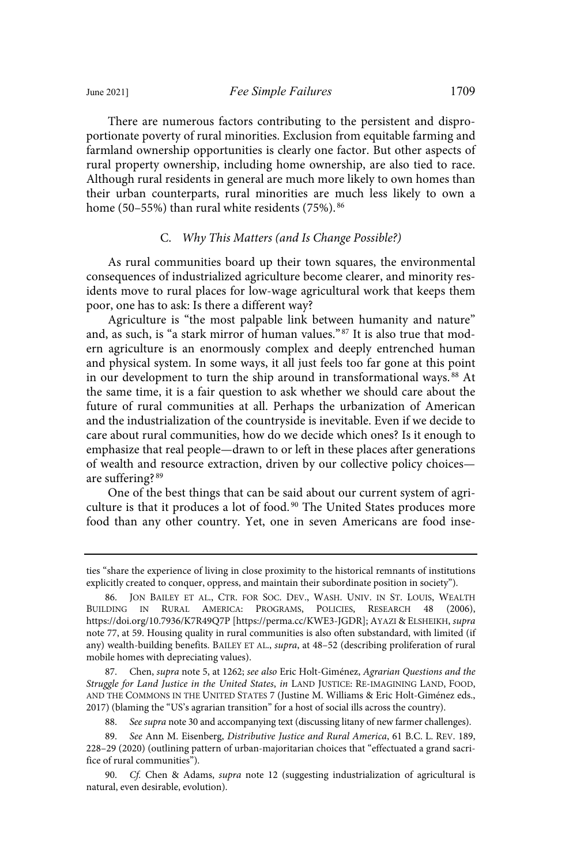There are numerous factors contributing to the persistent and disproportionate poverty of rural minorities. Exclusion from equitable farming and farmland ownership opportunities is clearly one factor. But other aspects of rural property ownership, including home ownership, are also tied to race. Although rural residents in general are much more likely to own homes than their urban counterparts, rural minorities are much less likely to own a home (50–55%) than rural white residents (75%). 86

## C. Why This Matters (and Is Change Possible?)

As rural communities board up their town squares, the environmental consequences of industrialized agriculture become clearer, and minority residents move to rural places for low-wage agricultural work that keeps them poor, one has to ask: Is there a different way?

Agriculture is "the most palpable link between humanity and nature" and, as such, is "a stark mirror of human values." <sup>87</sup> It is also true that modern agriculture is an enormously complex and deeply entrenched human and physical system. In some ways, it all just feels too far gone at this point in our development to turn the ship around in transformational ways. <sup>88</sup> At the same time, it is a fair question to ask whether we should care about the future of rural communities at all. Perhaps the urbanization of American and the industrialization of the countryside is inevitable. Even if we decide to care about rural communities, how do we decide which ones? Is it enough to emphasize that real people—drawn to or left in these places after generations of wealth and resource extraction, driven by our collective policy choices are suffering? <sup>89</sup>

One of the best things that can be said about our current system of agriculture is that it produces a lot of food. <sup>90</sup> The United States produces more food than any other country. Yet, one in seven Americans are food inse-

88. See supra note 30 and accompanying text (discussing litany of new farmer challenges).

- 89. See Ann M. Eisenberg, Distributive Justice and Rural America, 61 B.C. L. REV. 189, 228–29 (2020) (outlining pattern of urban-majoritarian choices that "effectuated a grand sacrifice of rural communities").
- 90. Cf. Chen & Adams, supra note 12 (suggesting industrialization of agricultural is natural, even desirable, evolution).

ties "share the experience of living in close proximity to the historical remnants of institutions explicitly created to conquer, oppress, and maintain their subordinate position in society").

<sup>86.</sup> JON BAILEY ET AL., CTR. FOR SOC. DEV., WASH. UNIV. IN ST. LOUIS, WEALTH BUILDING IN RURAL AMERICA: PROGRAMS, POLICIES, RESEARCH 48 (2006), https://doi.org/10.7936/K7R49Q7P [https://perma.cc/KWE3-JGDR]; AYAZI & ELSHEIKH, supra note 77, at 59. Housing quality in rural communities is also often substandard, with limited (if any) wealth-building benefits. BAILEY ET AL., supra, at 48–52 (describing proliferation of rural mobile homes with depreciating values).

<sup>87.</sup> Chen, supra note 5, at 1262; see also Eric Holt-Giménez, Agrarian Questions and the Struggle for Land Justice in the United States, in LAND JUSTICE: RE-IMAGINING LAND, FOOD, AND THE COMMONS IN THE UNITED STATES 7 (Justine M. Williams & Eric Holt-Giménez eds., 2017) (blaming the "US's agrarian transition" for a host of social ills across the country).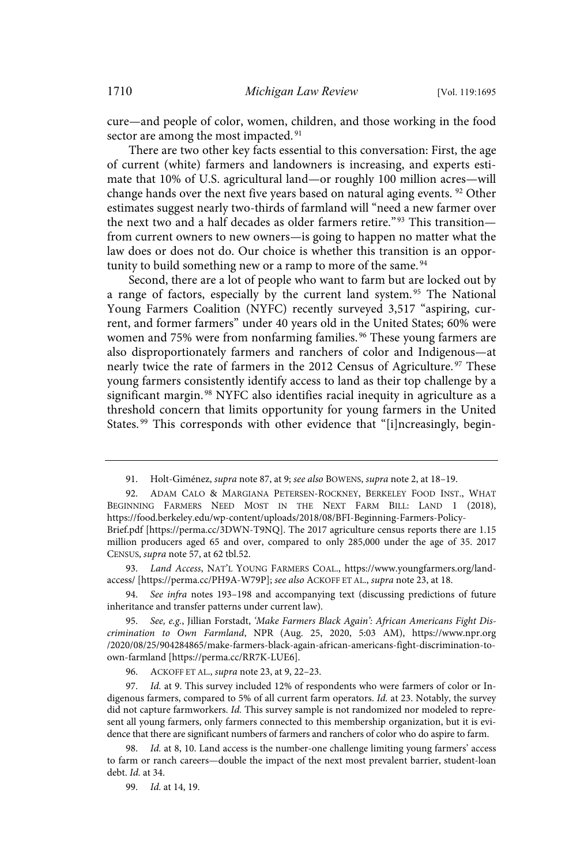cure—and people of color, women, children, and those working in the food sector are among the most impacted.<sup>91</sup>

There are two other key facts essential to this conversation: First, the age of current (white) farmers and landowners is increasing, and experts estimate that 10% of U.S. agricultural land—or roughly 100 million acres—will change hands over the next five years based on natural aging events. <sup>92</sup> Other estimates suggest nearly two-thirds of farmland will "need a new farmer over the next two and a half decades as older farmers retire."<sup>93</sup> This transition from current owners to new owners—is going to happen no matter what the law does or does not do. Our choice is whether this transition is an opportunity to build something new or a ramp to more of the same.<sup>94</sup>

Second, there are a lot of people who want to farm but are locked out by a range of factors, especially by the current land system.<sup>95</sup> The National Young Farmers Coalition (NYFC) recently surveyed 3,517 "aspiring, current, and former farmers" under 40 years old in the United States; 60% were women and 75% were from nonfarming families. <sup>96</sup> These young farmers are also disproportionately farmers and ranchers of color and Indigenous—at nearly twice the rate of farmers in the 2012 Census of Agriculture.<sup>97</sup> These young farmers consistently identify access to land as their top challenge by a significant margin.<sup>98</sup> NYFC also identifies racial inequity in agriculture as a threshold concern that limits opportunity for young farmers in the United States.<sup>99</sup> This corresponds with other evidence that "[i]ncreasingly, begin-

93. Land Access, NAT'L YOUNG FARMERS COAL., https://www.youngfarmers.org/landaccess/ [https://perma.cc/PH9A-W79P]; see also ACKOFF ET AL., supra note 23, at 18.

94. See infra notes 193–198 and accompanying text (discussing predictions of future inheritance and transfer patterns under current law).

95. See, e.g., Jillian Forstadt, 'Make Farmers Black Again': African Americans Fight Discrimination to Own Farmland, NPR (Aug. 25, 2020, 5:03 AM), https://www.npr.org /2020/08/25/904284865/make-farmers-black-again-african-americans-fight-discrimination-toown-farmland [https://perma.cc/RR7K-LUE6].

96. ACKOFF ET AL., supra note 23, at 9, 22–23.

97. Id. at 9. This survey included 12% of respondents who were farmers of color or Indigenous farmers, compared to 5% of all current farm operators. Id. at 23. Notably, the survey did not capture farmworkers. Id. This survey sample is not randomized nor modeled to represent all young farmers, only farmers connected to this membership organization, but it is evidence that there are significant numbers of farmers and ranchers of color who do aspire to farm.

Id. at 8, 10. Land access is the number-one challenge limiting young farmers' access to farm or ranch careers—double the impact of the next most prevalent barrier, student-loan debt. Id. at 34.

99. Id. at 14, 19.

<sup>91.</sup> Holt-Giménez, supra note 87, at 9; see also BOWENS, supra note 2, at 18–19.

<sup>92.</sup> ADAM CALO & MARGIANA PETERSEN-ROCKNEY, BERKELEY FOOD INST., WHAT BEGINNING FARMERS NEED MOST IN THE NEXT FARM BILL: LAND 1 (2018), https://food.berkeley.edu/wp-content/uploads/2018/08/BFI-Beginning-Farmers-Policy-Brief.pdf [https://perma.cc/3DWN-T9NQ]. The 2017 agriculture census reports there are 1.15 million producers aged 65 and over, compared to only 285,000 under the age of 35. 2017 CENSUS, supra note 57, at 62 tbl.52.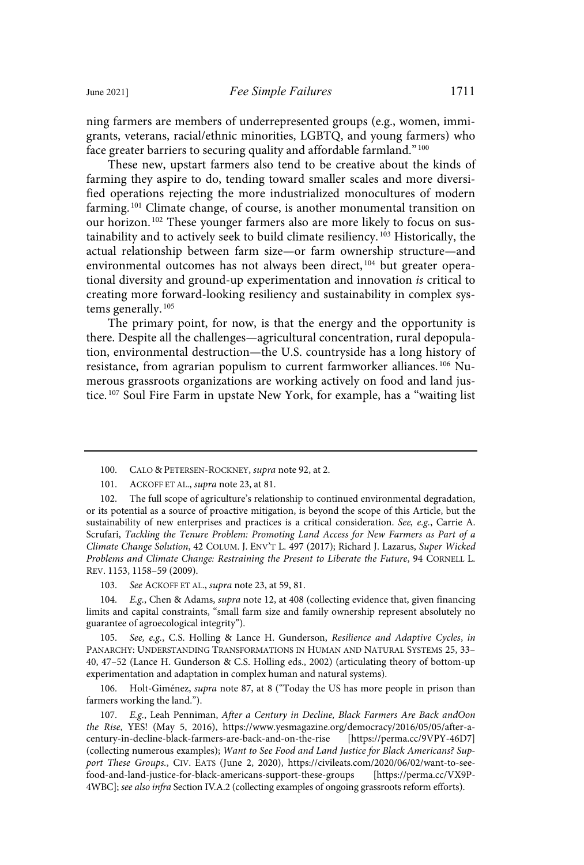ning farmers are members of underrepresented groups (e.g., women, immigrants, veterans, racial/ethnic minorities, LGBTQ, and young farmers) who face greater barriers to securing quality and affordable farmland." <sup>100</sup>

These new, upstart farmers also tend to be creative about the kinds of farming they aspire to do, tending toward smaller scales and more diversified operations rejecting the more industrialized monocultures of modern farming.<sup>101</sup> Climate change, of course, is another monumental transition on our horizon.<sup>102</sup> These younger farmers also are more likely to focus on sustainability and to actively seek to build climate resiliency. <sup>103</sup> Historically, the actual relationship between farm size—or farm ownership structure—and environmental outcomes has not always been direct, <sup>104</sup> but greater operational diversity and ground-up experimentation and innovation is critical to creating more forward-looking resiliency and sustainability in complex systems generally. 105

The primary point, for now, is that the energy and the opportunity is there. Despite all the challenges—agricultural concentration, rural depopulation, environmental destruction—the U.S. countryside has a long history of resistance, from agrarian populism to current farmworker alliances. <sup>106</sup> Numerous grassroots organizations are working actively on food and land justice. <sup>107</sup> Soul Fire Farm in upstate New York, for example, has a "waiting list

103. See ACKOFF ET AL., *supra* note 23, at 59, 81.

104. E.g., Chen & Adams, *supra* note 12, at 408 (collecting evidence that, given financing limits and capital constraints, "small farm size and family ownership represent absolutely no guarantee of agroecological integrity").

105. See, e.g., C.S. Holling & Lance H. Gunderson, Resilience and Adaptive Cycles, in PANARCHY: UNDERSTANDING TRANSFORMATIONS IN HUMAN AND NATURAL SYSTEMS 25, 33– 40, 47–52 (Lance H. Gunderson & C.S. Holling eds., 2002) (articulating theory of bottom-up experimentation and adaptation in complex human and natural systems).

106. Holt-Giménez, supra note 87, at 8 ("Today the US has more people in prison than farmers working the land.").

107. E.g., Leah Penniman, After a Century in Decline, Black Farmers Are Back andOon the Rise, YES! (May 5, 2016), https://www.yesmagazine.org/democracy/2016/05/05/after-acentury-in-decline-black-farmers-are-back-and-on-the-rise [https://perma.cc/9VPY-46D7] (collecting numerous examples); Want to See Food and Land Justice for Black Americans? Support These Groups., CIV. EATS (June 2, 2020), https://civileats.com/2020/06/02/want-to-seefood-and-land-justice-for-black-americans-support-these-groups [https://perma.cc/VX9P-4WBC]; see also infra Section IV.A.2 (collecting examples of ongoing grassroots reform efforts).

<sup>100.</sup> CALO & PETERSEN-ROCKNEY, supra note 92, at 2.

<sup>101.</sup> ACKOFF ET AL., *supra* note 23, at 81.

<sup>102.</sup> The full scope of agriculture's relationship to continued environmental degradation, or its potential as a source of proactive mitigation, is beyond the scope of this Article, but the sustainability of new enterprises and practices is a critical consideration. See, e.g., Carrie A. Scrufari, Tackling the Tenure Problem: Promoting Land Access for New Farmers as Part of a Climate Change Solution, 42 COLUM. J. ENV'T L. 497 (2017); Richard J. Lazarus, Super Wicked Problems and Climate Change: Restraining the Present to Liberate the Future, 94 CORNELL L. REV. 1153, 1158–59 (2009).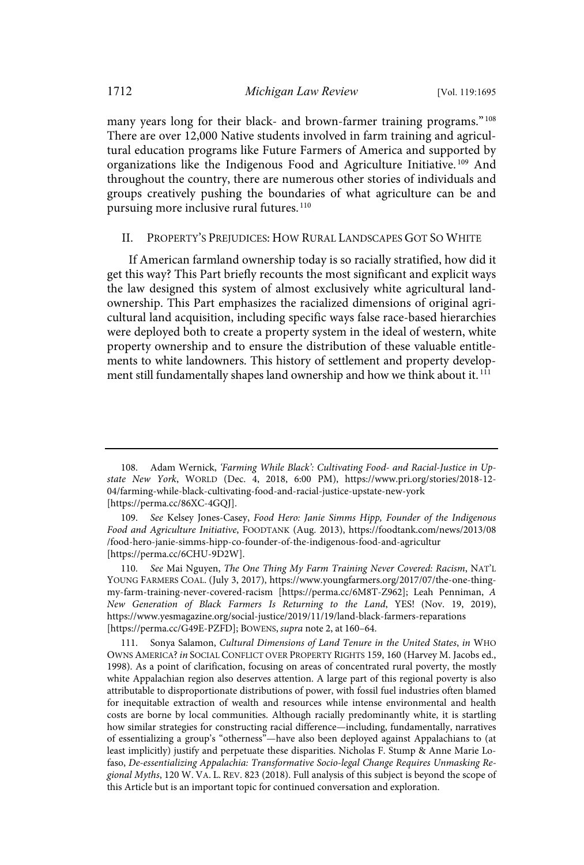many years long for their black- and brown-farmer training programs." 108 There are over 12,000 Native students involved in farm training and agricultural education programs like Future Farmers of America and supported by organizations like the Indigenous Food and Agriculture Initiative.<sup>109</sup> And throughout the country, there are numerous other stories of individuals and groups creatively pushing the boundaries of what agriculture can be and pursuing more inclusive rural futures.<sup>110</sup>

#### II. PROPERTY'S PREJUDICES: HOW RURAL LANDSCAPES GOT SO WHITE

If American farmland ownership today is so racially stratified, how did it get this way? This Part briefly recounts the most significant and explicit ways the law designed this system of almost exclusively white agricultural landownership. This Part emphasizes the racialized dimensions of original agricultural land acquisition, including specific ways false race-based hierarchies were deployed both to create a property system in the ideal of western, white property ownership and to ensure the distribution of these valuable entitlements to white landowners. This history of settlement and property development still fundamentally shapes land ownership and how we think about it. 111

110. See Mai Nguyen, The One Thing My Farm Training Never Covered: Racism, NAT'L YOUNG FARMERS COAL. (July 3, 2017), https://www.youngfarmers.org/2017/07/the-one-thingmy-farm-training-never-covered-racism [https://perma.cc/6M8T-Z962]; Leah Penniman, A New Generation of Black Farmers Is Returning to the Land, YES! (Nov. 19, 2019), https://www.yesmagazine.org/social-justice/2019/11/19/land-black-farmers-reparations [https://perma.cc/G49E-PZFD]; BOWENS, supra note 2, at 160–64.

111. Sonya Salamon, Cultural Dimensions of Land Tenure in the United States, in WHO OWNS AMERICA?in SOCIAL CONFLICT OVER PROPERTY RIGHTS 159, 160 (Harvey M. Jacobs ed., 1998). As a point of clarification, focusing on areas of concentrated rural poverty, the mostly white Appalachian region also deserves attention. A large part of this regional poverty is also attributable to disproportionate distributions of power, with fossil fuel industries often blamed for inequitable extraction of wealth and resources while intense environmental and health costs are borne by local communities. Although racially predominantly white, it is startling how similar strategies for constructing racial difference—including, fundamentally, narratives of essentializing a group's "otherness"—have also been deployed against Appalachians to (at least implicitly) justify and perpetuate these disparities. Nicholas F. Stump & Anne Marie Lofaso, De-essentializing Appalachia: Transformative Socio-legal Change Requires Unmasking Regional Myths, 120 W. VA. L. REV. 823 (2018). Full analysis of this subject is beyond the scope of this Article but is an important topic for continued conversation and exploration.

<sup>108.</sup> Adam Wernick, 'Farming While Black': Cultivating Food- and Racial-Justice in Upstate New York, WORLD (Dec. 4, 2018, 6:00 PM), https://www.pri.org/stories/2018-12- 04/farming-while-black-cultivating-food-and-racial-justice-upstate-new-york [https://perma.cc/86XC-4GQJ].

<sup>109.</sup> See Kelsey Jones-Casey, Food Hero: Janie Simms Hipp, Founder of the Indigenous Food and Agriculture Initiative, FOODTANK (Aug. 2013), https://foodtank.com/news/2013/08 /food-hero-janie-simms-hipp-co-founder-of-the-indigenous-food-and-agricultur [https://perma.cc/6CHU-9D2W].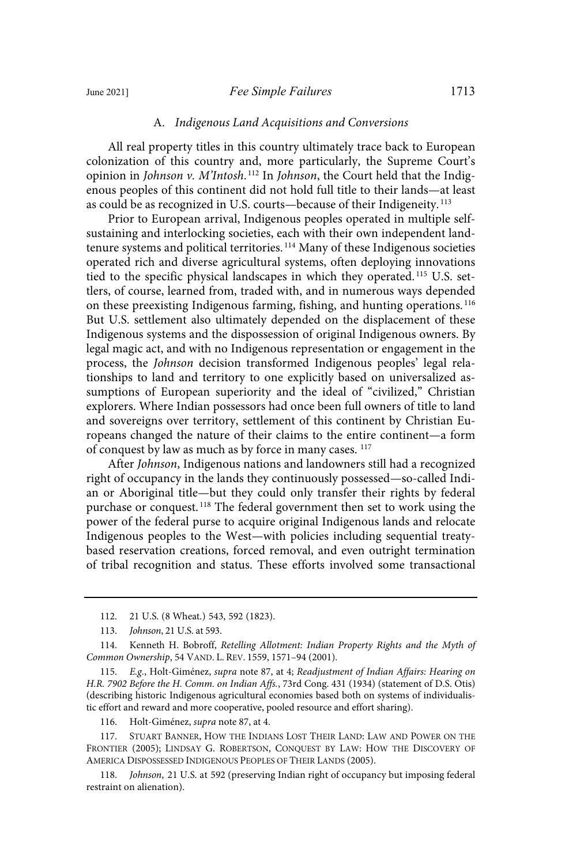#### A. Indigenous Land Acquisitions and Conversions

All real property titles in this country ultimately trace back to European colonization of this country and, more particularly, the Supreme Court's opinion in Johnson v. M'Intosh.<sup>112</sup> In Johnson, the Court held that the Indigenous peoples of this continent did not hold full title to their lands—at least as could be as recognized in U.S. courts—because of their Indigeneity.<sup>113</sup>

Prior to European arrival, Indigenous peoples operated in multiple selfsustaining and interlocking societies, each with their own independent landtenure systems and political territories. <sup>114</sup> Many of these Indigenous societies operated rich and diverse agricultural systems, often deploying innovations tied to the specific physical landscapes in which they operated. <sup>115</sup> U.S. settlers, of course, learned from, traded with, and in numerous ways depended on these preexisting Indigenous farming, fishing, and hunting operations.<sup>116</sup> But U.S. settlement also ultimately depended on the displacement of these Indigenous systems and the dispossession of original Indigenous owners. By legal magic act, and with no Indigenous representation or engagement in the process, the Johnson decision transformed Indigenous peoples' legal relationships to land and territory to one explicitly based on universalized assumptions of European superiority and the ideal of "civilized," Christian explorers. Where Indian possessors had once been full owners of title to land and sovereigns over territory, settlement of this continent by Christian Europeans changed the nature of their claims to the entire continent—a form of conquest by law as much as by force in many cases. <sup>117</sup>

After Johnson, Indigenous nations and landowners still had a recognized right of occupancy in the lands they continuously possessed—so-called Indian or Aboriginal title—but they could only transfer their rights by federal purchase or conquest.<sup>118</sup> The federal government then set to work using the power of the federal purse to acquire original Indigenous lands and relocate Indigenous peoples to the West—with policies including sequential treatybased reservation creations, forced removal, and even outright termination of tribal recognition and status. These efforts involved some transactional

116. Holt-Giménez, supra note 87, at 4.

117. STUART BANNER, HOW THE INDIANS LOST THEIR LAND: LAW AND POWER ON THE FRONTIER (2005); LINDSAY G. ROBERTSON, CONQUEST BY LAW: HOW THE DISCOVERY OF AMERICA DISPOSSESSED INDIGENOUS PEOPLES OF THEIR LANDS (2005).

118. Johnson, 21 U.S. at 592 (preserving Indian right of occupancy but imposing federal restraint on alienation).

<sup>112.</sup> 21 U.S. (8 Wheat.) 543, 592 (1823).

<sup>113.</sup> Johnson, 21 U.S. at 593.

<sup>114.</sup> Kenneth H. Bobroff, Retelling Allotment: Indian Property Rights and the Myth of Common Ownership, 54 VAND. L. REV. 1559, 1571–94 (2001).

<sup>115.</sup> E.g., Holt-Giménez, supra note 87, at 4; Readjustment of Indian Affairs: Hearing on H.R. 7902 Before the H. Comm. on Indian Affs., 73rd Cong. 431 (1934) (statement of D.S. Otis) (describing historic Indigenous agricultural economies based both on systems of individualistic effort and reward and more cooperative, pooled resource and effort sharing).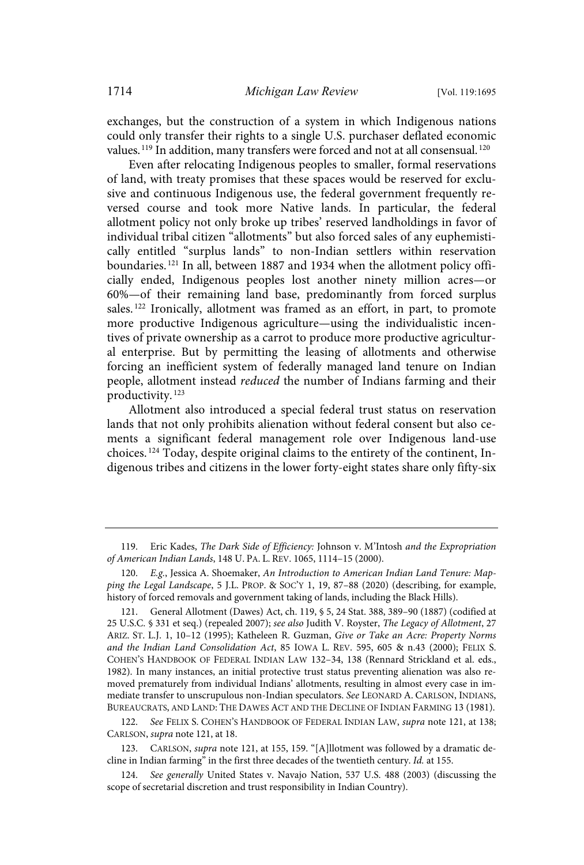exchanges, but the construction of a system in which Indigenous nations could only transfer their rights to a single U.S. purchaser deflated economic values.  $^{119}$  In addition, many transfers were forced and not at all consensual.  $^{120}$ 

Even after relocating Indigenous peoples to smaller, formal reservations of land, with treaty promises that these spaces would be reserved for exclusive and continuous Indigenous use, the federal government frequently reversed course and took more Native lands. In particular, the federal allotment policy not only broke up tribes' reserved landholdings in favor of individual tribal citizen "allotments" but also forced sales of any euphemistically entitled "surplus lands" to non-Indian settlers within reservation boundaries.<sup>121</sup> In all, between 1887 and 1934 when the allotment policy officially ended, Indigenous peoples lost another ninety million acres—or 60%—of their remaining land base, predominantly from forced surplus sales.<sup>122</sup> Ironically, allotment was framed as an effort, in part, to promote more productive Indigenous agriculture—using the individualistic incentives of private ownership as a carrot to produce more productive agricultural enterprise. But by permitting the leasing of allotments and otherwise forcing an inefficient system of federally managed land tenure on Indian people, allotment instead reduced the number of Indians farming and their productivity. 123

Allotment also introduced a special federal trust status on reservation lands that not only prohibits alienation without federal consent but also cements a significant federal management role over Indigenous land-use choices. <sup>124</sup> Today, despite original claims to the entirety of the continent, Indigenous tribes and citizens in the lower forty-eight states share only fifty-six

<sup>119.</sup> Eric Kades, The Dark Side of Efficiency: Johnson v. M'Intosh and the Expropriation of American Indian Lands, 148 U. PA. L. REV. 1065, 1114–15 (2000).

<sup>120.</sup> E.g., Jessica A. Shoemaker, An Introduction to American Indian Land Tenure: Mapping the Legal Landscape, 5 J.L. PROP. & SOC'Y 1, 19, 87–88 (2020) (describing, for example, history of forced removals and government taking of lands, including the Black Hills).

<sup>121.</sup> General Allotment (Dawes) Act, ch. 119, § 5, 24 Stat. 388, 389–90 (1887) (codified at 25 U.S.C. § 331 et seq.) (repealed 2007); see also Judith V. Royster, The Legacy of Allotment, 27 ARIZ. ST. L.J. 1, 10–12 (1995); Katheleen R. Guzman, Give or Take an Acre: Property Norms and the Indian Land Consolidation Act, 85 IOWA L. REV. 595, 605 & n.43 (2000); FELIX S. COHEN'S HANDBOOK OF FEDERAL INDIAN LAW 132–34, 138 (Rennard Strickland et al. eds., 1982). In many instances, an initial protective trust status preventing alienation was also removed prematurely from individual Indians' allotments, resulting in almost every case in immediate transfer to unscrupulous non-Indian speculators. See LEONARD A. CARLSON, INDIANS, BUREAUCRATS, AND LAND: THE DAWES ACT AND THE DECLINE OF INDIAN FARMING 13 (1981).

<sup>122.</sup> See FELIX S. COHEN'S HANDBOOK OF FEDERAL INDIAN LAW, supra note 121, at 138; CARLSON, supra note 121, at 18.

<sup>123.</sup> CARLSON, supra note 121, at 155, 159. "[A]llotment was followed by a dramatic decline in Indian farming" in the first three decades of the twentieth century. Id. at 155.

See generally United States v. Navajo Nation, 537 U.S. 488 (2003) (discussing the scope of secretarial discretion and trust responsibility in Indian Country).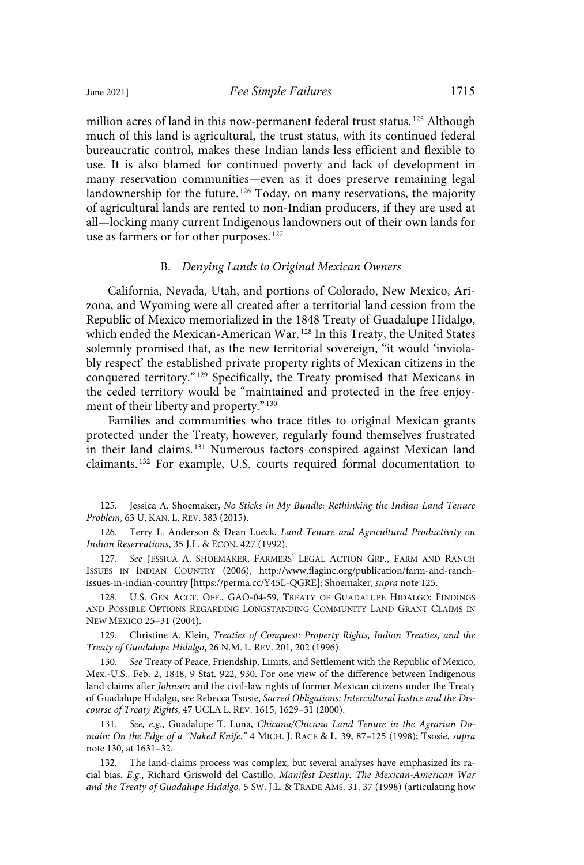million acres of land in this now-permanent federal trust status. <sup>125</sup> Although much of this land is agricultural, the trust status, with its continued federal bureaucratic control, makes these Indian lands less efficient and flexible to use. It is also blamed for continued poverty and lack of development in many reservation communities—even as it does preserve remaining legal landownership for the future.<sup>126</sup> Today, on many reservations, the majority of agricultural lands are rented to non-Indian producers, if they are used at all—locking many current Indigenous landowners out of their own lands for use as farmers or for other purposes.<sup>127</sup>

#### B. Denying Lands to Original Mexican Owners

California, Nevada, Utah, and portions of Colorado, New Mexico, Arizona, and Wyoming were all created after a territorial land cession from the Republic of Mexico memorialized in the 1848 Treaty of Guadalupe Hidalgo, which ended the Mexican-American War.<sup>128</sup> In this Treaty, the United States solemnly promised that, as the new territorial sovereign, "it would 'inviolably respect' the established private property rights of Mexican citizens in the conquered territory." <sup>129</sup> Specifically, the Treaty promised that Mexicans in the ceded territory would be "maintained and protected in the free enjoyment of their liberty and property." 130

Families and communities who trace titles to original Mexican grants protected under the Treaty, however, regularly found themselves frustrated in their land claims. <sup>131</sup> Numerous factors conspired against Mexican land claimants. <sup>132</sup> For example, U.S. courts required formal documentation to

128. U.S. GEN ACCT. OFF., GAO-04-59, TREATY OF GUADALUPE HIDALGO: FINDINGS AND POSSIBLE OPTIONS REGARDING LONGSTANDING COMMUNITY LAND GRANT CLAIMS IN NEW MEXICO 25–31 (2004).

129. Christine A. Klein, Treaties of Conquest: Property Rights, Indian Treaties, and the Treaty of Guadalupe Hidalgo, 26 N.M. L. REV. 201, 202 (1996).

130. See Treaty of Peace, Friendship, Limits, and Settlement with the Republic of Mexico, Mex.-U.S., Feb. 2, 1848, 9 Stat. 922, 930. For one view of the difference between Indigenous land claims after Johnson and the civil-law rights of former Mexican citizens under the Treaty of Guadalupe Hidalgo, see Rebecca Tsosie, Sacred Obligations: Intercultural Justice and the Discourse of Treaty Rights, 47 UCLA L. REV. 1615, 1629–31 (2000).

131. See, e.g., Guadalupe T. Luna, Chicana/Chicano Land Tenure in the Agrarian Domain: On the Edge of a "Naked Knife," 4 MICH. J. RACE & L. 39, 87–125 (1998); Tsosie, supra note 130, at 1631–32.

132. The land-claims process was complex, but several analyses have emphasized its racial bias. E.g., Richard Griswold del Castillo, Manifest Destiny: The Mexican-American War and the Treaty of Guadalupe Hidalgo, 5 SW. J.L. & TRADE AMS. 31, 37 (1998) (articulating how

<sup>125.</sup> Jessica A. Shoemaker, No Sticks in My Bundle: Rethinking the Indian Land Tenure Problem, 63 U. KAN. L. REV. 383 (2015).

<sup>126.</sup> Terry L. Anderson & Dean Lueck, Land Tenure and Agricultural Productivity on Indian Reservations, 35 J.L. & ECON. 427 (1992).

<sup>127.</sup> See JESSICA A. SHOEMAKER, FARMERS' LEGAL ACTION GRP., FARM AND RANCH ISSUES IN INDIAN COUNTRY (2006), http://www.flaginc.org/publication/farm-and-ranchissues-in-indian-country [https://perma.cc/Y45L-QGRE]; Shoemaker, supra note 125.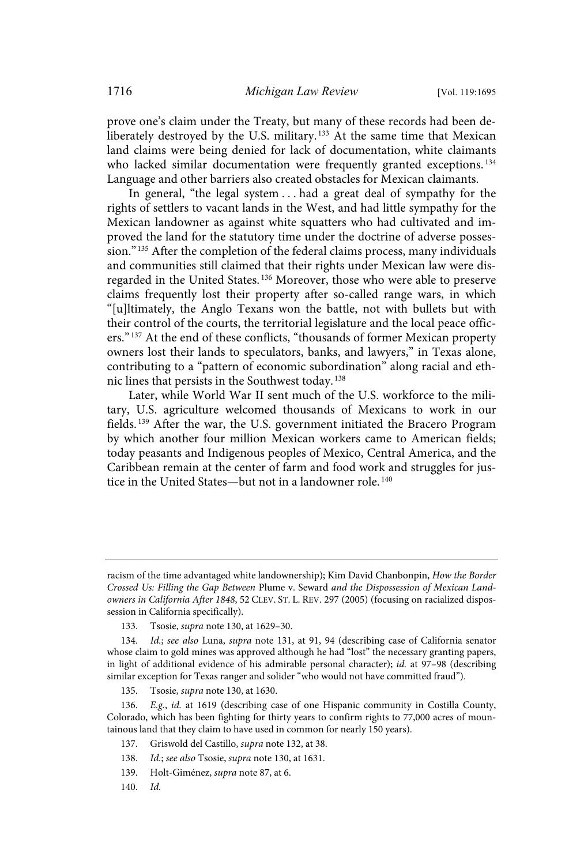prove one's claim under the Treaty, but many of these records had been deliberately destroyed by the U.S. military.<sup>133</sup> At the same time that Mexican land claims were being denied for lack of documentation, white claimants who lacked similar documentation were frequently granted exceptions.<sup>134</sup> Language and other barriers also created obstacles for Mexican claimants.

In general, "the legal system . . . had a great deal of sympathy for the rights of settlers to vacant lands in the West, and had little sympathy for the Mexican landowner as against white squatters who had cultivated and improved the land for the statutory time under the doctrine of adverse possession."<sup>135</sup> After the completion of the federal claims process, many individuals and communities still claimed that their rights under Mexican law were disregarded in the United States. <sup>136</sup> Moreover, those who were able to preserve claims frequently lost their property after so-called range wars, in which "[u]ltimately, the Anglo Texans won the battle, not with bullets but with their control of the courts, the territorial legislature and the local peace officers."<sup>137</sup> At the end of these conflicts, "thousands of former Mexican property owners lost their lands to speculators, banks, and lawyers," in Texas alone, contributing to a "pattern of economic subordination" along racial and ethnic lines that persists in the Southwest today. <sup>138</sup>

Later, while World War II sent much of the U.S. workforce to the military, U.S. agriculture welcomed thousands of Mexicans to work in our fields. <sup>139</sup> After the war, the U.S. government initiated the Bracero Program by which another four million Mexican workers came to American fields; today peasants and Indigenous peoples of Mexico, Central America, and the Caribbean remain at the center of farm and food work and struggles for justice in the United States—but not in a landowner role.<sup>140</sup>

- 139. Holt-Giménez, supra note 87, at 6.
- 140. Id.

racism of the time advantaged white landownership); Kim David Chanbonpin, How the Border Crossed Us: Filling the Gap Between Plume v. Seward and the Dispossession of Mexican Landowners in California After 1848, 52 CLEV. ST. L. REV. 297 (2005) (focusing on racialized dispossession in California specifically).

<sup>133.</sup> Tsosie, supra note 130, at 1629–30.

<sup>134.</sup> Id.; see also Luna, supra note 131, at 91, 94 (describing case of California senator whose claim to gold mines was approved although he had "lost" the necessary granting papers, in light of additional evidence of his admirable personal character); id. at 97-98 (describing similar exception for Texas ranger and solider "who would not have committed fraud").

<sup>135.</sup> Tsosie, supra note 130, at 1630.

<sup>136.</sup> E.g., id. at 1619 (describing case of one Hispanic community in Costilla County, Colorado, which has been fighting for thirty years to confirm rights to 77,000 acres of mountainous land that they claim to have used in common for nearly 150 years).

<sup>137.</sup> Griswold del Castillo, supra note 132, at 38.

<sup>138.</sup> Id.; see also Tsosie, supra note 130, at 1631.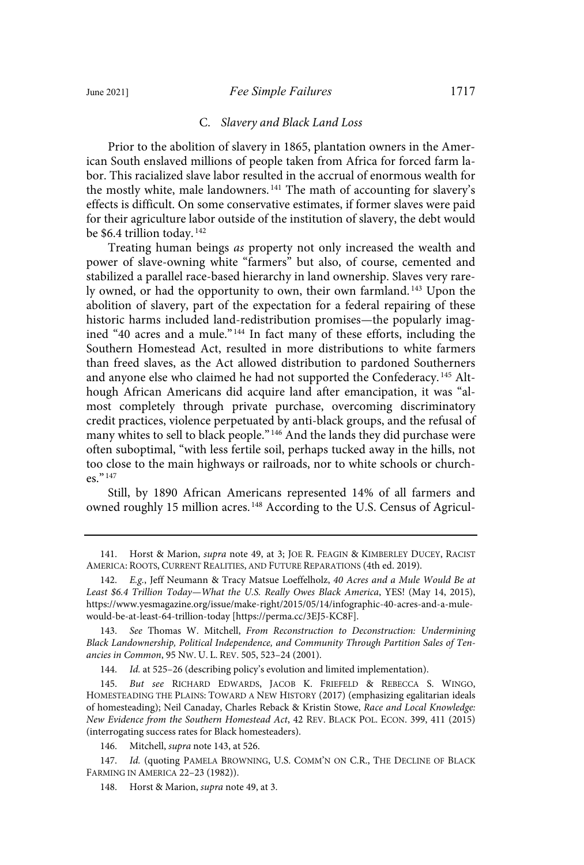#### C. Slavery and Black Land Loss

Prior to the abolition of slavery in 1865, plantation owners in the American South enslaved millions of people taken from Africa for forced farm labor. This racialized slave labor resulted in the accrual of enormous wealth for the mostly white, male landowners.<sup>141</sup> The math of accounting for slavery's effects is difficult. On some conservative estimates, if former slaves were paid for their agriculture labor outside of the institution of slavery, the debt would be \$6.4 trillion today.<sup>142</sup>

Treating human beings as property not only increased the wealth and power of slave-owning white "farmers" but also, of course, cemented and stabilized a parallel race-based hierarchy in land ownership. Slaves very rarely owned, or had the opportunity to own, their own farmland.<sup>143</sup> Upon the abolition of slavery, part of the expectation for a federal repairing of these historic harms included land-redistribution promises—the popularly imagined "40 acres and a mule."<sup>144</sup> In fact many of these efforts, including the Southern Homestead Act, resulted in more distributions to white farmers than freed slaves, as the Act allowed distribution to pardoned Southerners and anyone else who claimed he had not supported the Confederacy. <sup>145</sup> Although African Americans did acquire land after emancipation, it was "almost completely through private purchase, overcoming discriminatory credit practices, violence perpetuated by anti-black groups, and the refusal of many whites to sell to black people." <sup>146</sup> And the lands they did purchase were often suboptimal, "with less fertile soil, perhaps tucked away in the hills, not too close to the main highways or railroads, nor to white schools or churches." 147

Still, by 1890 African Americans represented 14% of all farmers and owned roughly 15 million acres.<sup>148</sup> According to the U.S. Census of Agricul-

144. Id. at 525–26 (describing policy's evolution and limited implementation).

145. But see RICHARD EDWARDS, JACOB K. FRIEFELD & REBECCA S. WINGO, HOMESTEADING THE PLAINS: TOWARD A NEW HISTORY (2017) (emphasizing egalitarian ideals of homesteading); Neil Canaday, Charles Reback & Kristin Stowe, Race and Local Knowledge: New Evidence from the Southern Homestead Act, 42 REV. BLACK POL. ECON. 399, 411 (2015) (interrogating success rates for Black homesteaders).

<sup>141.</sup> Horst & Marion, supra note 49, at 3; JOE R. FEAGIN & KIMBERLEY DUCEY, RACIST AMERICA: ROOTS, CURRENT REALITIES, AND FUTURE REPARATIONS (4th ed. 2019).

<sup>142.</sup> E.g., Jeff Neumann & Tracy Matsue Loeffelholz, 40 Acres and a Mule Would Be at Least \$6.4 Trillion Today—What the U.S. Really Owes Black America, YES! (May 14, 2015), https://www.yesmagazine.org/issue/make-right/2015/05/14/infographic-40-acres-and-a-mulewould-be-at-least-64-trillion-today [https://perma.cc/3EJ5-KC8F].

<sup>143.</sup> See Thomas W. Mitchell, From Reconstruction to Deconstruction: Undermining Black Landownership, Political Independence, and Community Through Partition Sales of Tenancies in Common, 95 NW. U. L. REV. 505, 523–24 (2001).

<sup>146.</sup> Mitchell, supra note 143, at 526.

<sup>147.</sup> Id. (quoting PAMELA BROWNING, U.S. COMM'N ON C.R., THE DECLINE OF BLACK FARMING IN AMERICA 22–23 (1982)).

<sup>148.</sup> Horst & Marion, supra note 49, at 3.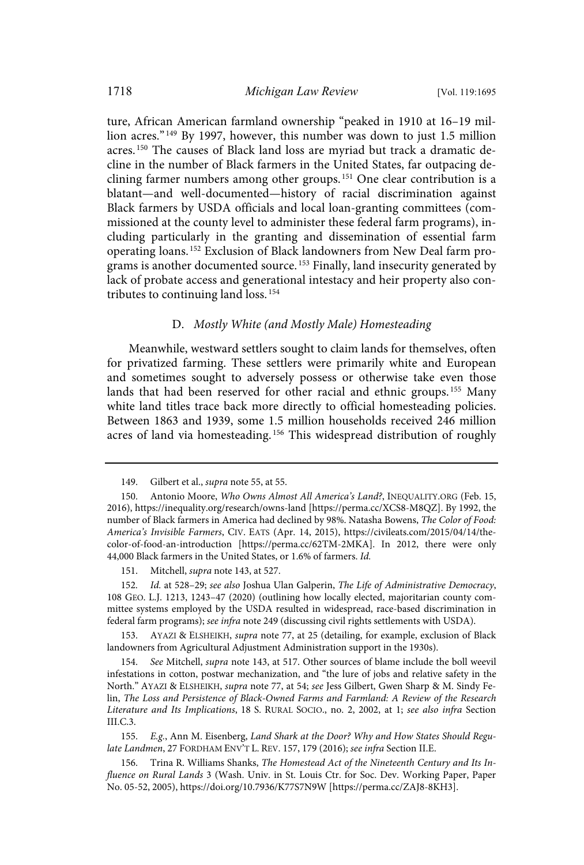ture, African American farmland ownership "peaked in 1910 at 16–19 million acres." <sup>149</sup> By 1997, however, this number was down to just 1.5 million acres.<sup>150</sup> The causes of Black land loss are myriad but track a dramatic decline in the number of Black farmers in the United States, far outpacing declining farmer numbers among other groups. <sup>151</sup> One clear contribution is a blatant—and well-documented—history of racial discrimination against Black farmers by USDA officials and local loan-granting committees (commissioned at the county level to administer these federal farm programs), including particularly in the granting and dissemination of essential farm operating loans. <sup>152</sup> Exclusion of Black landowners from New Deal farm programs is another documented source. <sup>153</sup> Finally, land insecurity generated by lack of probate access and generational intestacy and heir property also contributes to continuing land loss. 154

### D. Mostly White (and Mostly Male) Homesteading

Meanwhile, westward settlers sought to claim lands for themselves, often for privatized farming. These settlers were primarily white and European and sometimes sought to adversely possess or otherwise take even those lands that had been reserved for other racial and ethnic groups.<sup>155</sup> Many white land titles trace back more directly to official homesteading policies. Between 1863 and 1939, some 1.5 million households received 246 million acres of land via homesteading. <sup>156</sup> This widespread distribution of roughly

151. Mitchell, supra note 143, at 527.

152. Id. at 528–29; see also Joshua Ulan Galperin, The Life of Administrative Democracy, 108 GEO. L.J. 1213, 1243–47 (2020) (outlining how locally elected, majoritarian county committee systems employed by the USDA resulted in widespread, race-based discrimination in federal farm programs); see infra note 249 (discussing civil rights settlements with USDA).

153. AYAZI & ELSHEIKH, supra note 77, at 25 (detailing, for example, exclusion of Black landowners from Agricultural Adjustment Administration support in the 1930s).

154. See Mitchell, supra note 143, at 517. Other sources of blame include the boll weevil infestations in cotton, postwar mechanization, and "the lure of jobs and relative safety in the North." AYAZI & ELSHEIKH, supra note 77, at 54; see Jess Gilbert, Gwen Sharp & M. Sindy Felin, The Loss and Persistence of Black-Owned Farms and Farmland: A Review of the Research Literature and Its Implications, 18 S. RURAL SOCIO., no. 2, 2002, at 1; see also infra Section III.C.3.

155. E.g., Ann M. Eisenberg, Land Shark at the Door? Why and How States Should Regulate Landmen, 27 FORDHAM ENV'T L. REV. 157, 179 (2016); see infra Section II.E.

156. Trina R. Williams Shanks, The Homestead Act of the Nineteenth Century and Its Influence on Rural Lands 3 (Wash. Univ. in St. Louis Ctr. for Soc. Dev. Working Paper, Paper No. 05-52, 2005), https://doi.org/10.7936/K77S7N9W [https://perma.cc/ZAJ8-8KH3].

<sup>149.</sup> Gilbert et al., supra note 55, at 55.

<sup>150.</sup> Antonio Moore, Who Owns Almost All America's Land?, INEQUALITY.ORG (Feb. 15, 2016), https://inequality.org/research/owns-land [https://perma.cc/XCS8-M8QZ]. By 1992, the number of Black farmers in America had declined by 98%. Natasha Bowens, The Color of Food: America's Invisible Farmers, CIV. EATS (Apr. 14, 2015), https://civileats.com/2015/04/14/thecolor-of-food-an-introduction [https://perma.cc/62TM-2MKA]. In 2012, there were only 44,000 Black farmers in the United States, or 1.6% of farmers. Id.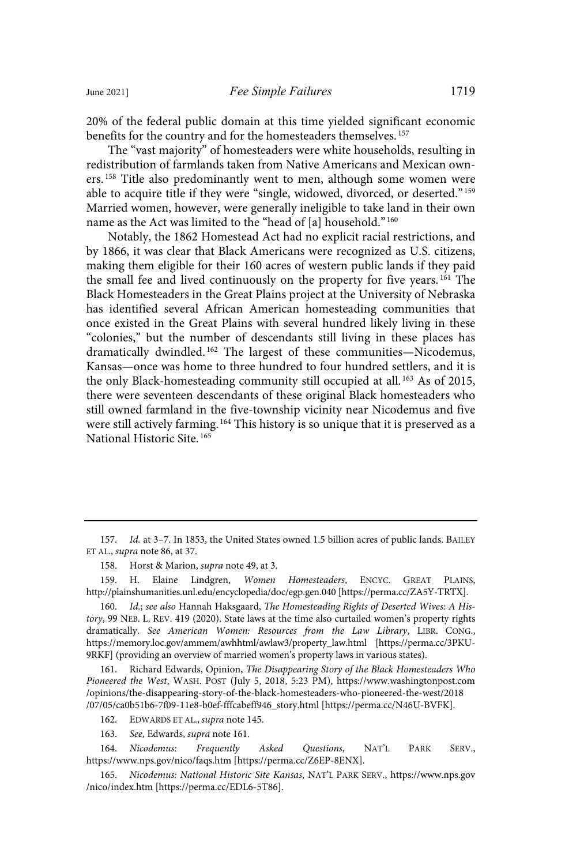20% of the federal public domain at this time yielded significant economic benefits for the country and for the homesteaders themselves. <sup>157</sup>

The "vast majority" of homesteaders were white households, resulting in redistribution of farmlands taken from Native Americans and Mexican owners. <sup>158</sup> Title also predominantly went to men, although some women were able to acquire title if they were "single, widowed, divorced, or deserted." 159 Married women, however, were generally ineligible to take land in their own name as the Act was limited to the "head of [a] household."<sup>160</sup>

Notably, the 1862 Homestead Act had no explicit racial restrictions, and by 1866, it was clear that Black Americans were recognized as U.S. citizens, making them eligible for their 160 acres of western public lands if they paid the small fee and lived continuously on the property for five years. <sup>161</sup> The Black Homesteaders in the Great Plains project at the University of Nebraska has identified several African American homesteading communities that once existed in the Great Plains with several hundred likely living in these "colonies," but the number of descendants still living in these places has dramatically dwindled. <sup>162</sup> The largest of these communities—Nicodemus, Kansas—once was home to three hundred to four hundred settlers, and it is the only Black-homesteading community still occupied at all.<sup>163</sup> As of 2015, there were seventeen descendants of these original Black homesteaders who still owned farmland in the five-township vicinity near Nicodemus and five were still actively farming. <sup>164</sup> This history is so unique that it is preserved as a National Historic Site. <sup>165</sup>

161. Richard Edwards, Opinion, The Disappearing Story of the Black Homesteaders Who Pioneered the West, WASH. POST (July 5, 2018, 5:23 PM), https://www.washingtonpost.com /opinions/the-disappearing-story-of-the-black-homesteaders-who-pioneered-the-west/2018 /07/05/ca0b51b6-7f09-11e8-b0ef-fffcabeff946\_story.html [https://perma.cc/N46U-BVFK].

162. EDWARDS ET AL., supra note 145.

<sup>157.</sup> Id. at 3–7. In 1853, the United States owned 1.5 billion acres of public lands. BAILEY ET AL., supra note 86, at 37.

<sup>158.</sup> Horst & Marion, *supra* note 49, at 3.

<sup>159.</sup> H. Elaine Lindgren, Women Homesteaders, ENCYC. GREAT PLAINS, http://plainshumanities.unl.edu/encyclopedia/doc/egp.gen.040 [https://perma.cc/ZA5Y-TRTX].

<sup>160.</sup> Id.; see also Hannah Haksgaard, The Homesteading Rights of Deserted Wives: A History, 99 NEB. L. REV. 419 (2020). State laws at the time also curtailed women's property rights dramatically. See American Women: Resources from the Law Library, LIBR. CONG., https://memory.loc.gov/ammem/awhhtml/awlaw3/property\_law.html [https://perma.cc/3PKU-9RKF] (providing an overview of married women's property laws in various states).

<sup>163.</sup> See, Edwards, supra note 161.

<sup>164.</sup> Nicodemus: Frequently Asked Questions, NAT'L PARK SERV., https://www.nps.gov/nico/faqs.htm [https://perma.cc/Z6EP-8ENX].

<sup>165.</sup> Nicodemus: National Historic Site Kansas, NAT'L PARK SERV., https://www.nps.gov /nico/index.htm [https://perma.cc/EDL6-5T86].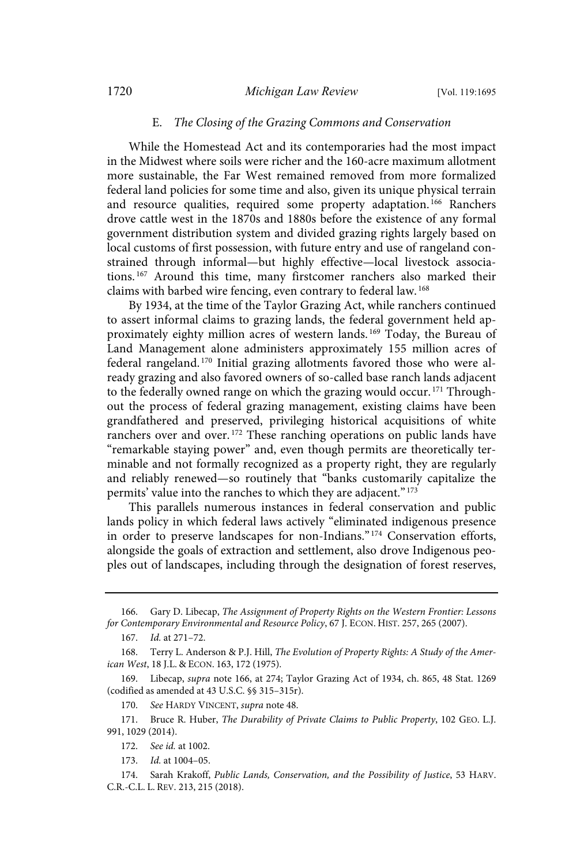#### E. The Closing of the Grazing Commons and Conservation

While the Homestead Act and its contemporaries had the most impact in the Midwest where soils were richer and the 160-acre maximum allotment more sustainable, the Far West remained removed from more formalized federal land policies for some time and also, given its unique physical terrain and resource qualities, required some property adaptation.<sup>166</sup> Ranchers drove cattle west in the 1870s and 1880s before the existence of any formal government distribution system and divided grazing rights largely based on local customs of first possession, with future entry and use of rangeland constrained through informal—but highly effective—local livestock associations. <sup>167</sup> Around this time, many firstcomer ranchers also marked their claims with barbed wire fencing, even contrary to federal law. <sup>168</sup>

By 1934, at the time of the Taylor Grazing Act, while ranchers continued to assert informal claims to grazing lands, the federal government held approximately eighty million acres of western lands.<sup>169</sup> Today, the Bureau of Land Management alone administers approximately 155 million acres of federal rangeland. <sup>170</sup> Initial grazing allotments favored those who were already grazing and also favored owners of so-called base ranch lands adjacent to the federally owned range on which the grazing would occur.<sup>171</sup> Throughout the process of federal grazing management, existing claims have been grandfathered and preserved, privileging historical acquisitions of white ranchers over and over.<sup>172</sup> These ranching operations on public lands have "remarkable staying power" and, even though permits are theoretically terminable and not formally recognized as a property right, they are regularly and reliably renewed—so routinely that "banks customarily capitalize the permits' value into the ranches to which they are adjacent."<sup>173</sup>

This parallels numerous instances in federal conservation and public lands policy in which federal laws actively "eliminated indigenous presence in order to preserve landscapes for non-Indians." <sup>174</sup> Conservation efforts, alongside the goals of extraction and settlement, also drove Indigenous peoples out of landscapes, including through the designation of forest reserves,

169. Libecap, supra note 166, at 274; Taylor Grazing Act of 1934, ch. 865, 48 Stat. 1269 (codified as amended at 43 U.S.C. §§ 315–315r).

170. See HARDY VINCENT, supra note 48.

<sup>166.</sup> Gary D. Libecap, The Assignment of Property Rights on the Western Frontier: Lessons for Contemporary Environmental and Resource Policy, 67 J. ECON. HIST. 257, 265 (2007).

<sup>167.</sup> Id. at 271–72.

<sup>168.</sup> Terry L. Anderson & P.J. Hill, The Evolution of Property Rights: A Study of the American West, 18 J.L. & ECON. 163, 172 (1975).

<sup>171.</sup> Bruce R. Huber, The Durability of Private Claims to Public Property, 102 GEO. L.J. 991, 1029 (2014).

<sup>172.</sup> See id. at 1002.

<sup>173.</sup> Id. at 1004–05.

<sup>174.</sup> Sarah Krakoff, Public Lands, Conservation, and the Possibility of Justice, 53 HARV. C.R.-C.L. L. REV. 213, 215 (2018).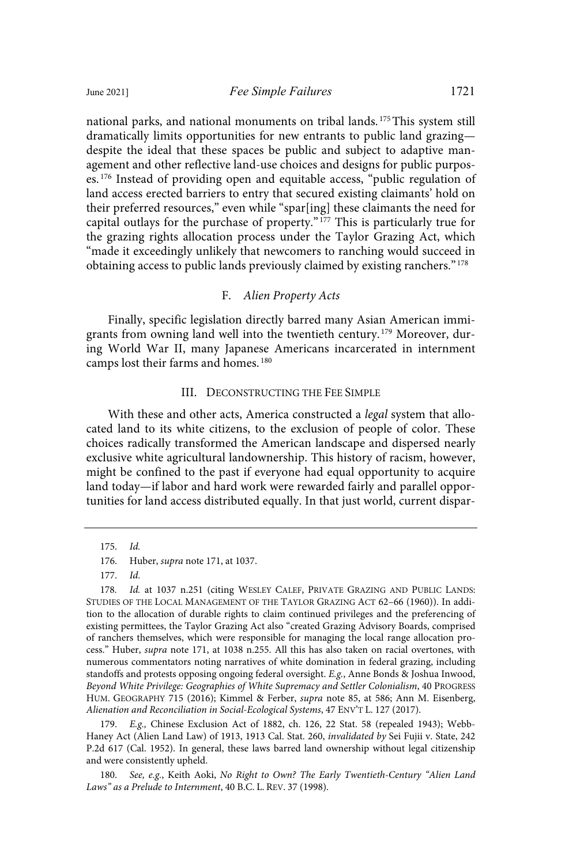national parks, and national monuments on tribal lands. <sup>175</sup>This system still dramatically limits opportunities for new entrants to public land grazing despite the ideal that these spaces be public and subject to adaptive management and other reflective land-use choices and designs for public purposes. <sup>176</sup> Instead of providing open and equitable access, "public regulation of land access erected barriers to entry that secured existing claimants' hold on their preferred resources," even while "spar[ing] these claimants the need for capital outlays for the purchase of property." <sup>177</sup> This is particularly true for the grazing rights allocation process under the Taylor Grazing Act, which "made it exceedingly unlikely that newcomers to ranching would succeed in obtaining access to public lands previously claimed by existing ranchers." 178

## F. Alien Property Acts

Finally, specific legislation directly barred many Asian American immigrants from owning land well into the twentieth century. <sup>179</sup> Moreover, during World War II, many Japanese Americans incarcerated in internment camps lost their farms and homes. <sup>180</sup>

#### III. DECONSTRUCTING THE FEE SIMPLE

With these and other acts, America constructed a *legal* system that allocated land to its white citizens, to the exclusion of people of color. These choices radically transformed the American landscape and dispersed nearly exclusive white agricultural landownership. This history of racism, however, might be confined to the past if everyone had equal opportunity to acquire land today—if labor and hard work were rewarded fairly and parallel opportunities for land access distributed equally. In that just world, current dispar-

179. E.g., Chinese Exclusion Act of 1882, ch. 126, 22 Stat. 58 (repealed 1943); Webb-Haney Act (Alien Land Law) of 1913, 1913 Cal. Stat. 260, invalidated by Sei Fujii v. State, 242 P.2d 617 (Cal. 1952). In general, these laws barred land ownership without legal citizenship and were consistently upheld.

180. See, e.g., Keith Aoki, No Right to Own? The Early Twentieth-Century "Alien Land Laws" as a Prelude to Internment, 40 B.C. L. REV. 37 (1998).

<sup>175.</sup> Id.

<sup>176.</sup> Huber, supra note 171, at 1037.

<sup>177.</sup> Id.

<sup>178.</sup> Id. at 1037 n.251 (citing WESLEY CALEF, PRIVATE GRAZING AND PUBLIC LANDS: STUDIES OF THE LOCAL MANAGEMENT OF THE TAYLOR GRAZING ACT 62–66 (1960)). In addition to the allocation of durable rights to claim continued privileges and the preferencing of existing permittees, the Taylor Grazing Act also "created Grazing Advisory Boards, comprised of ranchers themselves, which were responsible for managing the local range allocation process." Huber, supra note 171, at 1038 n.255. All this has also taken on racial overtones, with numerous commentators noting narratives of white domination in federal grazing, including standoffs and protests opposing ongoing federal oversight. E.g., Anne Bonds & Joshua Inwood, Beyond White Privilege: Geographies of White Supremacy and Settler Colonialism, 40 PROGRESS HUM. GEOGRAPHY 715 (2016); Kimmel & Ferber, supra note 85, at 586; Ann M. Eisenberg, Alienation and Reconciliation in Social-Ecological Systems, 47 ENV'T L. 127 (2017).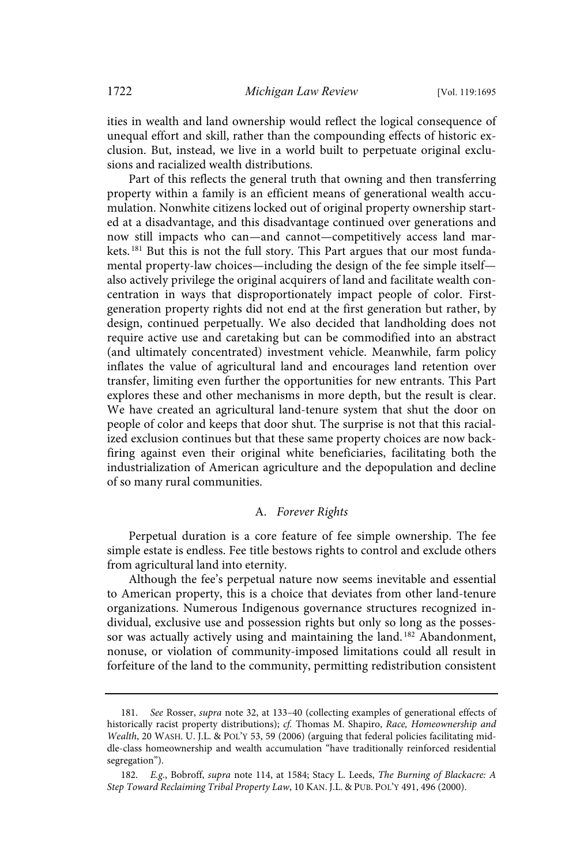ities in wealth and land ownership would reflect the logical consequence of unequal effort and skill, rather than the compounding effects of historic exclusion. But, instead, we live in a world built to perpetuate original exclusions and racialized wealth distributions.

Part of this reflects the general truth that owning and then transferring property within a family is an efficient means of generational wealth accumulation. Nonwhite citizens locked out of original property ownership started at a disadvantage, and this disadvantage continued over generations and now still impacts who can—and cannot—competitively access land markets.<sup>181</sup> But this is not the full story. This Part argues that our most fundamental property-law choices—including the design of the fee simple itself also actively privilege the original acquirers of land and facilitate wealth concentration in ways that disproportionately impact people of color. Firstgeneration property rights did not end at the first generation but rather, by design, continued perpetually. We also decided that landholding does not require active use and caretaking but can be commodified into an abstract (and ultimately concentrated) investment vehicle. Meanwhile, farm policy inflates the value of agricultural land and encourages land retention over transfer, limiting even further the opportunities for new entrants. This Part explores these and other mechanisms in more depth, but the result is clear. We have created an agricultural land-tenure system that shut the door on people of color and keeps that door shut. The surprise is not that this racialized exclusion continues but that these same property choices are now backfiring against even their original white beneficiaries, facilitating both the industrialization of American agriculture and the depopulation and decline of so many rural communities.

## A. Forever Rights

Perpetual duration is a core feature of fee simple ownership. The fee simple estate is endless. Fee title bestows rights to control and exclude others from agricultural land into eternity.

Although the fee's perpetual nature now seems inevitable and essential to American property, this is a choice that deviates from other land-tenure organizations. Numerous Indigenous governance structures recognized individual, exclusive use and possession rights but only so long as the possessor was actually actively using and maintaining the land.<sup>182</sup> Abandonment, nonuse, or violation of community-imposed limitations could all result in forfeiture of the land to the community, permitting redistribution consistent

<sup>181.</sup> See Rosser, supra note 32, at 133–40 (collecting examples of generational effects of historically racist property distributions); cf. Thomas M. Shapiro, Race, Homeownership and Wealth, 20 WASH. U. J.L. & POL'Y 53, 59 (2006) (arguing that federal policies facilitating middle-class homeownership and wealth accumulation "have traditionally reinforced residential segregation").

<sup>182.</sup> E.g., Bobroff, supra note 114, at 1584; Stacy L. Leeds, The Burning of Blackacre: A Step Toward Reclaiming Tribal Property Law, 10 KAN. J.L. & PUB. POL'Y 491, 496 (2000).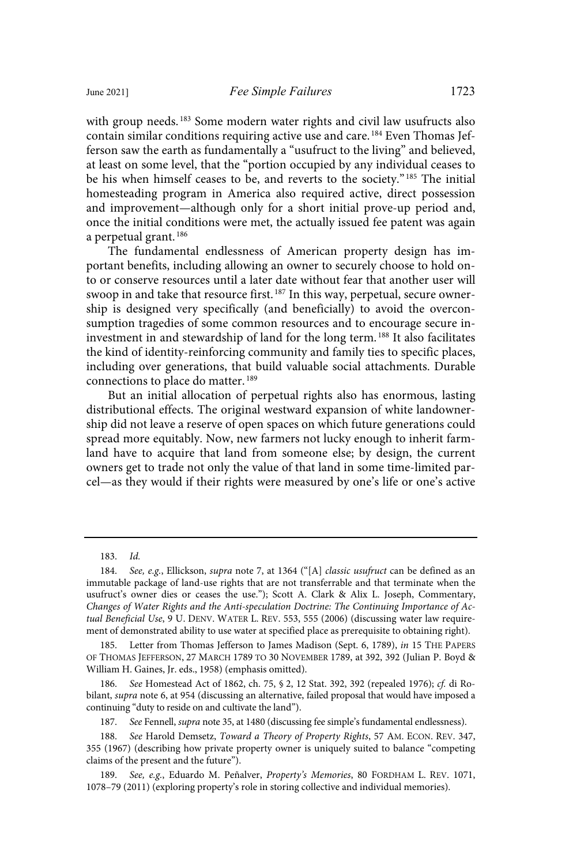with group needs. <sup>183</sup> Some modern water rights and civil law usufructs also contain similar conditions requiring active use and care. <sup>184</sup> Even Thomas Jefferson saw the earth as fundamentally a "usufruct to the living" and believed, at least on some level, that the "portion occupied by any individual ceases to be his when himself ceases to be, and reverts to the society."<sup>185</sup> The initial homesteading program in America also required active, direct possession and improvement—although only for a short initial prove-up period and, once the initial conditions were met, the actually issued fee patent was again a perpetual grant. <sup>186</sup>

The fundamental endlessness of American property design has important benefits, including allowing an owner to securely choose to hold onto or conserve resources until a later date without fear that another user will swoop in and take that resource first.<sup>187</sup> In this way, perpetual, secure ownership is designed very specifically (and beneficially) to avoid the overconsumption tragedies of some common resources and to encourage secure ininvestment in and stewardship of land for the long term. 188 It also facilitates the kind of identity-reinforcing community and family ties to specific places, including over generations, that build valuable social attachments. Durable connections to place do matter. <sup>189</sup>

But an initial allocation of perpetual rights also has enormous, lasting distributional effects. The original westward expansion of white landownership did not leave a reserve of open spaces on which future generations could spread more equitably. Now, new farmers not lucky enough to inherit farmland have to acquire that land from someone else; by design, the current owners get to trade not only the value of that land in some time-limited parcel—as they would if their rights were measured by one's life or one's active

186. See Homestead Act of 1862, ch. 75, § 2, 12 Stat. 392, 392 (repealed 1976); cf. di Robilant, supra note 6, at 954 (discussing an alternative, failed proposal that would have imposed a continuing "duty to reside on and cultivate the land").

187. See Fennell, supra note 35, at 1480 (discussing fee simple's fundamental endlessness).

<sup>183.</sup> Id.

<sup>184.</sup> See, e.g., Ellickson, supra note 7, at 1364 ("[A] classic usufruct can be defined as an immutable package of land-use rights that are not transferrable and that terminate when the usufruct's owner dies or ceases the use."); Scott A. Clark & Alix L. Joseph, Commentary, Changes of Water Rights and the Anti-speculation Doctrine: The Continuing Importance of Actual Beneficial Use, 9 U. DENV. WATER L. REV. 553, 555 (2006) (discussing water law requirement of demonstrated ability to use water at specified place as prerequisite to obtaining right).

<sup>185.</sup> Letter from Thomas Jefferson to James Madison (Sept. 6, 1789), in 15 THE PAPERS OF THOMAS JEFFERSON, 27 MARCH 1789 TO 30 NOVEMBER 1789, at 392, 392 (Julian P. Boyd & William H. Gaines, Jr. eds., 1958) (emphasis omitted).

<sup>188.</sup> See Harold Demsetz, Toward a Theory of Property Rights, 57 AM. ECON. REV. 347, 355 (1967) (describing how private property owner is uniquely suited to balance "competing claims of the present and the future").

<sup>189.</sup> See, e.g., Eduardo M. Peñalver, Property's Memories, 80 FORDHAM L. REV. 1071, 1078–79 (2011) (exploring property's role in storing collective and individual memories).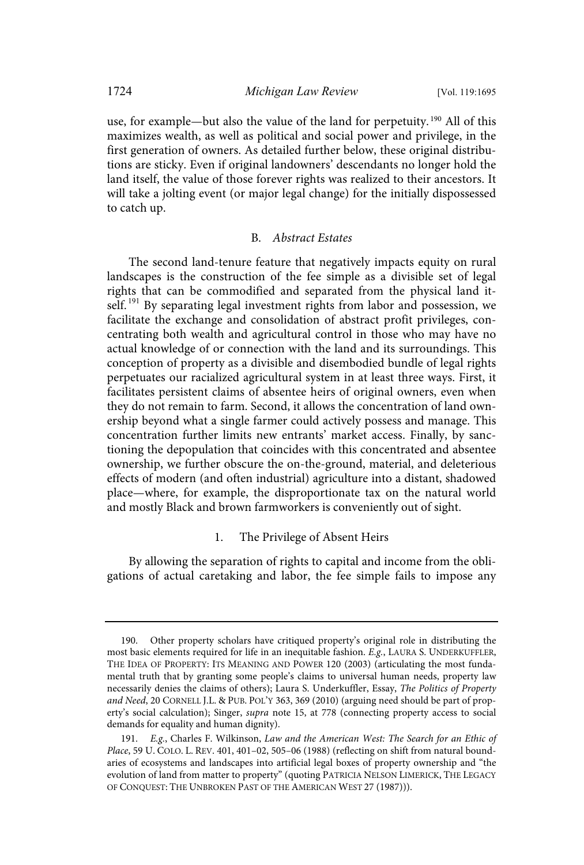use, for example—but also the value of the land for perpetuity.<sup>190</sup> All of this maximizes wealth, as well as political and social power and privilege, in the first generation of owners. As detailed further below, these original distributions are sticky. Even if original landowners' descendants no longer hold the land itself, the value of those forever rights was realized to their ancestors. It will take a jolting event (or major legal change) for the initially dispossessed to catch up.

## B. Abstract Estates

The second land-tenure feature that negatively impacts equity on rural landscapes is the construction of the fee simple as a divisible set of legal rights that can be commodified and separated from the physical land itself.<sup>191</sup> By separating legal investment rights from labor and possession, we facilitate the exchange and consolidation of abstract profit privileges, concentrating both wealth and agricultural control in those who may have no actual knowledge of or connection with the land and its surroundings. This conception of property as a divisible and disembodied bundle of legal rights perpetuates our racialized agricultural system in at least three ways. First, it facilitates persistent claims of absentee heirs of original owners, even when they do not remain to farm. Second, it allows the concentration of land ownership beyond what a single farmer could actively possess and manage. This concentration further limits new entrants' market access. Finally, by sanctioning the depopulation that coincides with this concentrated and absentee ownership, we further obscure the on-the-ground, material, and deleterious effects of modern (and often industrial) agriculture into a distant, shadowed place—where, for example, the disproportionate tax on the natural world and mostly Black and brown farmworkers is conveniently out of sight.

#### 1. The Privilege of Absent Heirs

By allowing the separation of rights to capital and income from the obligations of actual caretaking and labor, the fee simple fails to impose any

<sup>190.</sup> Other property scholars have critiqued property's original role in distributing the most basic elements required for life in an inequitable fashion. E.g., LAURA S. UNDERKUFFLER, THE IDEA OF PROPERTY: ITS MEANING AND POWER 120 (2003) (articulating the most fundamental truth that by granting some people's claims to universal human needs, property law necessarily denies the claims of others); Laura S. Underkuffler, Essay, The Politics of Property and Need, 20 CORNELL J.L. & PUB. POL'Y 363, 369 (2010) (arguing need should be part of property's social calculation); Singer, supra note 15, at 778 (connecting property access to social demands for equality and human dignity).

<sup>191.</sup> E.g., Charles F. Wilkinson, Law and the American West: The Search for an Ethic of Place, 59 U. COLO. L. REV. 401, 401–02, 505–06 (1988) (reflecting on shift from natural boundaries of ecosystems and landscapes into artificial legal boxes of property ownership and "the evolution of land from matter to property" (quoting PATRICIA NELSON LIMERICK, THE LEGACY OF CONQUEST: THE UNBROKEN PAST OF THE AMERICAN WEST 27 (1987))).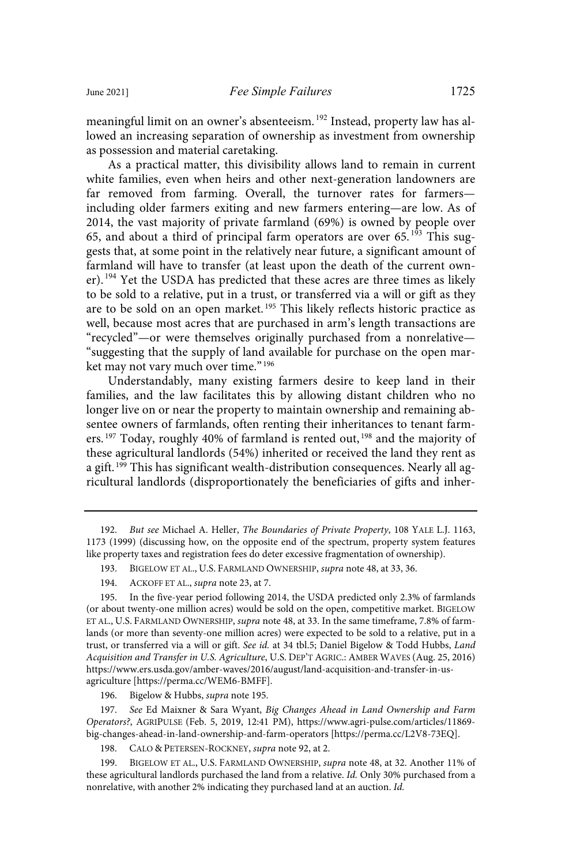As a practical matter, this divisibility allows land to remain in current white families, even when heirs and other next-generation landowners are far removed from farming. Overall, the turnover rates for farmers including older farmers exiting and new farmers entering—are low. As of 2014, the vast majority of private farmland (69%) is owned by people over 65, and about a third of principal farm operators are over  $65.^{193}$  This suggests that, at some point in the relatively near future, a significant amount of farmland will have to transfer (at least upon the death of the current owner). <sup>194</sup> Yet the USDA has predicted that these acres are three times as likely to be sold to a relative, put in a trust, or transferred via a will or gift as they are to be sold on an open market. <sup>195</sup> This likely reflects historic practice as well, because most acres that are purchased in arm's length transactions are "recycled"—or were themselves originally purchased from a nonrelative— "suggesting that the supply of land available for purchase on the open market may not vary much over time." 196

Understandably, many existing farmers desire to keep land in their families, and the law facilitates this by allowing distant children who no longer live on or near the property to maintain ownership and remaining absentee owners of farmlands, often renting their inheritances to tenant farmers.<sup>197</sup> Today, roughly 40% of farmland is rented out,<sup>198</sup> and the majority of these agricultural landlords (54%) inherited or received the land they rent as a gift.<sup>199</sup> This has significant wealth-distribution consequences. Nearly all agricultural landlords (disproportionately the beneficiaries of gifts and inher-

195. In the five-year period following 2014, the USDA predicted only 2.3% of farmlands (or about twenty-one million acres) would be sold on the open, competitive market. BIGELOW ET AL., U.S. FARMLAND OWNERSHIP, supra note 48, at 33. In the same timeframe, 7.8% of farmlands (or more than seventy-one million acres) were expected to be sold to a relative, put in a trust, or transferred via a will or gift. See id. at 34 tbl.5; Daniel Bigelow & Todd Hubbs, Land Acquisition and Transfer in U.S. Agriculture, U.S. DEP'T AGRIC.: AMBER WAVES (Aug. 25, 2016) https://www.ers.usda.gov/amber-waves/2016/august/land-acquisition-and-transfer-in-usagriculture [https://perma.cc/WEM6-BMFF].

196. Bigelow & Hubbs, supra note 195.

197. See Ed Maixner & Sara Wyant, Big Changes Ahead in Land Ownership and Farm Operators?, AGRIPULSE (Feb. 5, 2019, 12:41 PM), https://www.agri-pulse.com/articles/11869 big-changes-ahead-in-land-ownership-and-farm-operators [https://perma.cc/L2V8-73EQ].

198. CALO & PETERSEN-ROCKNEY, supra note 92, at 2.

199. BIGELOW ET AL., U.S. FARMLAND OWNERSHIP, supra note 48, at 32. Another 11% of these agricultural landlords purchased the land from a relative. Id. Only 30% purchased from a nonrelative, with another 2% indicating they purchased land at an auction. Id.

<sup>192.</sup> But see Michael A. Heller, The Boundaries of Private Property, 108 YALE L.J. 1163, 1173 (1999) (discussing how, on the opposite end of the spectrum, property system features like property taxes and registration fees do deter excessive fragmentation of ownership).

<sup>193.</sup> BIGELOW ET AL., U.S. FARMLAND OWNERSHIP, supra note 48, at 33, 36.

<sup>194.</sup> ACKOFF ET AL., supra note 23, at 7.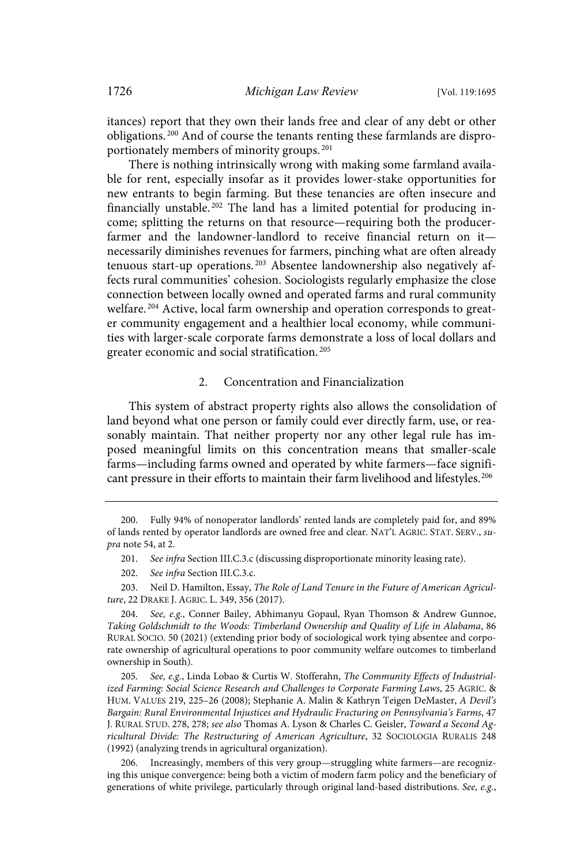itances) report that they own their lands free and clear of any debt or other obligations. <sup>200</sup> And of course the tenants renting these farmlands are disproportionately members of minority groups. 201

There is nothing intrinsically wrong with making some farmland available for rent, especially insofar as it provides lower-stake opportunities for new entrants to begin farming. But these tenancies are often insecure and financially unstable.<sup>202</sup> The land has a limited potential for producing income; splitting the returns on that resource—requiring both the producerfarmer and the landowner-landlord to receive financial return on it necessarily diminishes revenues for farmers, pinching what are often already tenuous start-up operations. <sup>203</sup> Absentee landownership also negatively affects rural communities' cohesion. Sociologists regularly emphasize the close connection between locally owned and operated farms and rural community welfare. <sup>204</sup> Active, local farm ownership and operation corresponds to greater community engagement and a healthier local economy, while communities with larger-scale corporate farms demonstrate a loss of local dollars and greater economic and social stratification. <sup>205</sup>

## 2. Concentration and Financialization

This system of abstract property rights also allows the consolidation of land beyond what one person or family could ever directly farm, use, or reasonably maintain. That neither property nor any other legal rule has imposed meaningful limits on this concentration means that smaller-scale farms—including farms owned and operated by white farmers—face significant pressure in their efforts to maintain their farm livelihood and lifestyles.<sup>206</sup>

203. Neil D. Hamilton, Essay, The Role of Land Tenure in the Future of American Agriculture, 22 DRAKE J. AGRIC. L. 349, 356 (2017).

205. See, e.g., Linda Lobao & Curtis W. Stofferahn, The Community Effects of Industrialized Farming: Social Science Research and Challenges to Corporate Farming Laws, 25 AGRIC. & HUM. VALUES 219, 225–26 (2008); Stephanie A. Malin & Kathryn Teigen DeMaster, A Devil's Bargain: Rural Environmental Injustices and Hydraulic Fracturing on Pennsylvania's Farms, 47 J. RURAL STUD. 278, 278; see also Thomas A. Lyson & Charles C. Geisler, Toward a Second Agricultural Divide: The Restructuring of American Agriculture, 32 SOCIOLOGIA RURALIS 248 (1992) (analyzing trends in agricultural organization).

206. Increasingly, members of this very group—struggling white farmers—are recognizing this unique convergence: being both a victim of modern farm policy and the beneficiary of generations of white privilege, particularly through original land-based distributions. See, e.g.,

<sup>200.</sup> Fully 94% of nonoperator landlords' rented lands are completely paid for, and 89% of lands rented by operator landlords are owned free and clear. NAT'L AGRIC. STAT. SERV., supra note 54, at 2.

<sup>201.</sup> See infra Section III.C.3.c (discussing disproportionate minority leasing rate).

<sup>202.</sup> See infra Section III.C.3.c.

<sup>204.</sup> See, e.g., Conner Bailey, Abhimanyu Gopaul, Ryan Thomson & Andrew Gunnoe, Taking Goldschmidt to the Woods: Timberland Ownership and Quality of Life in Alabama, 86 RURAL SOCIO. 50 (2021) (extending prior body of sociological work tying absentee and corporate ownership of agricultural operations to poor community welfare outcomes to timberland ownership in South).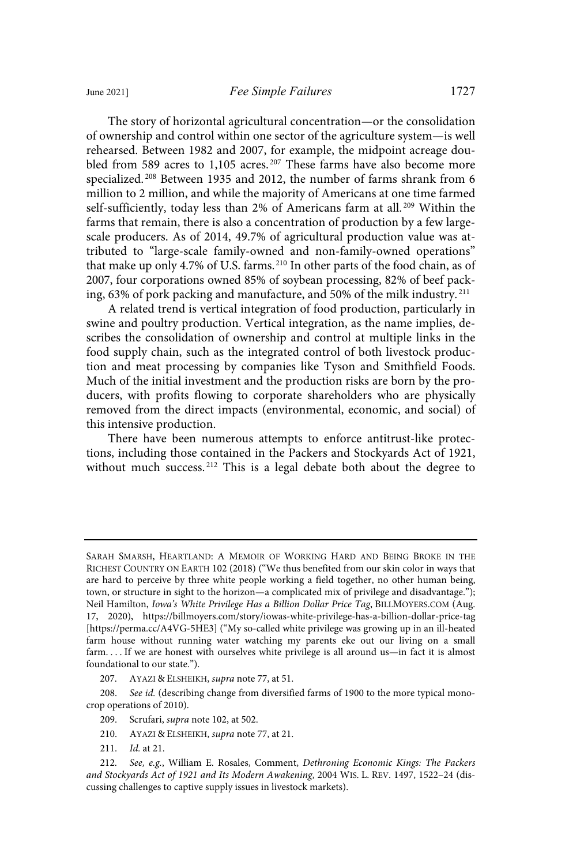The story of horizontal agricultural concentration—or the consolidation of ownership and control within one sector of the agriculture system—is well rehearsed. Between 1982 and 2007, for example, the midpoint acreage doubled from 589 acres to 1,105 acres.<sup>207</sup> These farms have also become more

specialized. <sup>208</sup> Between 1935 and 2012, the number of farms shrank from 6 million to 2 million, and while the majority of Americans at one time farmed self-sufficiently, today less than 2% of Americans farm at all.<sup>209</sup> Within the farms that remain, there is also a concentration of production by a few largescale producers. As of 2014, 49.7% of agricultural production value was attributed to "large-scale family-owned and non-family-owned operations" that make up only 4.7% of U.S. farms. <sup>210</sup> In other parts of the food chain, as of 2007, four corporations owned 85% of soybean processing, 82% of beef packing, 63% of pork packing and manufacture, and 50% of the milk industry. <sup>211</sup>

A related trend is vertical integration of food production, particularly in swine and poultry production. Vertical integration, as the name implies, describes the consolidation of ownership and control at multiple links in the food supply chain, such as the integrated control of both livestock production and meat processing by companies like Tyson and Smithfield Foods. Much of the initial investment and the production risks are born by the producers, with profits flowing to corporate shareholders who are physically removed from the direct impacts (environmental, economic, and social) of this intensive production.

There have been numerous attempts to enforce antitrust-like protections, including those contained in the Packers and Stockyards Act of 1921, without much success.<sup>212</sup> This is a legal debate both about the degree to

208. See id. (describing change from diversified farms of 1900 to the more typical monocrop operations of 2010).

209. Scrufari, supra note 102, at 502.

SARAH SMARSH, HEARTLAND: A MEMOIR OF WORKING HARD AND BEING BROKE IN THE RICHEST COUNTRY ON EARTH 102 (2018) ("We thus benefited from our skin color in ways that are hard to perceive by three white people working a field together, no other human being, town, or structure in sight to the horizon—a complicated mix of privilege and disadvantage."); Neil Hamilton, Iowa's White Privilege Has a Billion Dollar Price Tag, BILLMOYERS.COM (Aug. 17, 2020), https://billmoyers.com/story/iowas-white-privilege-has-a-billion-dollar-price-tag [https://perma.cc/A4VG-5HE3] ("My so-called white privilege was growing up in an ill-heated farm house without running water watching my parents eke out our living on a small farm. . . . If we are honest with ourselves white privilege is all around us—in fact it is almost foundational to our state.").

<sup>207.</sup> AYAZI & ELSHEIKH, supra note 77, at 51.

<sup>210.</sup> AYAZI & ELSHEIKH, supra note 77, at 21.

<sup>211.</sup> Id. at 21.

<sup>212.</sup> See, e.g., William E. Rosales, Comment, Dethroning Economic Kings: The Packers and Stockyards Act of 1921 and Its Modern Awakening, 2004 WIS. L. REV. 1497, 1522–24 (discussing challenges to captive supply issues in livestock markets).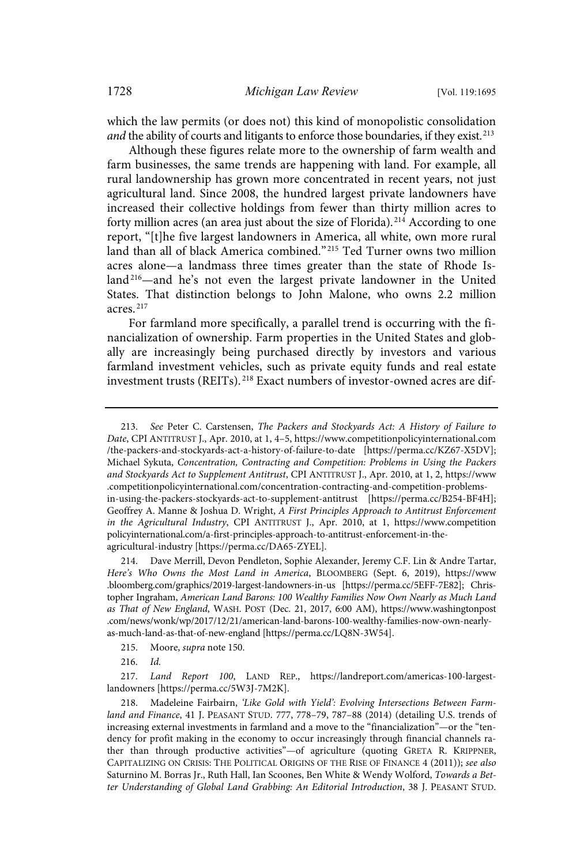which the law permits (or does not) this kind of monopolistic consolidation and the ability of courts and litigants to enforce those boundaries, if they exist.<sup>213</sup>

Although these figures relate more to the ownership of farm wealth and farm businesses, the same trends are happening with land. For example, all rural landownership has grown more concentrated in recent years, not just agricultural land. Since 2008, the hundred largest private landowners have increased their collective holdings from fewer than thirty million acres to forty million acres (an area just about the size of Florida). <sup>214</sup> According to one report, "[t]he five largest landowners in America, all white, own more rural land than all of black America combined." <sup>215</sup> Ted Turner owns two million acres alone—a landmass three times greater than the state of Rhode Island<sup>216</sup>—and he's not even the largest private landowner in the United States. That distinction belongs to John Malone, who owns 2.2 million acres $217$ 

For farmland more specifically, a parallel trend is occurring with the financialization of ownership. Farm properties in the United States and globally are increasingly being purchased directly by investors and various farmland investment vehicles, such as private equity funds and real estate investment trusts (REITs). <sup>218</sup> Exact numbers of investor-owned acres are dif-

214. Dave Merrill, Devon Pendleton, Sophie Alexander, Jeremy C.F. Lin & Andre Tartar, Here's Who Owns the Most Land in America, BLOOMBERG (Sept. 6, 2019), https://www .bloomberg.com/graphics/2019-largest-landowners-in-us [https://perma.cc/5EFF-7E82]; Christopher Ingraham, American Land Barons: 100 Wealthy Families Now Own Nearly as Much Land as That of New England, WASH. POST (Dec. 21, 2017, 6:00 AM), https://www.washingtonpost .com/news/wonk/wp/2017/12/21/american-land-barons-100-wealthy-families-now-own-nearlyas-much-land-as-that-of-new-england [https://perma.cc/LQ8N-3W54].

215. Moore, supra note 150.

216. Id.

217. Land Report 100, LAND REP., https://landreport.com/americas-100-largestlandowners [https://perma.cc/5W3J-7M2K].

218. Madeleine Fairbairn, 'Like Gold with Yield': Evolving Intersections Between Farmland and Finance, 41 J. PEASANT STUD. 777, 778–79, 787–88 (2014) (detailing U.S. trends of increasing external investments in farmland and a move to the "financialization"—or the "tendency for profit making in the economy to occur increasingly through financial channels rather than through productive activities"—of agriculture (quoting GRETA R. KRIPPNER, CAPITALIZING ON CRISIS: THE POLITICAL ORIGINS OF THE RISE OF FINANCE 4 (2011)); see also Saturnino M. Borras Jr., Ruth Hall, Ian Scoones, Ben White & Wendy Wolford, Towards a Better Understanding of Global Land Grabbing: An Editorial Introduction, 38 J. PEASANT STUD.

<sup>213.</sup> See Peter C. Carstensen, The Packers and Stockyards Act: A History of Failure to Date, CPI ANTITRUST J., Apr. 2010, at 1, 4–5, https://www.competitionpolicyinternational.com /the-packers-and-stockyards-act-a-history-of-failure-to-date [https://perma.cc/KZ67-X5DV]; Michael Sykuta, Concentration, Contracting and Competition: Problems in Using the Packers and Stockyards Act to Supplement Antitrust, CPI ANTITRUST J., Apr. 2010, at 1, 2, https://www .competitionpolicyinternational.com/concentration-contracting-and-competition-problemsin-using-the-packers-stockyards-act-to-supplement-antitrust [https://perma.cc/B254-BF4H]; Geoffrey A. Manne & Joshua D. Wright, A First Principles Approach to Antitrust Enforcement in the Agricultural Industry, CPI ANTITRUST J., Apr. 2010, at 1, https://www.competition policyinternational.com/a-first-principles-approach-to-antitrust-enforcement-in-theagricultural-industry [https://perma.cc/DA65-ZYEL].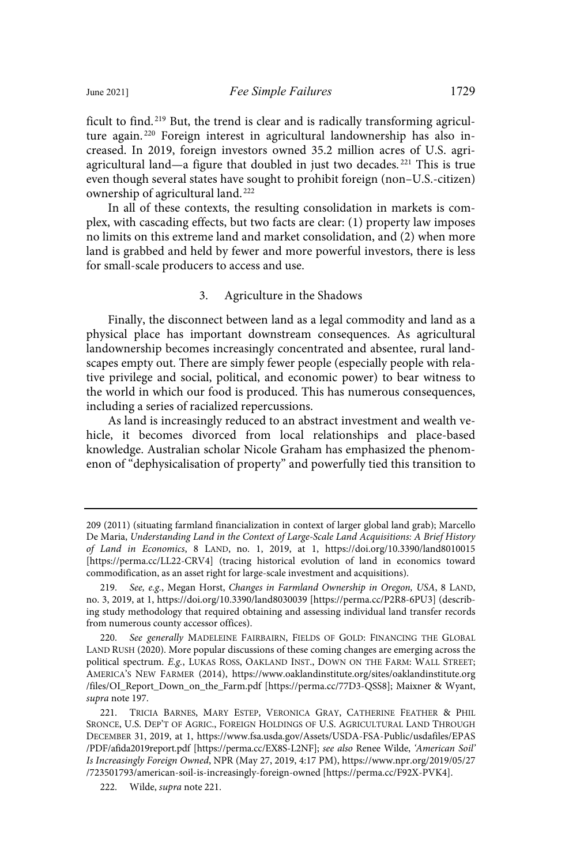ficult to find. <sup>219</sup> But, the trend is clear and is radically transforming agriculture again. <sup>220</sup> Foreign interest in agricultural landownership has also increased. In 2019, foreign investors owned 35.2 million acres of U.S. agriagricultural land—a figure that doubled in just two decades. <sup>221</sup> This is true even though several states have sought to prohibit foreign (non–U.S.-citizen) ownership of agricultural land.<sup>222</sup>

In all of these contexts, the resulting consolidation in markets is complex, with cascading effects, but two facts are clear: (1) property law imposes no limits on this extreme land and market consolidation, and (2) when more land is grabbed and held by fewer and more powerful investors, there is less for small-scale producers to access and use.

## 3. Agriculture in the Shadows

Finally, the disconnect between land as a legal commodity and land as a physical place has important downstream consequences. As agricultural landownership becomes increasingly concentrated and absentee, rural landscapes empty out. There are simply fewer people (especially people with relative privilege and social, political, and economic power) to bear witness to the world in which our food is produced. This has numerous consequences, including a series of racialized repercussions.

As land is increasingly reduced to an abstract investment and wealth vehicle, it becomes divorced from local relationships and place-based knowledge. Australian scholar Nicole Graham has emphasized the phenomenon of "dephysicalisation of property" and powerfully tied this transition to

<sup>209</sup> (2011) (situating farmland financialization in context of larger global land grab); Marcello De Maria, Understanding Land in the Context of Large-Scale Land Acquisitions: A Brief History of Land in Economics, 8 LAND, no. 1, 2019, at 1, https://doi.org/10.3390/land8010015 [https://perma.cc/LL22-CRV4] (tracing historical evolution of land in economics toward commodification, as an asset right for large-scale investment and acquisitions).

<sup>219.</sup> See, e.g., Megan Horst, Changes in Farmland Ownership in Oregon, USA, 8 LAND, no. 3, 2019, at 1, https://doi.org/10.3390/land8030039 [https://perma.cc/P2R8-6PU3] (describing study methodology that required obtaining and assessing individual land transfer records from numerous county accessor offices).

<sup>220.</sup> See generally MADELEINE FAIRBAIRN, FIELDS OF GOLD: FINANCING THE GLOBAL LAND RUSH (2020). More popular discussions of these coming changes are emerging across the political spectrum. E.g., LUKAS ROSS, OAKLAND INST., DOWN ON THE FARM: WALL STREET; AMERICA'S NEW FARMER (2014), https://www.oaklandinstitute.org/sites/oaklandinstitute.org /files/OI\_Report\_Down\_on\_the\_Farm.pdf [https://perma.cc/77D3-QSS8]; Maixner & Wyant, supra note 197.

<sup>221.</sup> TRICIA BARNES, MARY ESTEP, VERONICA GRAY, CATHERINE FEATHER & PHIL SRONCE, U.S. DEP'T OF AGRIC., FOREIGN HOLDINGS OF U.S. AGRICULTURAL LAND THROUGH DECEMBER 31, 2019, at 1, https://www.fsa.usda.gov/Assets/USDA-FSA-Public/usdafiles/EPAS /PDF/afida2019report.pdf [https://perma.cc/EX8S-L2NF]; see also Renee Wilde, 'American Soil' Is Increasingly Foreign Owned, NPR (May 27, 2019, 4:17 PM), https://www.npr.org/2019/05/27 /723501793/american-soil-is-increasingly-foreign-owned [https://perma.cc/F92X-PVK4].

<sup>222.</sup> Wilde, supra note 221.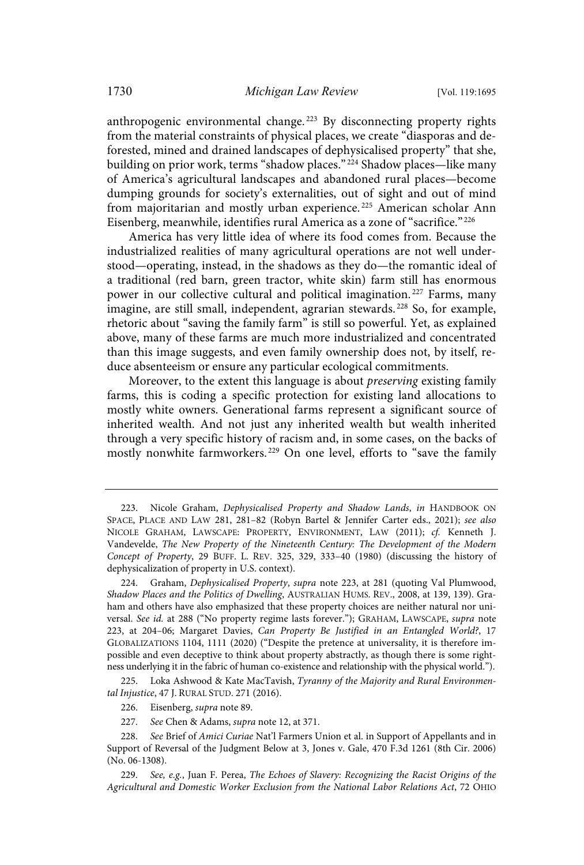anthropogenic environmental change.<sup>223</sup> By disconnecting property rights from the material constraints of physical places, we create "diasporas and deforested, mined and drained landscapes of dephysicalised property" that she, building on prior work, terms "shadow places." <sup>224</sup> Shadow places—like many of America's agricultural landscapes and abandoned rural places—become dumping grounds for society's externalities, out of sight and out of mind from majoritarian and mostly urban experience.<sup>225</sup> American scholar Ann Eisenberg, meanwhile, identifies rural America as a zone of "sacrifice." <sup>226</sup>

America has very little idea of where its food comes from. Because the industrialized realities of many agricultural operations are not well understood—operating, instead, in the shadows as they do—the romantic ideal of a traditional (red barn, green tractor, white skin) farm still has enormous power in our collective cultural and political imagination.<sup>227</sup> Farms, many imagine, are still small, independent, agrarian stewards.<sup>228</sup> So, for example, rhetoric about "saving the family farm" is still so powerful. Yet, as explained above, many of these farms are much more industrialized and concentrated than this image suggests, and even family ownership does not, by itself, reduce absenteeism or ensure any particular ecological commitments.

Moreover, to the extent this language is about *preserving* existing family farms, this is coding a specific protection for existing land allocations to mostly white owners. Generational farms represent a significant source of inherited wealth. And not just any inherited wealth but wealth inherited through a very specific history of racism and, in some cases, on the backs of mostly nonwhite farmworkers.<sup>229</sup> On one level, efforts to "save the family

225. Loka Ashwood & Kate MacTavish, Tyranny of the Majority and Rural Environmental Injustice, 47 J. RURAL STUD. 271 (2016).

226. Eisenberg, supra note 89.

227. See Chen & Adams, supra note 12, at 371.

<sup>223.</sup> Nicole Graham, Dephysicalised Property and Shadow Lands, in HANDBOOK ON SPACE, PLACE AND LAW 281, 281–82 (Robyn Bartel & Jennifer Carter eds., 2021); see also NICOLE GRAHAM, LAWSCAPE: PROPERTY, ENVIRONMENT, LAW (2011); cf. Kenneth J. Vandevelde, The New Property of the Nineteenth Century: The Development of the Modern Concept of Property, 29 BUFF. L. REV. 325, 329, 333–40 (1980) (discussing the history of dephysicalization of property in U.S. context).

<sup>224.</sup> Graham, Dephysicalised Property, supra note 223, at 281 (quoting Val Plumwood, Shadow Places and the Politics of Dwelling, AUSTRALIAN HUMS. REV., 2008, at 139, 139). Graham and others have also emphasized that these property choices are neither natural nor universal. See id. at 288 ("No property regime lasts forever."); GRAHAM, LAWSCAPE, supra note 223, at 204–06; Margaret Davies, Can Property Be Justified in an Entangled World?, 17 GLOBALIZATIONS 1104, 1111 (2020) ("Despite the pretence at universality, it is therefore impossible and even deceptive to think about property abstractly, as though there is some rightness underlying it in the fabric of human co-existence and relationship with the physical world.").

<sup>228.</sup> See Brief of Amici Curiae Nat'l Farmers Union et al. in Support of Appellants and in Support of Reversal of the Judgment Below at 3, Jones v. Gale, 470 F.3d 1261 (8th Cir. 2006) (No. 06-1308).

<sup>229.</sup> See, e.g., Juan F. Perea, The Echoes of Slavery: Recognizing the Racist Origins of the Agricultural and Domestic Worker Exclusion from the National Labor Relations Act, 72 OHIO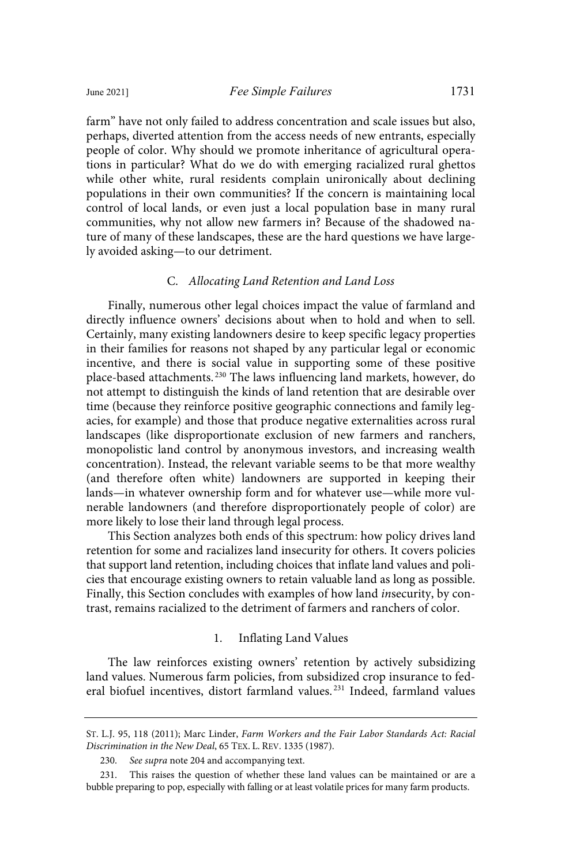farm" have not only failed to address concentration and scale issues but also, perhaps, diverted attention from the access needs of new entrants, especially people of color. Why should we promote inheritance of agricultural operations in particular? What do we do with emerging racialized rural ghettos while other white, rural residents complain unironically about declining populations in their own communities? If the concern is maintaining local control of local lands, or even just a local population base in many rural communities, why not allow new farmers in? Because of the shadowed nature of many of these landscapes, these are the hard questions we have largely avoided asking—to our detriment.

#### C. Allocating Land Retention and Land Loss

Finally, numerous other legal choices impact the value of farmland and directly influence owners' decisions about when to hold and when to sell. Certainly, many existing landowners desire to keep specific legacy properties in their families for reasons not shaped by any particular legal or economic incentive, and there is social value in supporting some of these positive place-based attachments. <sup>230</sup> The laws influencing land markets, however, do not attempt to distinguish the kinds of land retention that are desirable over time (because they reinforce positive geographic connections and family legacies, for example) and those that produce negative externalities across rural landscapes (like disproportionate exclusion of new farmers and ranchers, monopolistic land control by anonymous investors, and increasing wealth concentration). Instead, the relevant variable seems to be that more wealthy (and therefore often white) landowners are supported in keeping their lands—in whatever ownership form and for whatever use—while more vulnerable landowners (and therefore disproportionately people of color) are more likely to lose their land through legal process.

This Section analyzes both ends of this spectrum: how policy drives land retention for some and racializes land insecurity for others. It covers policies that support land retention, including choices that inflate land values and policies that encourage existing owners to retain valuable land as long as possible. Finally, this Section concludes with examples of how land insecurity, by contrast, remains racialized to the detriment of farmers and ranchers of color.

### 1. Inflating Land Values

The law reinforces existing owners' retention by actively subsidizing land values. Numerous farm policies, from subsidized crop insurance to federal biofuel incentives, distort farmland values. <sup>231</sup> Indeed, farmland values

ST. L.J. 95, 118 (2011); Marc Linder, Farm Workers and the Fair Labor Standards Act: Racial Discrimination in the New Deal, 65 TEX. L. REV. 1335 (1987).

<sup>230.</sup> See supra note 204 and accompanying text.

<sup>231.</sup> This raises the question of whether these land values can be maintained or are a bubble preparing to pop, especially with falling or at least volatile prices for many farm products.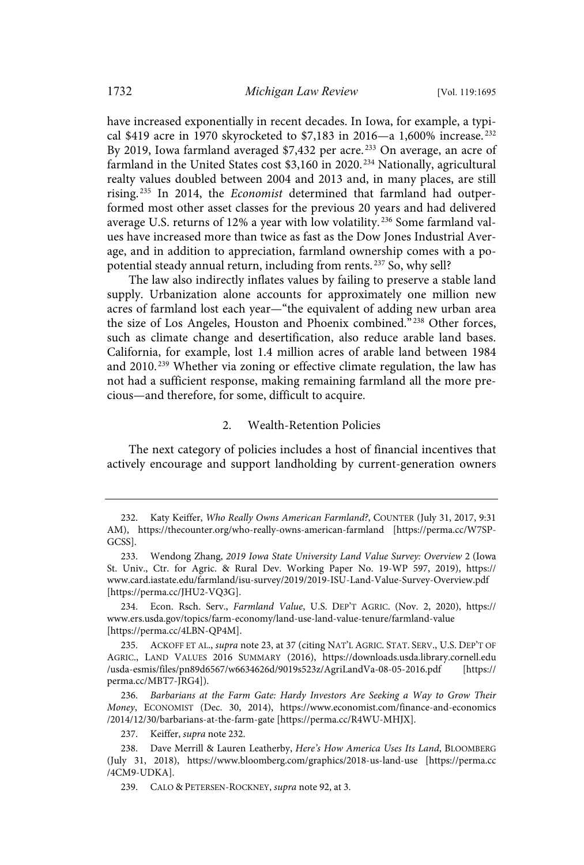have increased exponentially in recent decades. In Iowa, for example, a typical \$419 acre in 1970 skyrocketed to \$7,183 in 2016—a 1,600% increase.<sup>232</sup> By 2019, Iowa farmland averaged \$7,432 per acre.<sup>233</sup> On average, an acre of farmland in the United States cost \$3,160 in 2020.<sup>234</sup> Nationally, agricultural realty values doubled between 2004 and 2013 and, in many places, are still rising.<sup>235</sup> In 2014, the *Economist* determined that farmland had outperformed most other asset classes for the previous 20 years and had delivered average U.S. returns of 12% a year with low volatility.<sup>236</sup> Some farmland values have increased more than twice as fast as the Dow Jones Industrial Average, and in addition to appreciation, farmland ownership comes with a popotential steady annual return, including from rents.<sup>237</sup> So, why sell?

The law also indirectly inflates values by failing to preserve a stable land supply. Urbanization alone accounts for approximately one million new acres of farmland lost each year—"the equivalent of adding new urban area the size of Los Angeles, Houston and Phoenix combined."<sup>238</sup> Other forces, such as climate change and desertification, also reduce arable land bases. California, for example, lost 1.4 million acres of arable land between 1984 and 2010.<sup>239</sup> Whether via zoning or effective climate regulation, the law has not had a sufficient response, making remaining farmland all the more precious—and therefore, for some, difficult to acquire.

## 2. Wealth-Retention Policies

The next category of policies includes a host of financial incentives that actively encourage and support landholding by current-generation owners

237. Keiffer, supra note 232.

<sup>232.</sup> Katy Keiffer, Who Really Owns American Farmland?, COUNTER (July 31, 2017, 9:31 AM), https://thecounter.org/who-really-owns-american-farmland [https://perma.cc/W7SP-GCSS].

<sup>233.</sup> Wendong Zhang, 2019 Iowa State University Land Value Survey: Overview 2 (Iowa St. Univ., Ctr. for Agric. & Rural Dev. Working Paper No. 19-WP 597, 2019), https:// www.card.iastate.edu/farmland/isu-survey/2019/2019-ISU-Land-Value-Survey-Overview.pdf [https://perma.cc/JHU2-VQ3G].

<sup>234.</sup> Econ. Rsch. Serv., Farmland Value, U.S. DEP'T AGRIC. (Nov. 2, 2020), https:// www.ers.usda.gov/topics/farm-economy/land-use-land-value-tenure/farmland-value [https://perma.cc/4LBN-QP4M].

<sup>235.</sup> ACKOFF ET AL., supra note 23, at 37 (citing NAT'L AGRIC. STAT. SERV., U.S. DEP'T OF AGRIC., LAND VALUES 2016 SUMMARY (2016), https://downloads.usda.library.cornell.edu /usda-esmis/files/pn89d6567/w6634626d/9019s523z/AgriLandVa-08-05-2016.pdf [https:// perma.cc/MBT7-JRG4]).

<sup>236.</sup> Barbarians at the Farm Gate: Hardy Investors Are Seeking a Way to Grow Their Money, ECONOMIST (Dec. 30, 2014), https://www.economist.com/finance-and-economics /2014/12/30/barbarians-at-the-farm-gate [https://perma.cc/R4WU-MHJX].

<sup>238.</sup> Dave Merrill & Lauren Leatherby, Here's How America Uses Its Land, BLOOMBERG (July 31, 2018), https://www.bloomberg.com/graphics/2018-us-land-use [https://perma.cc /4CM9-UDKA].

<sup>239.</sup> CALO & PETERSEN-ROCKNEY, supra note 92, at 3.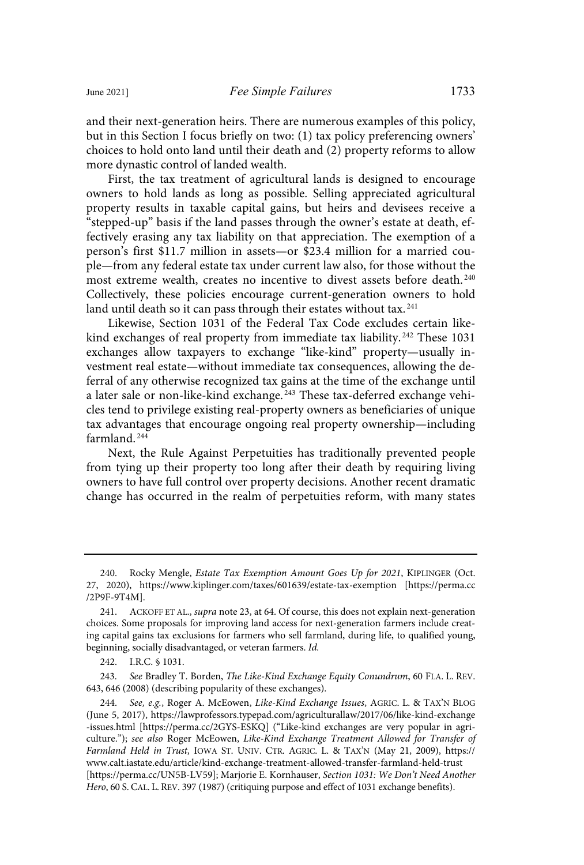and their next-generation heirs. There are numerous examples of this policy, but in this Section I focus briefly on two: (1) tax policy preferencing owners' choices to hold onto land until their death and (2) property reforms to allow more dynastic control of landed wealth.

First, the tax treatment of agricultural lands is designed to encourage owners to hold lands as long as possible. Selling appreciated agricultural property results in taxable capital gains, but heirs and devisees receive a "stepped-up" basis if the land passes through the owner's estate at death, effectively erasing any tax liability on that appreciation. The exemption of a person's first \$11.7 million in assets—or \$23.4 million for a married couple—from any federal estate tax under current law also, for those without the most extreme wealth, creates no incentive to divest assets before death. <sup>240</sup> Collectively, these policies encourage current-generation owners to hold land until death so it can pass through their estates without tax.<sup>241</sup>

Likewise, Section 1031 of the Federal Tax Code excludes certain likekind exchanges of real property from immediate tax liability.<sup>242</sup> These 1031 exchanges allow taxpayers to exchange "like-kind" property—usually investment real estate—without immediate tax consequences, allowing the deferral of any otherwise recognized tax gains at the time of the exchange until a later sale or non-like-kind exchange.<sup>243</sup> These tax-deferred exchange vehicles tend to privilege existing real-property owners as beneficiaries of unique tax advantages that encourage ongoing real property ownership—including farmland. 244

Next, the Rule Against Perpetuities has traditionally prevented people from tying up their property too long after their death by requiring living owners to have full control over property decisions. Another recent dramatic change has occurred in the realm of perpetuities reform, with many states

243. See Bradley T. Borden, The Like-Kind Exchange Equity Conundrum, 60 FLA. L. REV. 643, 646 (2008) (describing popularity of these exchanges).

<sup>240.</sup> Rocky Mengle, Estate Tax Exemption Amount Goes Up for 2021, KIPLINGER (Oct. 27, 2020), https://www.kiplinger.com/taxes/601639/estate-tax-exemption [https://perma.cc /2P9F-9T4M].

<sup>241.</sup> ACKOFF ET AL., supra note 23, at 64. Of course, this does not explain next-generation choices. Some proposals for improving land access for next-generation farmers include creating capital gains tax exclusions for farmers who sell farmland, during life, to qualified young, beginning, socially disadvantaged, or veteran farmers. Id.

<sup>242.</sup> I.R.C. § 1031.

<sup>244.</sup> See, e.g., Roger A. McEowen, Like-Kind Exchange Issues, AGRIC. L. & TAX'N BLOG (June 5, 2017), https://lawprofessors.typepad.com/agriculturallaw/2017/06/like-kind-exchange -issues.html [https://perma.cc/2GYS-ESKQ] ("Like-kind exchanges are very popular in agriculture."); see also Roger McEowen, Like-Kind Exchange Treatment Allowed for Transfer of Farmland Held in Trust, IOWA ST. UNIV. CTR. AGRIC. L. & TAX'N (May 21, 2009), https:// www.calt.iastate.edu/article/kind-exchange-treatment-allowed-transfer-farmland-held-trust [https://perma.cc/UN5B-LV59]; Marjorie E. Kornhauser, Section 1031: We Don't Need Another Hero, 60 S. CAL. L. REV. 397 (1987) (critiquing purpose and effect of 1031 exchange benefits).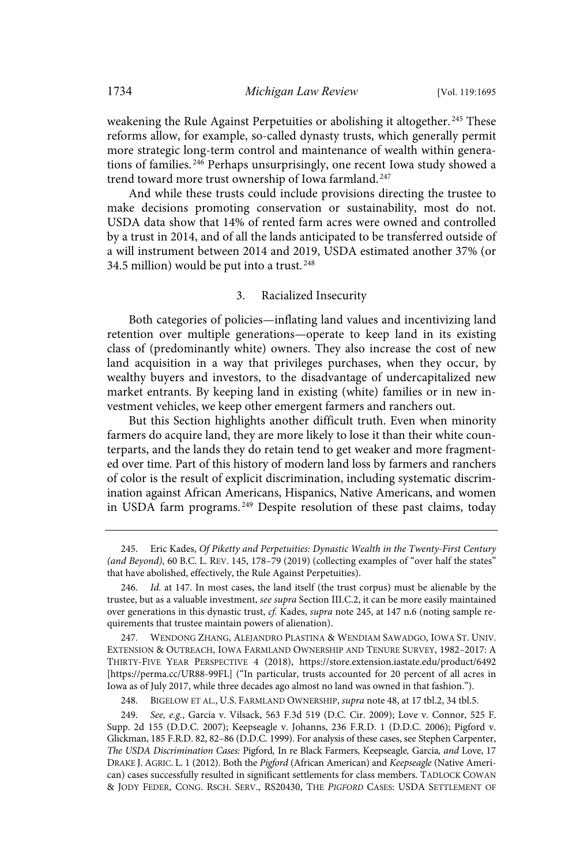weakening the Rule Against Perpetuities or abolishing it altogether. <sup>245</sup> These reforms allow, for example, so-called dynasty trusts, which generally permit more strategic long-term control and maintenance of wealth within generations of families.<sup>246</sup> Perhaps unsurprisingly, one recent Iowa study showed a trend toward more trust ownership of Iowa farmland. 247

And while these trusts could include provisions directing the trustee to make decisions promoting conservation or sustainability, most do not. USDA data show that 14% of rented farm acres were owned and controlled by a trust in 2014, and of all the lands anticipated to be transferred outside of a will instrument between 2014 and 2019, USDA estimated another 37% (or 34.5 million) would be put into a trust.  $248$ 

## 3. Racialized Insecurity

Both categories of policies—inflating land values and incentivizing land retention over multiple generations—operate to keep land in its existing class of (predominantly white) owners. They also increase the cost of new land acquisition in a way that privileges purchases, when they occur, by wealthy buyers and investors, to the disadvantage of undercapitalized new market entrants. By keeping land in existing (white) families or in new investment vehicles, we keep other emergent farmers and ranchers out.

But this Section highlights another difficult truth. Even when minority farmers do acquire land, they are more likely to lose it than their white counterparts, and the lands they do retain tend to get weaker and more fragmented over time. Part of this history of modern land loss by farmers and ranchers of color is the result of explicit discrimination, including systematic discrimination against African Americans, Hispanics, Native Americans, and women in USDA farm programs. <sup>249</sup> Despite resolution of these past claims, today

248. BIGELOW ET AL., U.S. FARMLAND OWNERSHIP, supra note 48, at 17 tbl.2, 34 tbl.5.

<sup>245.</sup> Eric Kades, Of Piketty and Perpetuities: Dynastic Wealth in the Twenty-First Century (and Beyond), 60 B.C. L. REV. 145, 178–79 (2019) (collecting examples of "over half the states" that have abolished, effectively, the Rule Against Perpetuities).

<sup>246.</sup> Id. at 147. In most cases, the land itself (the trust corpus) must be alienable by the trustee, but as a valuable investment, see supra Section III.C.2, it can be more easily maintained over generations in this dynastic trust, cf. Kades, supra note 245, at 147 n.6 (noting sample requirements that trustee maintain powers of alienation).

<sup>247.</sup> WENDONG ZHANG, ALEJANDRO PLASTINA & WENDIAM SAWADGO, IOWA ST. UNIV. EXTENSION & OUTREACH, IOWA FARMLAND OWNERSHIP AND TENURE SURVEY, 1982–2017: A THIRTY-FIVE YEAR PERSPECTIVE 4 (2018), https://store.extension.iastate.edu/product/6492 [https://perma.cc/UR88-99FL] ("In particular, trusts accounted for 20 percent of all acres in Iowa as of July 2017, while three decades ago almost no land was owned in that fashion.").

<sup>249.</sup> See, e.g., Garcia v. Vilsack, 563 F.3d 519 (D.C. Cir. 2009); Love v. Connor, 525 F. Supp. 2d 155 (D.D.C. 2007); Keepseagle v. Johanns, 236 F.R.D. 1 (D.D.C. 2006); Pigford v. Glickman, 185 F.R.D. 82, 82–86 (D.D.C. 1999). For analysis of these cases, see Stephen Carpenter, The USDA Discrimination Cases: Pigford, In re Black Farmers, Keepseagle, Garcia, and Love, 17 DRAKE J. AGRIC. L. 1 (2012). Both the Pigford (African American) and Keepseagle (Native American) cases successfully resulted in significant settlements for class members. TADLOCK COWAN & JODY FEDER, CONG. RSCH. SERV., RS20430, THE PIGFORD CASES: USDA SETTLEMENT OF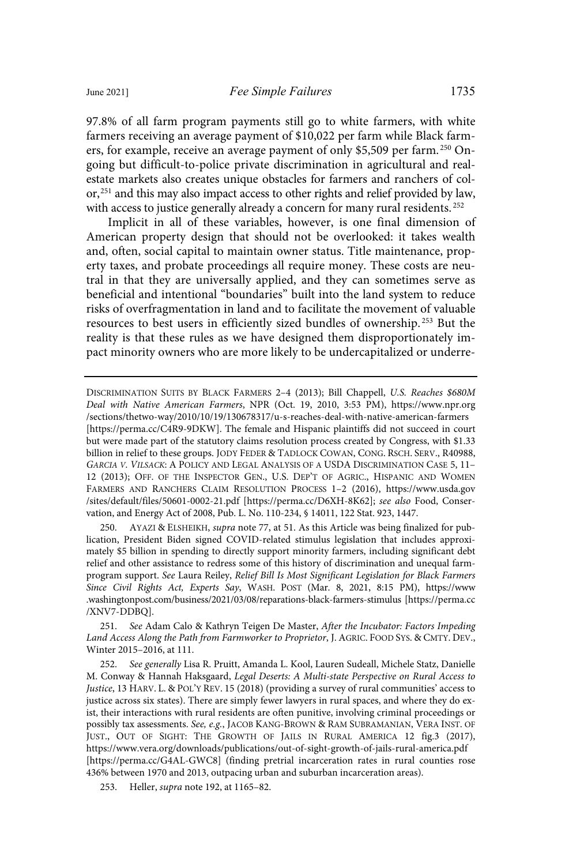97.8% of all farm program payments still go to white farmers, with white farmers receiving an average payment of \$10,022 per farm while Black farmers, for example, receive an average payment of only \$5,509 per farm.<sup>250</sup> Ongoing but difficult-to-police private discrimination in agricultural and realestate markets also creates unique obstacles for farmers and ranchers of color,<sup>251</sup> and this may also impact access to other rights and relief provided by law, with access to justice generally already a concern for many rural residents.<sup>252</sup>

Implicit in all of these variables, however, is one final dimension of American property design that should not be overlooked: it takes wealth and, often, social capital to maintain owner status. Title maintenance, property taxes, and probate proceedings all require money. These costs are neutral in that they are universally applied, and they can sometimes serve as beneficial and intentional "boundaries" built into the land system to reduce risks of overfragmentation in land and to facilitate the movement of valuable resources to best users in efficiently sized bundles of ownership. <sup>253</sup> But the reality is that these rules as we have designed them disproportionately impact minority owners who are more likely to be undercapitalized or underre-

DISCRIMINATION SUITS BY BLACK FARMERS 2–4 (2013); Bill Chappell, U.S. Reaches \$680M Deal with Native American Farmers, NPR (Oct. 19, 2010, 3:53 PM), https://www.npr.org /sections/thetwo-way/2010/10/19/130678317/u-s-reaches-deal-with-native-american-farmers [https://perma.cc/C4R9-9DKW]. The female and Hispanic plaintiffs did not succeed in court but were made part of the statutory claims resolution process created by Congress, with \$1.33 billion in relief to these groups. JODY FEDER & TADLOCK COWAN, CONG. RSCH. SERV., R40988, GARCIA V. VILSACK: A POLICY AND LEGAL ANALYSIS OF A USDA DISCRIMINATION CASE 5, 11– 12 (2013); OFF. OF THE INSPECTOR GEN., U.S. DEP'T OF AGRIC., HISPANIC AND WOMEN FARMERS AND RANCHERS CLAIM RESOLUTION PROCESS 1–2 (2016), https://www.usda.gov /sites/default/files/50601-0002-21.pdf [https://perma.cc/D6XH-8K62]; see also Food, Conservation, and Energy Act of 2008, Pub. L. No. 110-234, § 14011, 122 Stat. 923, 1447.

250. AYAZI & ELSHEIKH, supra note 77, at 51. As this Article was being finalized for publication, President Biden signed COVID-related stimulus legislation that includes approximately \$5 billion in spending to directly support minority farmers, including significant debt relief and other assistance to redress some of this history of discrimination and unequal farmprogram support. See Laura Reiley, Relief Bill Is Most Significant Legislation for Black Farmers Since Civil Rights Act, Experts Say, WASH. POST (Mar. 8, 2021, 8:15 PM), https://www .washingtonpost.com/business/2021/03/08/reparations-black-farmers-stimulus [https://perma.cc /XNV7-DDBQ].

251. See Adam Calo & Kathryn Teigen De Master, After the Incubator: Factors Impeding Land Access Along the Path from Farmworker to Proprietor, J. AGRIC. FOOD SYS. & CMTY. DEV., Winter 2015–2016, at 111.

252. See generally Lisa R. Pruitt, Amanda L. Kool, Lauren Sudeall, Michele Statz, Danielle M. Conway & Hannah Haksgaard, Legal Deserts: A Multi-state Perspective on Rural Access to Justice, 13 HARV. L. & POL'Y REV. 15 (2018) (providing a survey of rural communities' access to justice across six states). There are simply fewer lawyers in rural spaces, and where they do exist, their interactions with rural residents are often punitive, involving criminal proceedings or possibly tax assessments. See, e.g., JACOB KANG-BROWN & RAM SUBRAMANIAN, VERA INST. OF JUST., OUT OF SIGHT: THE GROWTH OF JAILS IN RURAL AMERICA 12 fig.3 (2017), https://www.vera.org/downloads/publications/out-of-sight-growth-of-jails-rural-america.pdf [https://perma.cc/G4AL-GWC8] (finding pretrial incarceration rates in rural counties rose 436% between 1970 and 2013, outpacing urban and suburban incarceration areas).

253. Heller, supra note 192, at 1165–82.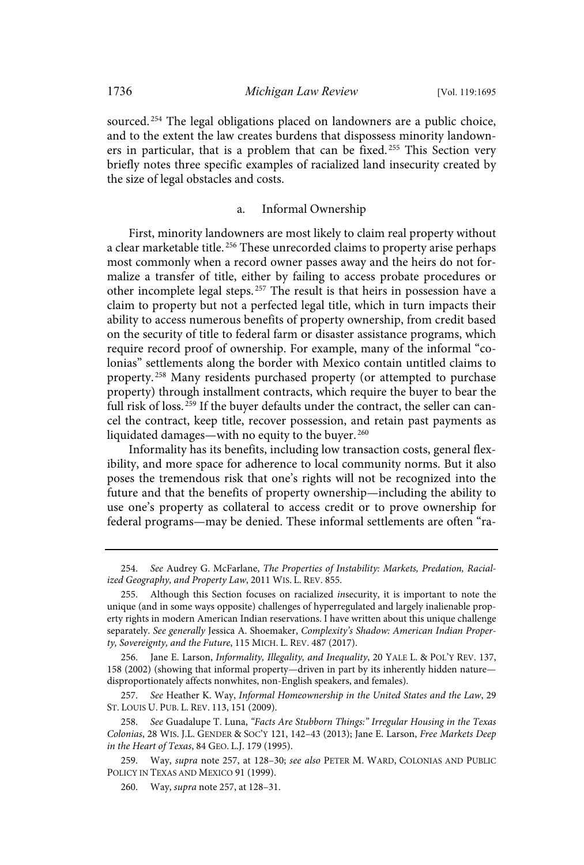sourced.<sup>254</sup> The legal obligations placed on landowners are a public choice, and to the extent the law creates burdens that dispossess minority landowners in particular, that is a problem that can be fixed.<sup>255</sup> This Section very briefly notes three specific examples of racialized land insecurity created by the size of legal obstacles and costs.

## a. Informal Ownership

First, minority landowners are most likely to claim real property without a clear marketable title. <sup>256</sup> These unrecorded claims to property arise perhaps most commonly when a record owner passes away and the heirs do not formalize a transfer of title, either by failing to access probate procedures or other incomplete legal steps. <sup>257</sup> The result is that heirs in possession have a claim to property but not a perfected legal title, which in turn impacts their ability to access numerous benefits of property ownership, from credit based on the security of title to federal farm or disaster assistance programs, which require record proof of ownership. For example, many of the informal "colonias" settlements along the border with Mexico contain untitled claims to property. <sup>258</sup> Many residents purchased property (or attempted to purchase property) through installment contracts, which require the buyer to bear the full risk of loss.<sup>259</sup> If the buyer defaults under the contract, the seller can cancel the contract, keep title, recover possession, and retain past payments as liquidated damages—with no equity to the buyer.<sup>260</sup>

Informality has its benefits, including low transaction costs, general flexibility, and more space for adherence to local community norms. But it also poses the tremendous risk that one's rights will not be recognized into the future and that the benefits of property ownership—including the ability to use one's property as collateral to access credit or to prove ownership for federal programs—may be denied. These informal settlements are often "ra-

<sup>254.</sup> See Audrey G. McFarlane, The Properties of Instability: Markets, Predation, Racialized Geography, and Property Law, 2011 WIS. L. REV. 855.

<sup>255.</sup> Although this Section focuses on racialized insecurity, it is important to note the unique (and in some ways opposite) challenges of hyperregulated and largely inalienable property rights in modern American Indian reservations. I have written about this unique challenge separately. See generally Jessica A. Shoemaker, Complexity's Shadow: American Indian Property, Sovereignty, and the Future, 115 MICH. L. REV. 487 (2017).

<sup>256.</sup> Jane E. Larson, Informality, Illegality, and Inequality, 20 YALE L. & POL'Y REV. 137, 158 (2002) (showing that informal property—driven in part by its inherently hidden nature disproportionately affects nonwhites, non-English speakers, and females).

<sup>257.</sup> See Heather K. Way, Informal Homeownership in the United States and the Law, 29 ST. LOUIS U. PUB. L. REV. 113, 151 (2009).

<sup>258.</sup> See Guadalupe T. Luna, "Facts Are Stubborn Things:" Irregular Housing in the Texas Colonias, 28 WIS. J.L. GENDER & SOC'Y 121, 142–43 (2013); Jane E. Larson, Free Markets Deep in the Heart of Texas, 84 GEO. L.J. 179 (1995).

<sup>259.</sup> Way, supra note 257, at 128–30; see also PETER M. WARD, COLONIAS AND PUBLIC POLICY IN TEXAS AND MEXICO 91 (1999).

<sup>260.</sup> Way, supra note 257, at 128–31.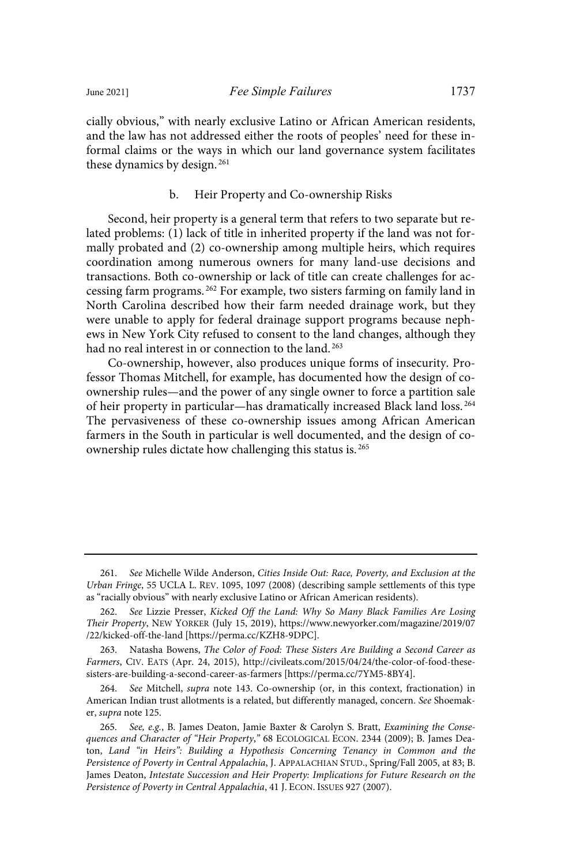cially obvious," with nearly exclusive Latino or African American residents, and the law has not addressed either the roots of peoples' need for these informal claims or the ways in which our land governance system facilitates these dynamics by design. <sup>261</sup>

## b. Heir Property and Co-ownership Risks

Second, heir property is a general term that refers to two separate but related problems: (1) lack of title in inherited property if the land was not formally probated and (2) co-ownership among multiple heirs, which requires coordination among numerous owners for many land-use decisions and transactions. Both co-ownership or lack of title can create challenges for accessing farm programs. <sup>262</sup> For example, two sisters farming on family land in North Carolina described how their farm needed drainage work, but they were unable to apply for federal drainage support programs because nephews in New York City refused to consent to the land changes, although they had no real interest in or connection to the land.<sup>263</sup>

Co-ownership, however, also produces unique forms of insecurity. Professor Thomas Mitchell, for example, has documented how the design of coownership rules—and the power of any single owner to force a partition sale of heir property in particular—has dramatically increased Black land loss. <sup>264</sup> The pervasiveness of these co-ownership issues among African American farmers in the South in particular is well documented, and the design of coownership rules dictate how challenging this status is.<sup>265</sup>

<sup>261.</sup> See Michelle Wilde Anderson, Cities Inside Out: Race, Poverty, and Exclusion at the Urban Fringe, 55 UCLA L. REV. 1095, 1097 (2008) (describing sample settlements of this type as "racially obvious" with nearly exclusive Latino or African American residents).

<sup>262.</sup> See Lizzie Presser, Kicked Off the Land: Why So Many Black Families Are Losing Their Property, NEW YORKER (July 15, 2019), https://www.newyorker.com/magazine/2019/07 /22/kicked-off-the-land [https://perma.cc/KZH8-9DPC].

<sup>263.</sup> Natasha Bowens, The Color of Food: These Sisters Are Building a Second Career as Farmers, CIV. EATS (Apr. 24, 2015), http://civileats.com/2015/04/24/the-color-of-food-thesesisters-are-building-a-second-career-as-farmers [https://perma.cc/7YM5-8BY4].

<sup>264.</sup> See Mitchell, supra note 143. Co-ownership (or, in this context, fractionation) in American Indian trust allotments is a related, but differently managed, concern. See Shoemaker, supra note 125.

<sup>265.</sup> See, e.g., B. James Deaton, Jamie Baxter & Carolyn S. Bratt, Examining the Consequences and Character of "Heir Property," 68 ECOLOGICAL ECON. 2344 (2009); B. James Deaton, Land "in Heirs": Building a Hypothesis Concerning Tenancy in Common and the Persistence of Poverty in Central Appalachia, J. APPALACHIAN STUD., Spring/Fall 2005, at 83; B. James Deaton, Intestate Succession and Heir Property: Implications for Future Research on the Persistence of Poverty in Central Appalachia, 41 J. ECON. ISSUES 927 (2007).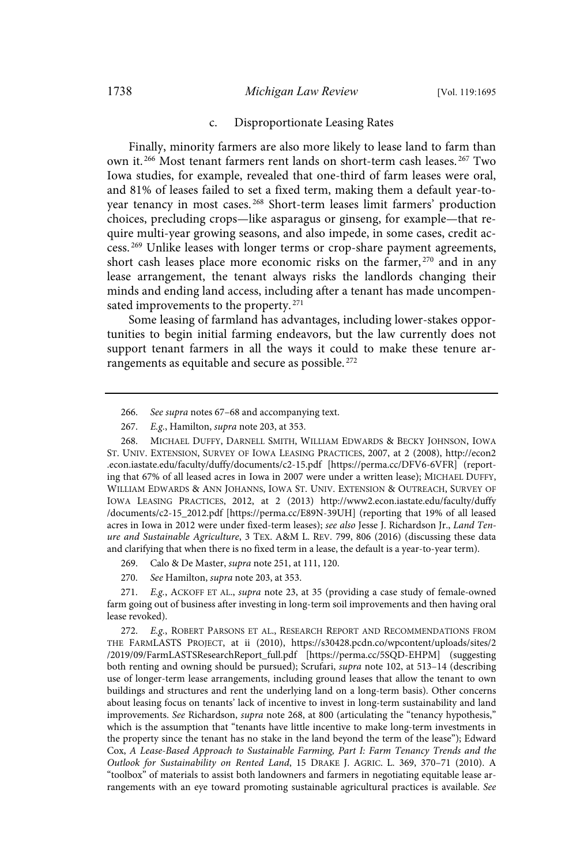#### 1738 *Michigan Law Review* [Vol. 119:1695

#### c. Disproportionate Leasing Rates

Finally, minority farmers are also more likely to lease land to farm than own it. <sup>266</sup> Most tenant farmers rent lands on short-term cash leases. <sup>267</sup> Two Iowa studies, for example, revealed that one-third of farm leases were oral, and 81% of leases failed to set a fixed term, making them a default year-toyear tenancy in most cases. <sup>268</sup> Short-term leases limit farmers' production choices, precluding crops—like asparagus or ginseng, for example—that require multi-year growing seasons, and also impede, in some cases, credit access. <sup>269</sup> Unlike leases with longer terms or crop-share payment agreements, short cash leases place more economic risks on the farmer,<sup>270</sup> and in any lease arrangement, the tenant always risks the landlords changing their minds and ending land access, including after a tenant has made uncompensated improvements to the property.<sup>271</sup>

Some leasing of farmland has advantages, including lower-stakes opportunities to begin initial farming endeavors, but the law currently does not support tenant farmers in all the ways it could to make these tenure arrangements as equitable and secure as possible.<sup>272</sup>

268. MICHAEL DUFFY, DARNELL SMITH, WILLIAM EDWARDS & BECKY JOHNSON, IOWA ST. UNIV. EXTENSION, SURVEY OF IOWA LEASING PRACTICES, 2007, at 2 (2008), http://econ2 .econ.iastate.edu/faculty/duffy/documents/c2-15.pdf [https://perma.cc/DFV6-6VFR] (reporting that 67% of all leased acres in Iowa in 2007 were under a written lease); MICHAEL DUFFY, WILLIAM EDWARDS & ANN JOHANNS, IOWA ST. UNIV. EXTENSION & OUTREACH, SURVEY OF IOWA LEASING PRACTICES, 2012, at 2 (2013) http://www2.econ.iastate.edu/faculty/duffy /documents/c2-15\_2012.pdf [https://perma.cc/E89N-39UH] (reporting that 19% of all leased acres in Iowa in 2012 were under fixed-term leases); see also Jesse J. Richardson Jr., Land Tenure and Sustainable Agriculture, 3 TEX. A&M L. REV. 799, 806 (2016) (discussing these data and clarifying that when there is no fixed term in a lease, the default is a year-to-year term).

269. Calo & De Master, supra note 251, at 111, 120.

270. See Hamilton, supra note 203, at 353.

271. E.g., ACKOFF ET AL., supra note 23, at 35 (providing a case study of female-owned farm going out of business after investing in long-term soil improvements and then having oral lease revoked).

272. E.g., ROBERT PARSONS ET AL., RESEARCH REPORT AND RECOMMENDATIONS FROM THE FARMLASTS PROJECT, at ii (2010), https://s30428.pcdn.co/wpcontent/uploads/sites/2 /2019/09/FarmLASTSResearchReport\_full.pdf [https://perma.cc/5SQD-EHPM] (suggesting both renting and owning should be pursued); Scrufari, supra note 102, at 513-14 (describing use of longer-term lease arrangements, including ground leases that allow the tenant to own buildings and structures and rent the underlying land on a long-term basis). Other concerns about leasing focus on tenants' lack of incentive to invest in long-term sustainability and land improvements. See Richardson, supra note 268, at 800 (articulating the "tenancy hypothesis," which is the assumption that "tenants have little incentive to make long-term investments in the property since the tenant has no stake in the land beyond the term of the lease"); Edward Cox, A Lease-Based Approach to Sustainable Farming, Part I: Farm Tenancy Trends and the Outlook for Sustainability on Rented Land, 15 DRAKE J. AGRIC. L. 369, 370–71 (2010). A "toolbox" of materials to assist both landowners and farmers in negotiating equitable lease arrangements with an eye toward promoting sustainable agricultural practices is available. See

<sup>266.</sup> See supra notes 67–68 and accompanying text.

<sup>267.</sup> E.g., Hamilton, supra note 203, at 353.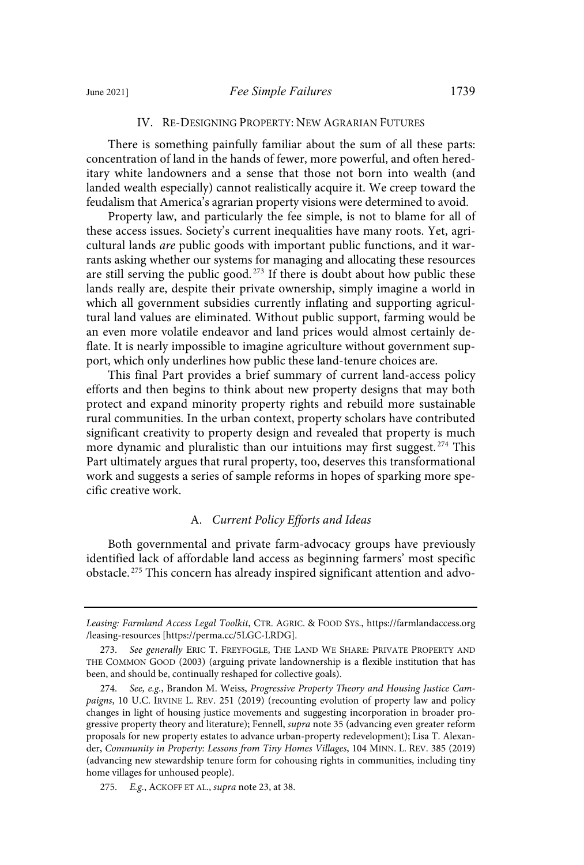### IV. RE-DESIGNING PROPERTY: NEW AGRARIAN FUTURES

There is something painfully familiar about the sum of all these parts: concentration of land in the hands of fewer, more powerful, and often hereditary white landowners and a sense that those not born into wealth (and landed wealth especially) cannot realistically acquire it. We creep toward the feudalism that America's agrarian property visions were determined to avoid.

Property law, and particularly the fee simple, is not to blame for all of these access issues. Society's current inequalities have many roots. Yet, agricultural lands are public goods with important public functions, and it warrants asking whether our systems for managing and allocating these resources are still serving the public good. <sup>273</sup> If there is doubt about how public these lands really are, despite their private ownership, simply imagine a world in which all government subsidies currently inflating and supporting agricultural land values are eliminated. Without public support, farming would be an even more volatile endeavor and land prices would almost certainly deflate. It is nearly impossible to imagine agriculture without government support, which only underlines how public these land-tenure choices are.

This final Part provides a brief summary of current land-access policy efforts and then begins to think about new property designs that may both protect and expand minority property rights and rebuild more sustainable rural communities. In the urban context, property scholars have contributed significant creativity to property design and revealed that property is much more dynamic and pluralistic than our intuitions may first suggest.<sup>274</sup> This Part ultimately argues that rural property, too, deserves this transformational work and suggests a series of sample reforms in hopes of sparking more specific creative work.

#### A. Current Policy Efforts and Ideas

Both governmental and private farm-advocacy groups have previously identified lack of affordable land access as beginning farmers' most specific obstacle. <sup>275</sup> This concern has already inspired significant attention and advo-

Leasing: Farmland Access Legal Toolkit, CTR. AGRIC. & FOOD SYS., https://farmlandaccess.org /leasing-resources [https://perma.cc/5LGC-LRDG].

<sup>273.</sup> See generally ERIC T. FREYFOGLE, THE LAND WE SHARE: PRIVATE PROPERTY AND THE COMMON GOOD (2003) (arguing private landownership is a flexible institution that has been, and should be, continually reshaped for collective goals).

<sup>274.</sup> See, e.g., Brandon M. Weiss, Progressive Property Theory and Housing Justice Campaigns, 10 U.C. IRVINE L. REV. 251 (2019) (recounting evolution of property law and policy changes in light of housing justice movements and suggesting incorporation in broader progressive property theory and literature); Fennell, supra note 35 (advancing even greater reform proposals for new property estates to advance urban-property redevelopment); Lisa T. Alexander, Community in Property: Lessons from Tiny Homes Villages, 104 MINN. L. REV. 385 (2019) (advancing new stewardship tenure form for cohousing rights in communities, including tiny home villages for unhoused people).

<sup>275.</sup> E.g., ACKOFF ET AL., supra note 23, at 38.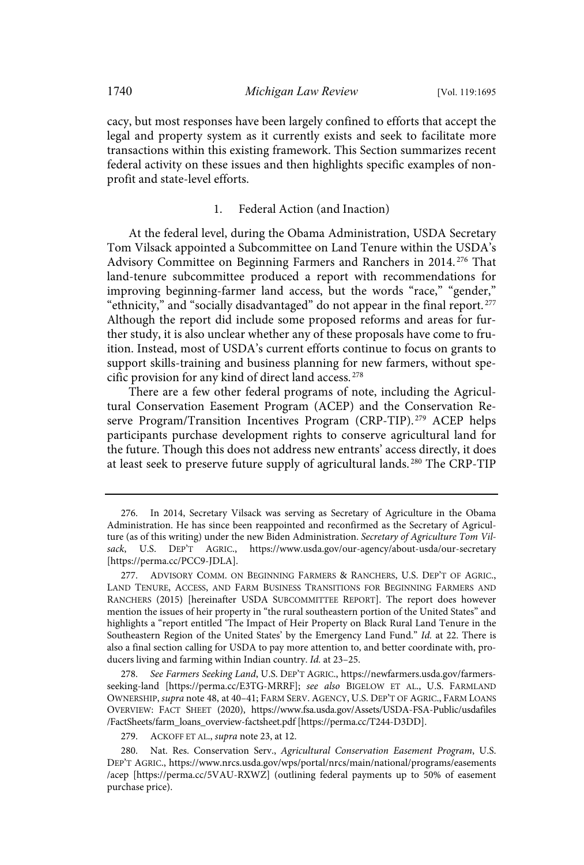cacy, but most responses have been largely confined to efforts that accept the legal and property system as it currently exists and seek to facilitate more transactions within this existing framework. This Section summarizes recent federal activity on these issues and then highlights specific examples of nonprofit and state-level efforts.

## 1. Federal Action (and Inaction)

At the federal level, during the Obama Administration, USDA Secretary Tom Vilsack appointed a Subcommittee on Land Tenure within the USDA's Advisory Committee on Beginning Farmers and Ranchers in 2014.<sup>276</sup> That land-tenure subcommittee produced a report with recommendations for improving beginning-farmer land access, but the words "race," "gender," "ethnicity," and "socially disadvantaged" do not appear in the final report.<sup>277</sup> Although the report did include some proposed reforms and areas for further study, it is also unclear whether any of these proposals have come to fruition. Instead, most of USDA's current efforts continue to focus on grants to support skills-training and business planning for new farmers, without specific provision for any kind of direct land access. <sup>278</sup>

There are a few other federal programs of note, including the Agricultural Conservation Easement Program (ACEP) and the Conservation Reserve Program/Transition Incentives Program (CRP-TIP).<sup>279</sup> ACEP helps participants purchase development rights to conserve agricultural land for the future. Though this does not address new entrants' access directly, it does at least seek to preserve future supply of agricultural lands.<sup>280</sup> The CRP-TIP

See Farmers Seeking Land, U.S. DEP'T AGRIC., https://newfarmers.usda.gov/farmersseeking-land [https://perma.cc/E3TG-MRRF]; see also BIGELOW ET AL., U.S. FARMLAND OWNERSHIP, supra note 48, at 40–41; FARM SERV. AGENCY, U.S. DEP'T OF AGRIC., FARM LOANS OVERVIEW: FACT SHEET (2020), https://www.fsa.usda.gov/Assets/USDA-FSA-Public/usdafiles /FactSheets/farm\_loans\_overview-factsheet.pdf [https://perma.cc/T244-D3DD].

279. ACKOFF ET AL., supra note 23, at 12.

<sup>276.</sup> In 2014, Secretary Vilsack was serving as Secretary of Agriculture in the Obama Administration. He has since been reappointed and reconfirmed as the Secretary of Agriculture (as of this writing) under the new Biden Administration. Secretary of Agriculture Tom Vilsack, U.S. DEP'T AGRIC., https://www.usda.gov/our-agency/about-usda/our-secretary [https://perma.cc/PCC9-JDLA].

<sup>277.</sup> ADVISORY COMM. ON BEGINNING FARMERS & RANCHERS, U.S. DEP'T OF AGRIC., LAND TENURE, ACCESS, AND FARM BUSINESS TRANSITIONS FOR BEGINNING FARMERS AND RANCHERS (2015) [hereinafter USDA SUBCOMMITTEE REPORT]. The report does however mention the issues of heir property in "the rural southeastern portion of the United States" and highlights a "report entitled 'The Impact of Heir Property on Black Rural Land Tenure in the Southeastern Region of the United States' by the Emergency Land Fund." Id. at 22. There is also a final section calling for USDA to pay more attention to, and better coordinate with, producers living and farming within Indian country. Id. at 23–25.

<sup>280.</sup> Nat. Res. Conservation Serv., Agricultural Conservation Easement Program, U.S. DEP'T AGRIC., https://www.nrcs.usda.gov/wps/portal/nrcs/main/national/programs/easements /acep [https://perma.cc/5VAU-RXWZ] (outlining federal payments up to 50% of easement purchase price).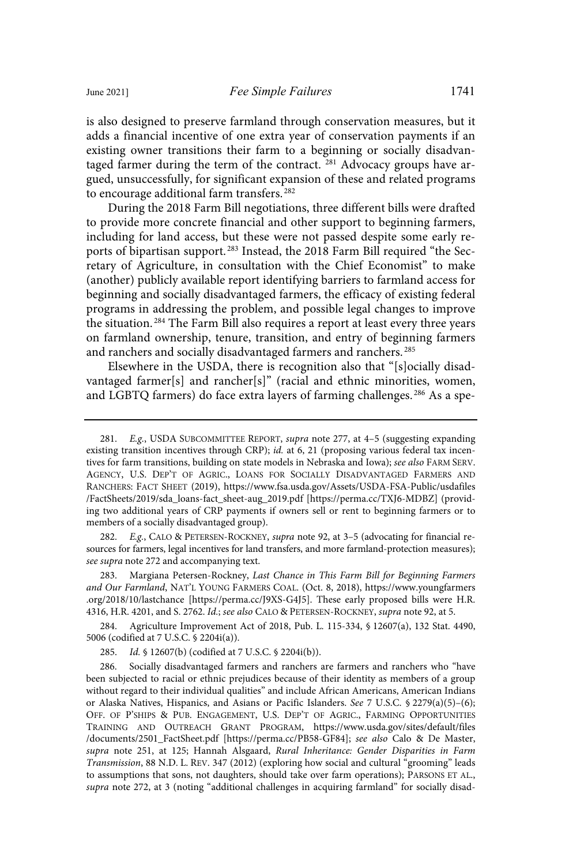is also designed to preserve farmland through conservation measures, but it adds a financial incentive of one extra year of conservation payments if an existing owner transitions their farm to a beginning or socially disadvantaged farmer during the term of the contract.  $281$  Advocacy groups have argued, unsuccessfully, for significant expansion of these and related programs to encourage additional farm transfers.<sup>282</sup>

During the 2018 Farm Bill negotiations, three different bills were drafted to provide more concrete financial and other support to beginning farmers, including for land access, but these were not passed despite some early reports of bipartisan support. <sup>283</sup> Instead, the 2018 Farm Bill required "the Secretary of Agriculture, in consultation with the Chief Economist" to make (another) publicly available report identifying barriers to farmland access for beginning and socially disadvantaged farmers, the efficacy of existing federal programs in addressing the problem, and possible legal changes to improve the situation. <sup>284</sup> The Farm Bill also requires a report at least every three years on farmland ownership, tenure, transition, and entry of beginning farmers and ranchers and socially disadvantaged farmers and ranchers. <sup>285</sup>

Elsewhere in the USDA, there is recognition also that "[s]ocially disadvantaged farmer[s] and rancher[s]" (racial and ethnic minorities, women, and LGBTQ farmers) do face extra layers of farming challenges. <sup>286</sup> As a spe-

282. E.g., CALO & PETERSEN-ROCKNEY, supra note 92, at 3–5 (advocating for financial resources for farmers, legal incentives for land transfers, and more farmland-protection measures); see supra note 272 and accompanying text.

283. Margiana Petersen-Rockney, Last Chance in This Farm Bill for Beginning Farmers and Our Farmland, NAT'L YOUNG FARMERS COAL. (Oct. 8, 2018), https://www.youngfarmers .org/2018/10/lastchance [https://perma.cc/J9XS-G4J5]. These early proposed bills were H.R. 4316, H.R. 4201, and S. 2762. Id.; see also CALO & PETERSEN-ROCKNEY, supra note 92, at 5.

284. Agriculture Improvement Act of 2018, Pub. L. 115-334, § 12607(a), 132 Stat. 4490, 5006 (codified at 7 U.S.C. § 2204i(a)).

285. Id. § 12607(b) (codified at 7 U.S.C. § 2204i(b)).

286. Socially disadvantaged farmers and ranchers are farmers and ranchers who "have been subjected to racial or ethnic prejudices because of their identity as members of a group without regard to their individual qualities" and include African Americans, American Indians or Alaska Natives, Hispanics, and Asians or Pacific Islanders. See 7 U.S.C. § 2279(a)(5)–(6); OFF. OF P'SHIPS & PUB. ENGAGEMENT, U.S. DEP'T OF AGRIC., FARMING OPPORTUNITIES TRAINING AND OUTREACH GRANT PROGRAM, https://www.usda.gov/sites/default/files /documents/2501\_FactSheet.pdf [https://perma.cc/PB58-GF84]; see also Calo & De Master, supra note 251, at 125; Hannah Alsgaard, Rural Inheritance: Gender Disparities in Farm Transmission, 88 N.D. L. REV. 347 (2012) (exploring how social and cultural "grooming" leads to assumptions that sons, not daughters, should take over farm operations); PARSONS ET AL., supra note 272, at 3 (noting "additional challenges in acquiring farmland" for socially disad-

<sup>281.</sup> E.g., USDA SUBCOMMITTEE REPORT, supra note 277, at 4–5 (suggesting expanding existing transition incentives through CRP); id. at 6, 21 (proposing various federal tax incentives for farm transitions, building on state models in Nebraska and Iowa); see also FARM SERV. AGENCY, U.S. DEP'T OF AGRIC., LOANS FOR SOCIALLY DISADVANTAGED FARMERS AND RANCHERS: FACT SHEET (2019), https://www.fsa.usda.gov/Assets/USDA-FSA-Public/usdafiles /FactSheets/2019/sda\_loans-fact\_sheet-aug\_2019.pdf [https://perma.cc/TXJ6-MDBZ] (providing two additional years of CRP payments if owners sell or rent to beginning farmers or to members of a socially disadvantaged group).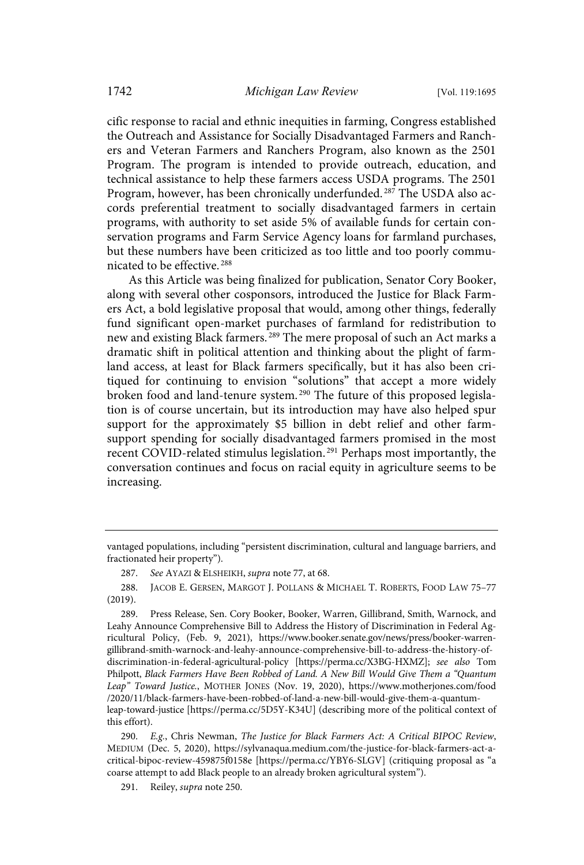cific response to racial and ethnic inequities in farming, Congress established the Outreach and Assistance for Socially Disadvantaged Farmers and Ranchers and Veteran Farmers and Ranchers Program, also known as the 2501 Program. The program is intended to provide outreach, education, and technical assistance to help these farmers access USDA programs. The 2501 Program, however, has been chronically underfunded.<sup>287</sup> The USDA also accords preferential treatment to socially disadvantaged farmers in certain programs, with authority to set aside 5% of available funds for certain conservation programs and Farm Service Agency loans for farmland purchases, but these numbers have been criticized as too little and too poorly communicated to be effective. 288

As this Article was being finalized for publication, Senator Cory Booker, along with several other cosponsors, introduced the Justice for Black Farmers Act, a bold legislative proposal that would, among other things, federally fund significant open-market purchases of farmland for redistribution to new and existing Black farmers. <sup>289</sup> The mere proposal of such an Act marks a dramatic shift in political attention and thinking about the plight of farmland access, at least for Black farmers specifically, but it has also been critiqued for continuing to envision "solutions" that accept a more widely broken food and land-tenure system.<sup>290</sup> The future of this proposed legislation is of course uncertain, but its introduction may have also helped spur support for the approximately \$5 billion in debt relief and other farmsupport spending for socially disadvantaged farmers promised in the most recent COVID-related stimulus legislation.<sup>291</sup> Perhaps most importantly, the conversation continues and focus on racial equity in agriculture seems to be increasing.

291. Reiley, supra note 250.

vantaged populations, including "persistent discrimination, cultural and language barriers, and fractionated heir property").

<sup>287.</sup> See AYAZI & ELSHEIKH, supra note 77, at 68.

<sup>288.</sup> JACOB E. GERSEN, MARGOT J. POLLANS & MICHAEL T. ROBERTS, FOOD LAW 75–77 (2019).

<sup>289.</sup> Press Release, Sen. Cory Booker, Booker, Warren, Gillibrand, Smith, Warnock, and Leahy Announce Comprehensive Bill to Address the History of Discrimination in Federal Agricultural Policy, (Feb. 9, 2021), https://www.booker.senate.gov/news/press/booker-warrengillibrand-smith-warnock-and-leahy-announce-comprehensive-bill-to-address-the-history-ofdiscrimination-in-federal-agricultural-policy [https://perma.cc/X3BG-HXMZ]; see also Tom Philpott, Black Farmers Have Been Robbed of Land. A New Bill Would Give Them a "Quantum Leap" Toward Justice., MOTHER JONES (Nov. 19, 2020), https://www.motherjones.com/food /2020/11/black-farmers-have-been-robbed-of-land-a-new-bill-would-give-them-a-quantumleap-toward-justice [https://perma.cc/5D5Y-K34U] (describing more of the political context of this effort).

E.g., Chris Newman, The Justice for Black Farmers Act: A Critical BIPOC Review, MEDIUM (Dec. 5, 2020), https://sylvanaqua.medium.com/the-justice-for-black-farmers-act-acritical-bipoc-review-459875f0158e [https://perma.cc/YBY6-SLGV] (critiquing proposal as "a coarse attempt to add Black people to an already broken agricultural system").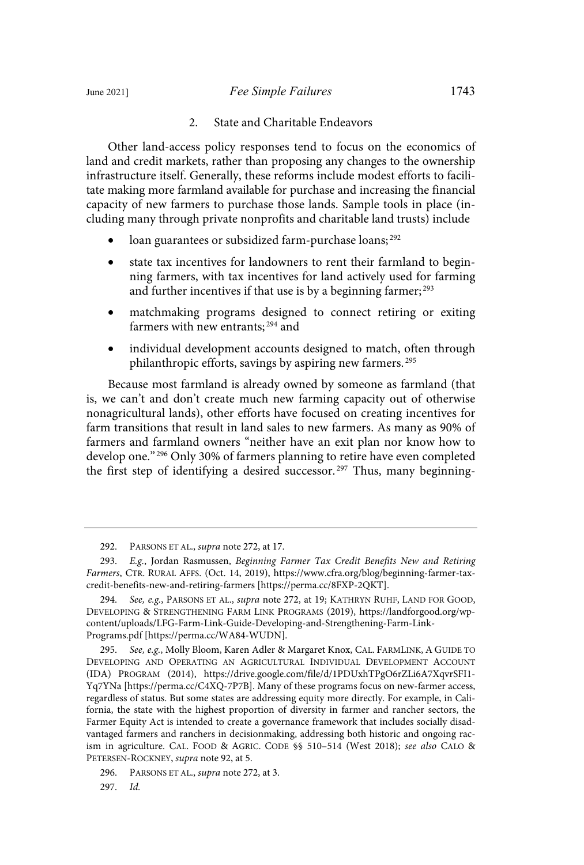2. State and Charitable Endeavors

Other land-access policy responses tend to focus on the economics of land and credit markets, rather than proposing any changes to the ownership infrastructure itself. Generally, these reforms include modest efforts to facilitate making more farmland available for purchase and increasing the financial capacity of new farmers to purchase those lands. Sample tools in place (including many through private nonprofits and charitable land trusts) include

- loan guarantees or subsidized farm-purchase loans;<sup>292</sup>
- state tax incentives for landowners to rent their farmland to beginning farmers, with tax incentives for land actively used for farming and further incentives if that use is by a beginning farmer;<sup>293</sup>
- matchmaking programs designed to connect retiring or exiting farmers with new entrants; <sup>294</sup> and
- individual development accounts designed to match, often through philanthropic efforts, savings by aspiring new farmers. <sup>295</sup>

Because most farmland is already owned by someone as farmland (that is, we can't and don't create much new farming capacity out of otherwise nonagricultural lands), other efforts have focused on creating incentives for farm transitions that result in land sales to new farmers. As many as 90% of farmers and farmland owners "neither have an exit plan nor know how to develop one." <sup>296</sup> Only 30% of farmers planning to retire have even completed the first step of identifying a desired successor.<sup>297</sup> Thus, many beginning-

<sup>292.</sup> PARSONS ET AL., supra note 272, at 17.

<sup>293.</sup> E.g., Jordan Rasmussen, Beginning Farmer Tax Credit Benefits New and Retiring Farmers, CTR. RURAL AFFS. (Oct. 14, 2019), https://www.cfra.org/blog/beginning-farmer-taxcredit-benefits-new-and-retiring-farmers [https://perma.cc/8FXP-2QKT].

<sup>294.</sup> See, e.g., PARSONS ET AL., supra note 272, at 19; KATHRYN RUHF, LAND FOR GOOD, DEVELOPING & STRENGTHENING FARM LINK PROGRAMS (2019), https://landforgood.org/wpcontent/uploads/LFG-Farm-Link-Guide-Developing-and-Strengthening-Farm-Link-Programs.pdf [https://perma.cc/WA84-WUDN].

<sup>295.</sup> See, e.g., Molly Bloom, Karen Adler & Margaret Knox, CAL. FARMLINK, A GUIDE TO DEVELOPING AND OPERATING AN AGRICULTURAL INDIVIDUAL DEVELOPMENT ACCOUNT (IDA) PROGRAM (2014), https://drive.google.com/file/d/1PDUxhTPgO6rZLi6A7XqvrSFI1- Yq7YNa [https://perma.cc/C4XQ-7P7B]. Many of these programs focus on new-farmer access, regardless of status. But some states are addressing equity more directly. For example, in California, the state with the highest proportion of diversity in farmer and rancher sectors, the Farmer Equity Act is intended to create a governance framework that includes socially disadvantaged farmers and ranchers in decisionmaking, addressing both historic and ongoing racism in agriculture. CAL. FOOD & AGRIC. CODE §§ 510–514 (West 2018); see also CALO & PETERSEN-ROCKNEY, supra note 92, at 5.

<sup>296.</sup> PARSONS ET AL., *supra* note 272, at 3.

<sup>297.</sup> Id.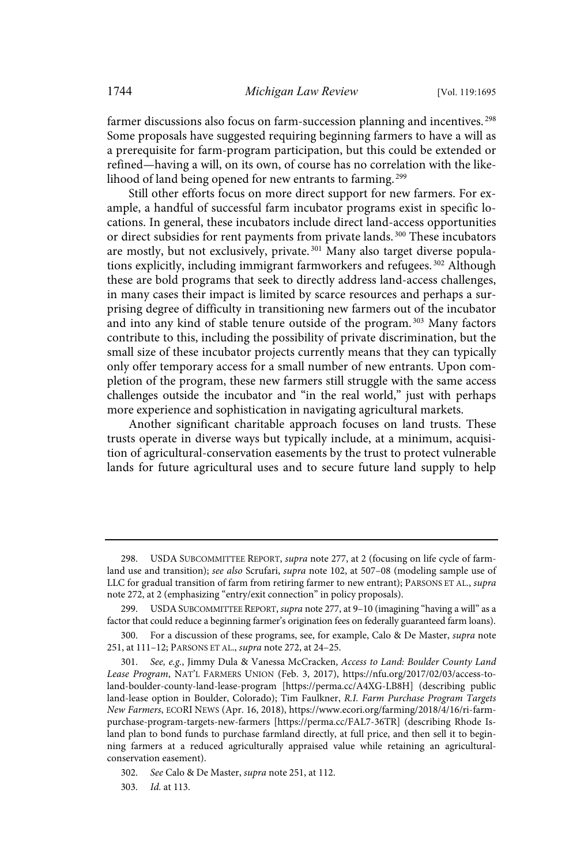farmer discussions also focus on farm-succession planning and incentives.<sup>298</sup> Some proposals have suggested requiring beginning farmers to have a will as a prerequisite for farm-program participation, but this could be extended or refined—having a will, on its own, of course has no correlation with the likelihood of land being opened for new entrants to farming.<sup>299</sup>

Still other efforts focus on more direct support for new farmers. For example, a handful of successful farm incubator programs exist in specific locations. In general, these incubators include direct land-access opportunities or direct subsidies for rent payments from private lands.<sup>300</sup> These incubators are mostly, but not exclusively, private.<sup>301</sup> Many also target diverse populations explicitly, including immigrant farmworkers and refugees.<sup>302</sup> Although these are bold programs that seek to directly address land-access challenges, in many cases their impact is limited by scarce resources and perhaps a surprising degree of difficulty in transitioning new farmers out of the incubator and into any kind of stable tenure outside of the program.<sup>303</sup> Many factors contribute to this, including the possibility of private discrimination, but the small size of these incubator projects currently means that they can typically only offer temporary access for a small number of new entrants. Upon completion of the program, these new farmers still struggle with the same access challenges outside the incubator and "in the real world," just with perhaps more experience and sophistication in navigating agricultural markets.

Another significant charitable approach focuses on land trusts. These trusts operate in diverse ways but typically include, at a minimum, acquisition of agricultural-conservation easements by the trust to protect vulnerable lands for future agricultural uses and to secure future land supply to help

<sup>298.</sup> USDA SUBCOMMITTEE REPORT, supra note 277, at 2 (focusing on life cycle of farmland use and transition); see also Scrufari, supra note 102, at 507-08 (modeling sample use of LLC for gradual transition of farm from retiring farmer to new entrant); PARSONS ET AL., supra note 272, at 2 (emphasizing "entry/exit connection" in policy proposals).

<sup>299.</sup> USDA SUBCOMMITTEE REPORT, supra note 277, at 9-10 (imagining "having a will" as a factor that could reduce a beginning farmer's origination fees on federally guaranteed farm loans).

<sup>300.</sup> For a discussion of these programs, see, for example, Calo & De Master, supra note 251, at 111–12; PARSONS ET AL., supra note 272, at 24–25.

<sup>301.</sup> See, e.g., Jimmy Dula & Vanessa McCracken, Access to Land: Boulder County Land Lease Program, NAT'L FARMERS UNION (Feb. 3, 2017), https://nfu.org/2017/02/03/access-toland-boulder-county-land-lease-program [https://perma.cc/A4XG-LB8H] (describing public land-lease option in Boulder, Colorado); Tim Faulkner, R.I. Farm Purchase Program Targets New Farmers, ECORI NEWS (Apr. 16, 2018), https://www.ecori.org/farming/2018/4/16/ri-farmpurchase-program-targets-new-farmers [https://perma.cc/FAL7-36TR] (describing Rhode Island plan to bond funds to purchase farmland directly, at full price, and then sell it to beginning farmers at a reduced agriculturally appraised value while retaining an agriculturalconservation easement).

<sup>302.</sup> See Calo & De Master, supra note 251, at 112.

<sup>303.</sup> Id. at 113.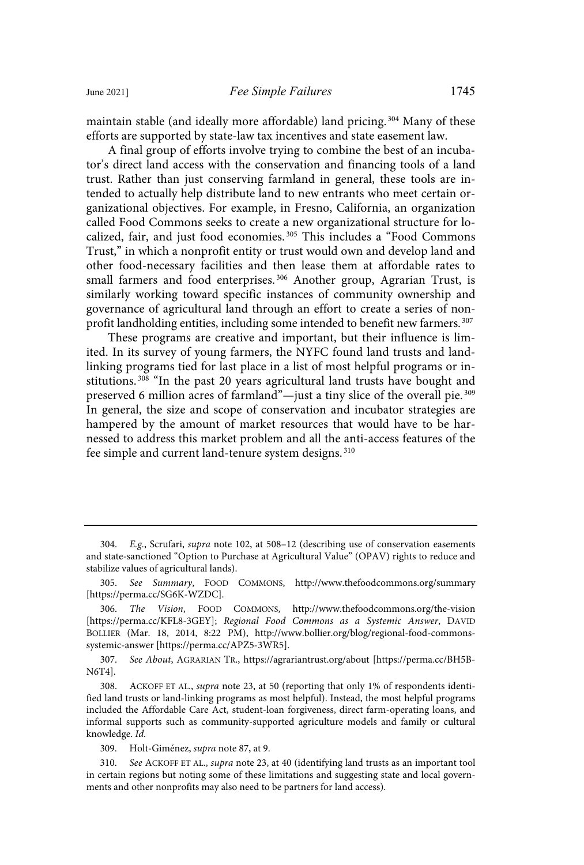maintain stable (and ideally more affordable) land pricing. <sup>304</sup> Many of these efforts are supported by state-law tax incentives and state easement law.

A final group of efforts involve trying to combine the best of an incubator's direct land access with the conservation and financing tools of a land trust. Rather than just conserving farmland in general, these tools are intended to actually help distribute land to new entrants who meet certain organizational objectives. For example, in Fresno, California, an organization called Food Commons seeks to create a new organizational structure for localized, fair, and just food economies. <sup>305</sup> This includes a "Food Commons Trust," in which a nonprofit entity or trust would own and develop land and other food-necessary facilities and then lease them at affordable rates to small farmers and food enterprises. <sup>306</sup> Another group, Agrarian Trust, is similarly working toward specific instances of community ownership and governance of agricultural land through an effort to create a series of nonprofit landholding entities, including some intended to benefit new farmers. <sup>307</sup>

These programs are creative and important, but their influence is limited. In its survey of young farmers, the NYFC found land trusts and landlinking programs tied for last place in a list of most helpful programs or institutions. <sup>308</sup> "In the past 20 years agricultural land trusts have bought and preserved 6 million acres of farmland"—just a tiny slice of the overall pie. <sup>309</sup> In general, the size and scope of conservation and incubator strategies are hampered by the amount of market resources that would have to be harnessed to address this market problem and all the anti-access features of the fee simple and current land-tenure system designs. 310

307. See About, AGRARIAN TR., https://agrariantrust.org/about [https://perma.cc/BH5B-N6T4].

308. ACKOFF ET AL., supra note 23, at 50 (reporting that only 1% of respondents identified land trusts or land-linking programs as most helpful). Instead, the most helpful programs included the Affordable Care Act, student-loan forgiveness, direct farm-operating loans, and informal supports such as community-supported agriculture models and family or cultural knowledge. Id.

309. Holt-Giménez, supra note 87, at 9.

310. See ACKOFF ET AL., supra note 23, at 40 (identifying land trusts as an important tool in certain regions but noting some of these limitations and suggesting state and local governments and other nonprofits may also need to be partners for land access).

<sup>304.</sup> E.g., Scrufari, supra note 102, at 508–12 (describing use of conservation easements and state-sanctioned "Option to Purchase at Agricultural Value" (OPAV) rights to reduce and stabilize values of agricultural lands).

<sup>305.</sup> See Summary, FOOD COMMONS, http://www.thefoodcommons.org/summary [https://perma.cc/SG6K-WZDC].

<sup>306.</sup> The Vision, FOOD COMMONS, http://www.thefoodcommons.org/the-vision [https://perma.cc/KFL8-3GEY]; Regional Food Commons as a Systemic Answer, DAVID BOLLIER (Mar. 18, 2014, 8:22 PM), http://www.bollier.org/blog/regional-food-commonssystemic-answer [https://perma.cc/APZ5-3WR5].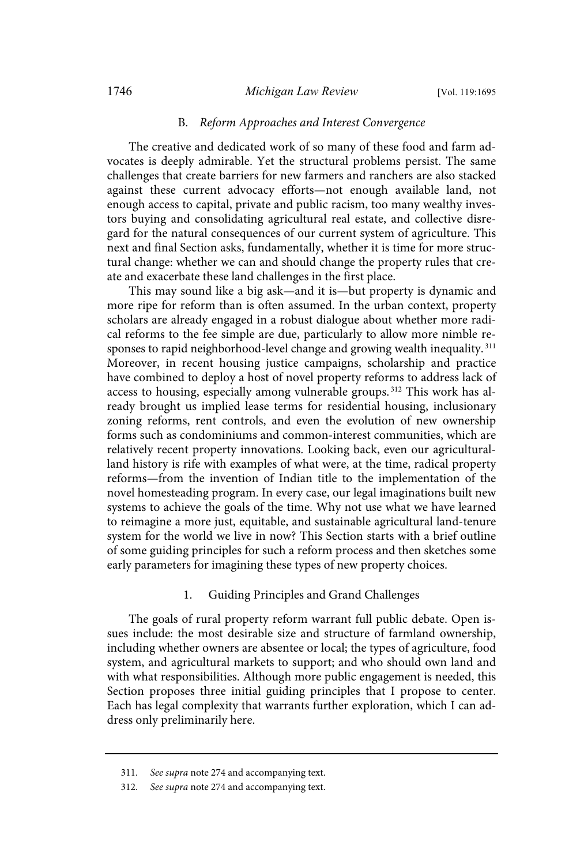#### 1746 *Michigan Law Review* [Vol. 119:1695

#### B. Reform Approaches and Interest Convergence

The creative and dedicated work of so many of these food and farm advocates is deeply admirable. Yet the structural problems persist. The same challenges that create barriers for new farmers and ranchers are also stacked against these current advocacy efforts—not enough available land, not enough access to capital, private and public racism, too many wealthy investors buying and consolidating agricultural real estate, and collective disregard for the natural consequences of our current system of agriculture. This next and final Section asks, fundamentally, whether it is time for more structural change: whether we can and should change the property rules that create and exacerbate these land challenges in the first place.

This may sound like a big ask—and it is—but property is dynamic and more ripe for reform than is often assumed. In the urban context, property scholars are already engaged in a robust dialogue about whether more radical reforms to the fee simple are due, particularly to allow more nimble responses to rapid neighborhood-level change and growing wealth inequality.<sup>311</sup> Moreover, in recent housing justice campaigns, scholarship and practice have combined to deploy a host of novel property reforms to address lack of access to housing, especially among vulnerable groups.<sup>312</sup> This work has already brought us implied lease terms for residential housing, inclusionary zoning reforms, rent controls, and even the evolution of new ownership forms such as condominiums and common-interest communities, which are relatively recent property innovations. Looking back, even our agriculturalland history is rife with examples of what were, at the time, radical property reforms—from the invention of Indian title to the implementation of the novel homesteading program. In every case, our legal imaginations built new systems to achieve the goals of the time. Why not use what we have learned to reimagine a more just, equitable, and sustainable agricultural land-tenure system for the world we live in now? This Section starts with a brief outline of some guiding principles for such a reform process and then sketches some early parameters for imagining these types of new property choices.

#### 1. Guiding Principles and Grand Challenges

The goals of rural property reform warrant full public debate. Open issues include: the most desirable size and structure of farmland ownership, including whether owners are absentee or local; the types of agriculture, food system, and agricultural markets to support; and who should own land and with what responsibilities. Although more public engagement is needed, this Section proposes three initial guiding principles that I propose to center. Each has legal complexity that warrants further exploration, which I can address only preliminarily here.

<sup>311.</sup> See supra note 274 and accompanying text.

<sup>312.</sup> See supra note 274 and accompanying text.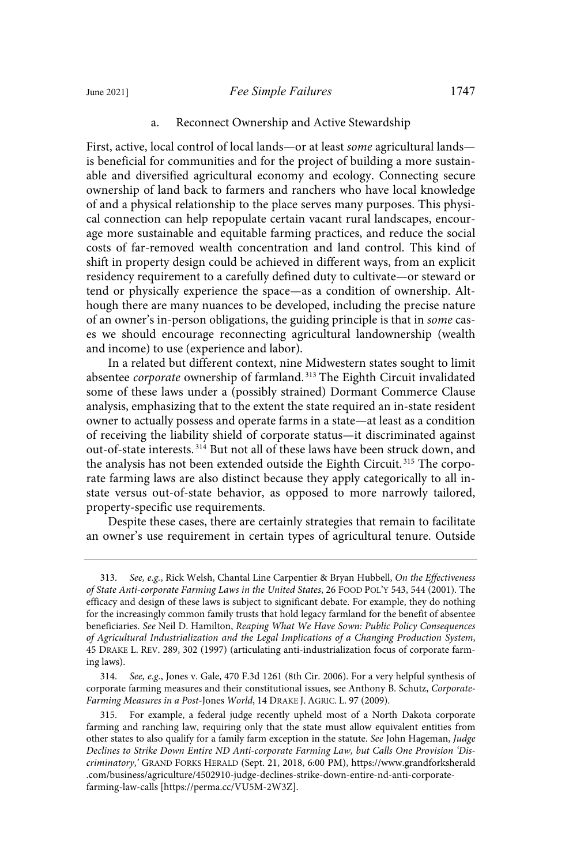#### June 2021] *Fee Simple Failures* 1747

### a. Reconnect Ownership and Active Stewardship

First, active, local control of local lands—or at least some agricultural lands is beneficial for communities and for the project of building a more sustainable and diversified agricultural economy and ecology. Connecting secure ownership of land back to farmers and ranchers who have local knowledge of and a physical relationship to the place serves many purposes. This physical connection can help repopulate certain vacant rural landscapes, encourage more sustainable and equitable farming practices, and reduce the social costs of far-removed wealth concentration and land control. This kind of shift in property design could be achieved in different ways, from an explicit residency requirement to a carefully defined duty to cultivate—or steward or tend or physically experience the space—as a condition of ownership. Although there are many nuances to be developed, including the precise nature of an owner's in-person obligations, the guiding principle is that in some cases we should encourage reconnecting agricultural landownership (wealth and income) to use (experience and labor).

In a related but different context, nine Midwestern states sought to limit absentee *corporate* ownership of farmland.<sup>313</sup> The Eighth Circuit invalidated some of these laws under a (possibly strained) Dormant Commerce Clause analysis, emphasizing that to the extent the state required an in-state resident owner to actually possess and operate farms in a state—at least as a condition of receiving the liability shield of corporate status—it discriminated against out-of-state interests. <sup>314</sup> But not all of these laws have been struck down, and the analysis has not been extended outside the Eighth Circuit. <sup>315</sup> The corporate farming laws are also distinct because they apply categorically to all instate versus out-of-state behavior, as opposed to more narrowly tailored, property-specific use requirements.

Despite these cases, there are certainly strategies that remain to facilitate an owner's use requirement in certain types of agricultural tenure. Outside

<sup>313.</sup> See, e.g., Rick Welsh, Chantal Line Carpentier & Bryan Hubbell, On the Effectiveness of State Anti-corporate Farming Laws in the United States, 26 FOOD POL'Y 543, 544 (2001). The efficacy and design of these laws is subject to significant debate. For example, they do nothing for the increasingly common family trusts that hold legacy farmland for the benefit of absentee beneficiaries. See Neil D. Hamilton, Reaping What We Have Sown: Public Policy Consequences of Agricultural Industrialization and the Legal Implications of a Changing Production System, 45 DRAKE L. REV. 289, 302 (1997) (articulating anti-industrialization focus of corporate farming laws).

<sup>314.</sup> See, e.g., Jones v. Gale, 470 F.3d 1261 (8th Cir. 2006). For a very helpful synthesis of corporate farming measures and their constitutional issues, see Anthony B. Schutz, Corporate-Farming Measures in a Post-Jones World, 14 DRAKE J. AGRIC. L. 97 (2009).

<sup>315.</sup> For example, a federal judge recently upheld most of a North Dakota corporate farming and ranching law, requiring only that the state must allow equivalent entities from other states to also qualify for a family farm exception in the statute. See John Hageman, Judge Declines to Strike Down Entire ND Anti-corporate Farming Law, but Calls One Provision 'Discriminatory,' GRAND FORKS HERALD (Sept. 21, 2018, 6:00 PM), https://www.grandforksherald .com/business/agriculture/4502910-judge-declines-strike-down-entire-nd-anti-corporatefarming-law-calls [https://perma.cc/VU5M-2W3Z].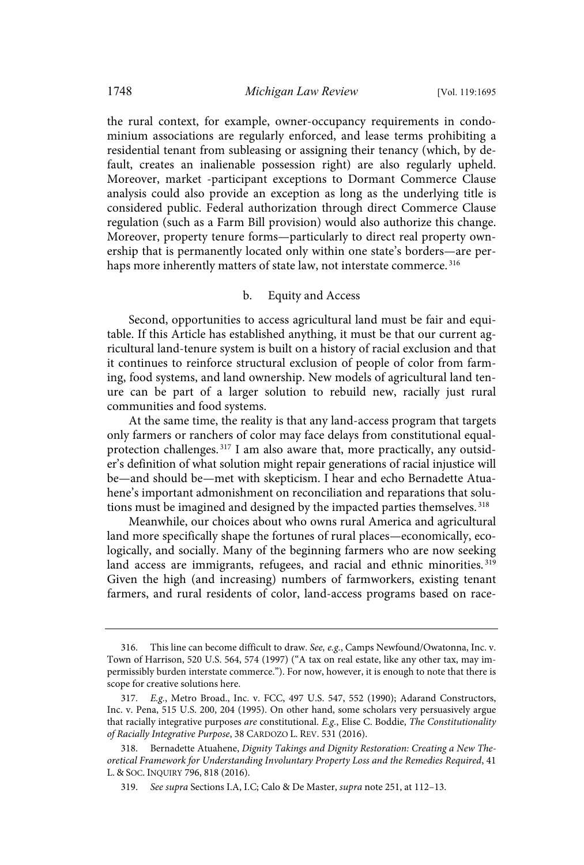the rural context, for example, owner-occupancy requirements in condominium associations are regularly enforced, and lease terms prohibiting a residential tenant from subleasing or assigning their tenancy (which, by default, creates an inalienable possession right) are also regularly upheld. Moreover, market -participant exceptions to Dormant Commerce Clause analysis could also provide an exception as long as the underlying title is considered public. Federal authorization through direct Commerce Clause regulation (such as a Farm Bill provision) would also authorize this change. Moreover, property tenure forms—particularly to direct real property ownership that is permanently located only within one state's borders—are perhaps more inherently matters of state law, not interstate commerce. 316

## b. Equity and Access

Second, opportunities to access agricultural land must be fair and equitable. If this Article has established anything, it must be that our current agricultural land-tenure system is built on a history of racial exclusion and that it continues to reinforce structural exclusion of people of color from farming, food systems, and land ownership. New models of agricultural land tenure can be part of a larger solution to rebuild new, racially just rural communities and food systems.

At the same time, the reality is that any land-access program that targets only farmers or ranchers of color may face delays from constitutional equalprotection challenges.<sup>317</sup> I am also aware that, more practically, any outsider's definition of what solution might repair generations of racial injustice will be—and should be—met with skepticism. I hear and echo Bernadette Atuahene's important admonishment on reconciliation and reparations that solutions must be imagined and designed by the impacted parties themselves.<sup>318</sup>

Meanwhile, our choices about who owns rural America and agricultural land more specifically shape the fortunes of rural places—economically, ecologically, and socially. Many of the beginning farmers who are now seeking land access are immigrants, refugees, and racial and ethnic minorities.<sup>319</sup> Given the high (and increasing) numbers of farmworkers, existing tenant farmers, and rural residents of color, land-access programs based on race-

<sup>316.</sup> This line can become difficult to draw. See, e.g., Camps Newfound/Owatonna, Inc. v. Town of Harrison, 520 U.S. 564, 574 (1997) ("A tax on real estate, like any other tax, may impermissibly burden interstate commerce."). For now, however, it is enough to note that there is scope for creative solutions here.

<sup>317.</sup> E.g., Metro Broad., Inc. v. FCC, 497 U.S. 547, 552 (1990); Adarand Constructors, Inc. v. Pena, 515 U.S. 200, 204 (1995). On other hand, some scholars very persuasively argue that racially integrative purposes are constitutional. E.g., Elise C. Boddie, The Constitutionality of Racially Integrative Purpose, 38 CARDOZO L. REV. 531 (2016).

<sup>318.</sup> Bernadette Atuahene, Dignity Takings and Dignity Restoration: Creating a New Theoretical Framework for Understanding Involuntary Property Loss and the Remedies Required, 41 L. & SOC. INQUIRY 796, 818 (2016).

<sup>319.</sup> See supra Sections I.A, I.C; Calo & De Master, supra note 251, at 112–13.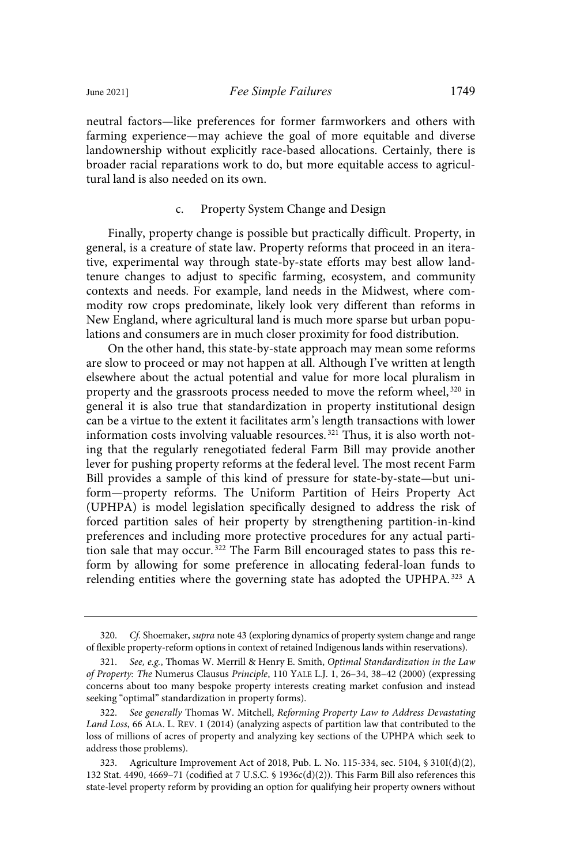neutral factors—like preferences for former farmworkers and others with farming experience—may achieve the goal of more equitable and diverse landownership without explicitly race-based allocations. Certainly, there is broader racial reparations work to do, but more equitable access to agricultural land is also needed on its own.

## c. Property System Change and Design

Finally, property change is possible but practically difficult. Property, in general, is a creature of state law. Property reforms that proceed in an iterative, experimental way through state-by-state efforts may best allow landtenure changes to adjust to specific farming, ecosystem, and community contexts and needs. For example, land needs in the Midwest, where commodity row crops predominate, likely look very different than reforms in New England, where agricultural land is much more sparse but urban populations and consumers are in much closer proximity for food distribution.

On the other hand, this state-by-state approach may mean some reforms are slow to proceed or may not happen at all. Although I've written at length elsewhere about the actual potential and value for more local pluralism in property and the grassroots process needed to move the reform wheel, <sup>320</sup> in general it is also true that standardization in property institutional design can be a virtue to the extent it facilitates arm's length transactions with lower information costs involving valuable resources. <sup>321</sup> Thus, it is also worth noting that the regularly renegotiated federal Farm Bill may provide another lever for pushing property reforms at the federal level. The most recent Farm Bill provides a sample of this kind of pressure for state-by-state—but uniform—property reforms. The Uniform Partition of Heirs Property Act (UPHPA) is model legislation specifically designed to address the risk of forced partition sales of heir property by strengthening partition-in-kind preferences and including more protective procedures for any actual partition sale that may occur.<sup>322</sup> The Farm Bill encouraged states to pass this reform by allowing for some preference in allocating federal-loan funds to relending entities where the governing state has adopted the UPHPA. <sup>323</sup> A

<sup>320.</sup> Cf. Shoemaker, supra note 43 (exploring dynamics of property system change and range of flexible property-reform options in context of retained Indigenous lands within reservations).

<sup>321.</sup> See, e.g., Thomas W. Merrill & Henry E. Smith, Optimal Standardization in the Law of Property: The Numerus Clausus Principle, 110 YALE L.J. 1, 26–34, 38–42 (2000) (expressing concerns about too many bespoke property interests creating market confusion and instead seeking "optimal" standardization in property forms).

<sup>322.</sup> See generally Thomas W. Mitchell, Reforming Property Law to Address Devastating Land Loss, 66 ALA. L. REV. 1 (2014) (analyzing aspects of partition law that contributed to the loss of millions of acres of property and analyzing key sections of the UPHPA which seek to address those problems).

<sup>323.</sup> Agriculture Improvement Act of 2018, Pub. L. No. 115-334, sec. 5104, § 310I(d)(2), 132 Stat. 4490, 4669–71 (codified at 7 U.S.C. § 1936c(d)(2)). This Farm Bill also references this state-level property reform by providing an option for qualifying heir property owners without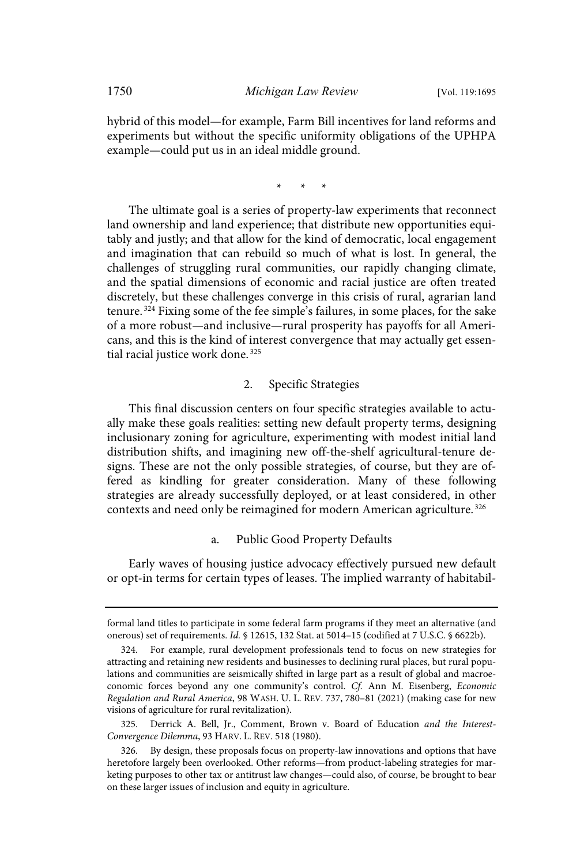hybrid of this model—for example, Farm Bill incentives for land reforms and experiments but without the specific uniformity obligations of the UPHPA example—could put us in an ideal middle ground.

\* \* \*

The ultimate goal is a series of property-law experiments that reconnect land ownership and land experience; that distribute new opportunities equitably and justly; and that allow for the kind of democratic, local engagement and imagination that can rebuild so much of what is lost. In general, the challenges of struggling rural communities, our rapidly changing climate, and the spatial dimensions of economic and racial justice are often treated discretely, but these challenges converge in this crisis of rural, agrarian land tenure. <sup>324</sup> Fixing some of the fee simple's failures, in some places, for the sake of a more robust—and inclusive—rural prosperity has payoffs for all Americans, and this is the kind of interest convergence that may actually get essential racial justice work done. 325

## 2. Specific Strategies

This final discussion centers on four specific strategies available to actually make these goals realities: setting new default property terms, designing inclusionary zoning for agriculture, experimenting with modest initial land distribution shifts, and imagining new off-the-shelf agricultural-tenure designs. These are not the only possible strategies, of course, but they are offered as kindling for greater consideration. Many of these following strategies are already successfully deployed, or at least considered, in other contexts and need only be reimagined for modern American agriculture. 326

#### a. Public Good Property Defaults

Early waves of housing justice advocacy effectively pursued new default or opt-in terms for certain types of leases. The implied warranty of habitabil-

formal land titles to participate in some federal farm programs if they meet an alternative (and onerous) set of requirements. Id. § 12615, 132 Stat. at 5014–15 (codified at 7 U.S.C. § 6622b).

<sup>324.</sup> For example, rural development professionals tend to focus on new strategies for attracting and retaining new residents and businesses to declining rural places, but rural populations and communities are seismically shifted in large part as a result of global and macroeconomic forces beyond any one community's control. Cf. Ann M. Eisenberg, Economic Regulation and Rural America, 98 WASH. U. L. REV. 737, 780–81 (2021) (making case for new visions of agriculture for rural revitalization).

<sup>325.</sup> Derrick A. Bell, Jr., Comment, Brown v. Board of Education and the Interest-Convergence Dilemma, 93 HARV. L. REV. 518 (1980).

<sup>326.</sup> By design, these proposals focus on property-law innovations and options that have heretofore largely been overlooked. Other reforms—from product-labeling strategies for marketing purposes to other tax or antitrust law changes—could also, of course, be brought to bear on these larger issues of inclusion and equity in agriculture.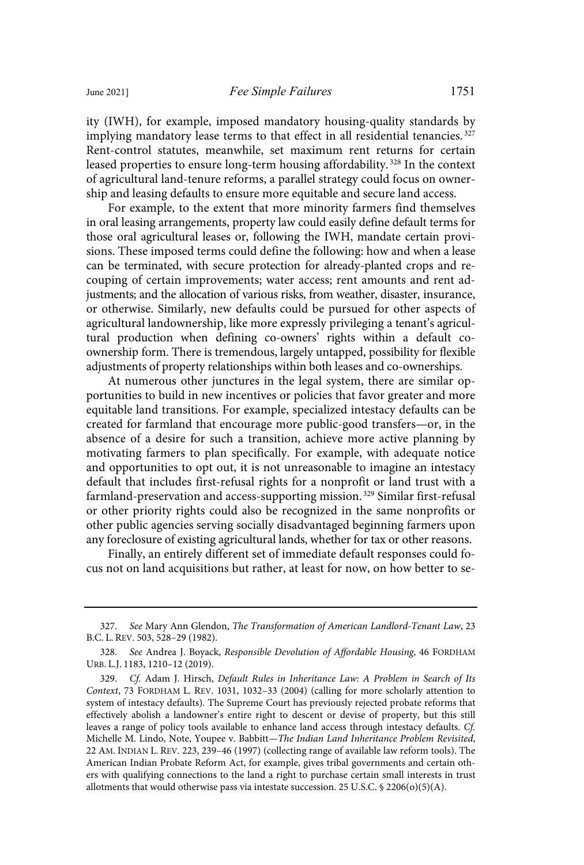ity (IWH), for example, imposed mandatory housing-quality standards by implying mandatory lease terms to that effect in all residential tenancies.<sup>327</sup> Rent-control statutes, meanwhile, set maximum rent returns for certain leased properties to ensure long-term housing affordability. <sup>328</sup> In the context of agricultural land-tenure reforms, a parallel strategy could focus on ownership and leasing defaults to ensure more equitable and secure land access.

For example, to the extent that more minority farmers find themselves in oral leasing arrangements, property law could easily define default terms for those oral agricultural leases or, following the IWH, mandate certain provisions. These imposed terms could define the following: how and when a lease can be terminated, with secure protection for already-planted crops and recouping of certain improvements; water access; rent amounts and rent adjustments; and the allocation of various risks, from weather, disaster, insurance, or otherwise. Similarly, new defaults could be pursued for other aspects of agricultural landownership, like more expressly privileging a tenant's agricultural production when defining co-owners' rights within a default coownership form. There is tremendous, largely untapped, possibility for flexible adjustments of property relationships within both leases and co-ownerships.

At numerous other junctures in the legal system, there are similar opportunities to build in new incentives or policies that favor greater and more equitable land transitions. For example, specialized intestacy defaults can be created for farmland that encourage more public-good transfers—or, in the absence of a desire for such a transition, achieve more active planning by motivating farmers to plan specifically. For example, with adequate notice and opportunities to opt out, it is not unreasonable to imagine an intestacy default that includes first-refusal rights for a nonprofit or land trust with a farmland-preservation and access-supporting mission. <sup>329</sup> Similar first-refusal or other priority rights could also be recognized in the same nonprofits or other public agencies serving socially disadvantaged beginning farmers upon any foreclosure of existing agricultural lands, whether for tax or other reasons.

Finally, an entirely different set of immediate default responses could focus not on land acquisitions but rather, at least for now, on how better to se-

<sup>327.</sup> See Mary Ann Glendon, The Transformation of American Landlord-Tenant Law, 23 B.C. L. REV. 503, 528–29 (1982).

<sup>328.</sup> See Andrea J. Boyack, Responsible Devolution of Affordable Housing, 46 FORDHAM URB. L.J. 1183, 1210–12 (2019).

<sup>329.</sup> Cf. Adam J. Hirsch, Default Rules in Inheritance Law: A Problem in Search of Its Context, 73 FORDHAM L. REV. 1031, 1032–33 (2004) (calling for more scholarly attention to system of intestacy defaults). The Supreme Court has previously rejected probate reforms that effectively abolish a landowner's entire right to descent or devise of property, but this still leaves a range of policy tools available to enhance land access through intestacy defaults. Cf. Michelle M. Lindo, Note, Youpee v. Babbitt—The Indian Land Inheritance Problem Revisited, 22 AM. INDIAN L. REV. 223, 239–46 (1997) (collecting range of available law reform tools). The American Indian Probate Reform Act, for example, gives tribal governments and certain others with qualifying connections to the land a right to purchase certain small interests in trust allotments that would otherwise pass via intestate succession. 25 U.S.C. § 2206(o)(5)(A).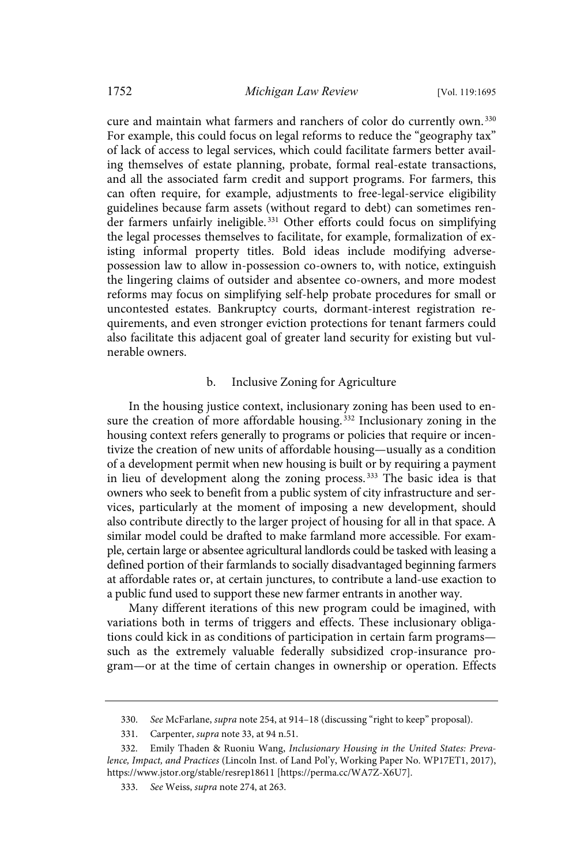cure and maintain what farmers and ranchers of color do currently own.<sup>330</sup> For example, this could focus on legal reforms to reduce the "geography tax" of lack of access to legal services, which could facilitate farmers better availing themselves of estate planning, probate, formal real-estate transactions, and all the associated farm credit and support programs. For farmers, this can often require, for example, adjustments to free-legal-service eligibility guidelines because farm assets (without regard to debt) can sometimes render farmers unfairly ineligible.<sup>331</sup> Other efforts could focus on simplifying the legal processes themselves to facilitate, for example, formalization of existing informal property titles. Bold ideas include modifying adversepossession law to allow in-possession co-owners to, with notice, extinguish the lingering claims of outsider and absentee co-owners, and more modest reforms may focus on simplifying self-help probate procedures for small or uncontested estates. Bankruptcy courts, dormant-interest registration requirements, and even stronger eviction protections for tenant farmers could also facilitate this adjacent goal of greater land security for existing but vulnerable owners.

#### b. Inclusive Zoning for Agriculture

In the housing justice context, inclusionary zoning has been used to ensure the creation of more affordable housing.<sup>332</sup> Inclusionary zoning in the housing context refers generally to programs or policies that require or incentivize the creation of new units of affordable housing—usually as a condition of a development permit when new housing is built or by requiring a payment in lieu of development along the zoning process. <sup>333</sup> The basic idea is that owners who seek to benefit from a public system of city infrastructure and services, particularly at the moment of imposing a new development, should also contribute directly to the larger project of housing for all in that space. A similar model could be drafted to make farmland more accessible. For example, certain large or absentee agricultural landlords could be tasked with leasing a defined portion of their farmlands to socially disadvantaged beginning farmers at affordable rates or, at certain junctures, to contribute a land-use exaction to a public fund used to support these new farmer entrants in another way.

Many different iterations of this new program could be imagined, with variations both in terms of triggers and effects. These inclusionary obligations could kick in as conditions of participation in certain farm programs such as the extremely valuable federally subsidized crop-insurance program—or at the time of certain changes in ownership or operation. Effects

<sup>330.</sup> See McFarlane, supra note 254, at 914-18 (discussing "right to keep" proposal).

<sup>331.</sup> Carpenter, *supra* note 33, at 94 n.51.

<sup>332.</sup> Emily Thaden & Ruoniu Wang, Inclusionary Housing in the United States: Prevalence, Impact, and Practices (Lincoln Inst. of Land Pol'y, Working Paper No. WP17ET1, 2017), https://www.jstor.org/stable/resrep18611 [https://perma.cc/WA7Z-X6U7].

<sup>333.</sup> See Weiss, supra note 274, at 263.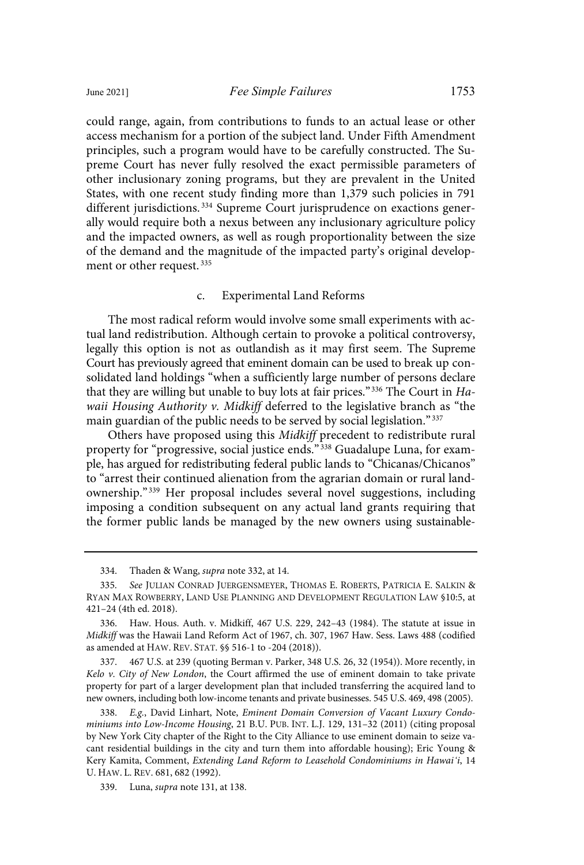could range, again, from contributions to funds to an actual lease or other access mechanism for a portion of the subject land. Under Fifth Amendment principles, such a program would have to be carefully constructed. The Supreme Court has never fully resolved the exact permissible parameters of other inclusionary zoning programs, but they are prevalent in the United States, with one recent study finding more than 1,379 such policies in 791 different jurisdictions.<sup>334</sup> Supreme Court jurisprudence on exactions generally would require both a nexus between any inclusionary agriculture policy and the impacted owners, as well as rough proportionality between the size of the demand and the magnitude of the impacted party's original development or other request.<sup>335</sup>

## c. Experimental Land Reforms

The most radical reform would involve some small experiments with actual land redistribution. Although certain to provoke a political controversy, legally this option is not as outlandish as it may first seem. The Supreme Court has previously agreed that eminent domain can be used to break up consolidated land holdings "when a sufficiently large number of persons declare that they are willing but unable to buy lots at fair prices."<sup>336</sup> The Court in Hawaii Housing Authority v. Midkiff deferred to the legislative branch as "the main guardian of the public needs to be served by social legislation." <sup>337</sup>

Others have proposed using this Midkiff precedent to redistribute rural property for "progressive, social justice ends."<sup>338</sup> Guadalupe Luna, for example, has argued for redistributing federal public lands to "Chicanas/Chicanos" to "arrest their continued alienation from the agrarian domain or rural landownership." <sup>339</sup> Her proposal includes several novel suggestions, including imposing a condition subsequent on any actual land grants requiring that the former public lands be managed by the new owners using sustainable-

337. 467 U.S. at 239 (quoting Berman v. Parker, 348 U.S. 26, 32 (1954)). More recently, in Kelo  $v$ . City of New London, the Court affirmed the use of eminent domain to take private property for part of a larger development plan that included transferring the acquired land to new owners, including both low-income tenants and private businesses. 545 U.S. 469, 498 (2005).

<sup>334.</sup> Thaden & Wang, supra note 332, at 14.

<sup>335.</sup> See JULIAN CONRAD JUERGENSMEYER, THOMAS E. ROBERTS, PATRICIA E. SALKIN & RYAN MAX ROWBERRY, LAND USE PLANNING AND DEVELOPMENT REGULATION LAW §10:5, at 421–24 (4th ed. 2018).

<sup>336.</sup> Haw. Hous. Auth. v. Midkiff, 467 U.S. 229, 242–43 (1984). The statute at issue in Midkiff was the Hawaii Land Reform Act of 1967, ch. 307, 1967 Haw. Sess. Laws 488 (codified as amended at HAW. REV. STAT. §§ 516-1 to -204 (2018)).

<sup>338.</sup> E.g., David Linhart, Note, Eminent Domain Conversion of Vacant Luxury Condominiums into Low-Income Housing, 21 B.U. PUB. INT. L.J. 129, 131–32 (2011) (citing proposal by New York City chapter of the Right to the City Alliance to use eminent domain to seize vacant residential buildings in the city and turn them into affordable housing); Eric Young & Kery Kamita, Comment, Extending Land Reform to Leasehold Condominiums in Hawai*ʻ*i, 14 U. HAW. L. REV. 681, 682 (1992).

<sup>339.</sup> Luna, supra note 131, at 138.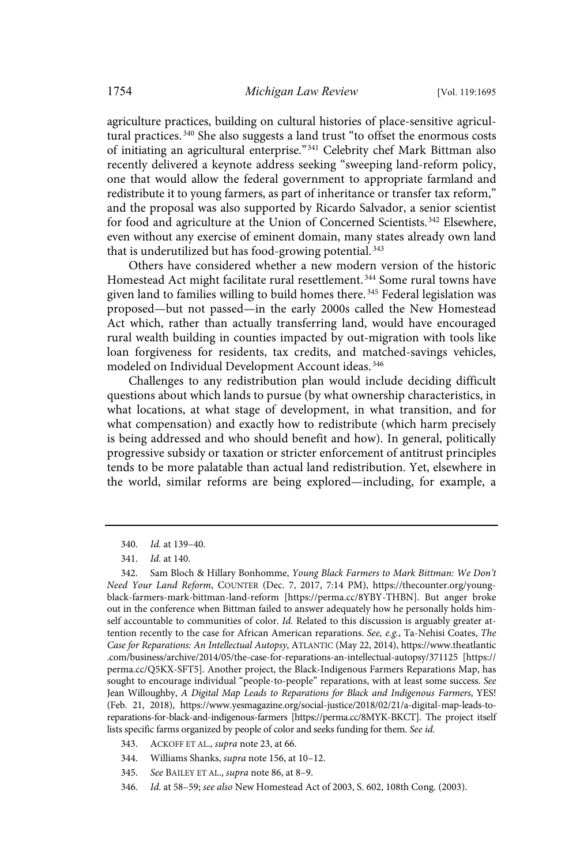agriculture practices, building on cultural histories of place-sensitive agricultural practices. <sup>340</sup> She also suggests a land trust "to offset the enormous costs of initiating an agricultural enterprise." <sup>341</sup> Celebrity chef Mark Bittman also recently delivered a keynote address seeking "sweeping land-reform policy, one that would allow the federal government to appropriate farmland and redistribute it to young farmers, as part of inheritance or transfer tax reform," and the proposal was also supported by Ricardo Salvador, a senior scientist for food and agriculture at the Union of Concerned Scientists.<sup>342</sup> Elsewhere, even without any exercise of eminent domain, many states already own land that is underutilized but has food-growing potential. 343

Others have considered whether a new modern version of the historic Homestead Act might facilitate rural resettlement.<sup>344</sup> Some rural towns have given land to families willing to build homes there.<sup>345</sup> Federal legislation was proposed—but not passed—in the early 2000s called the New Homestead Act which, rather than actually transferring land, would have encouraged rural wealth building in counties impacted by out-migration with tools like loan forgiveness for residents, tax credits, and matched-savings vehicles, modeled on Individual Development Account ideas. <sup>346</sup>

Challenges to any redistribution plan would include deciding difficult questions about which lands to pursue (by what ownership characteristics, in what locations, at what stage of development, in what transition, and for what compensation) and exactly how to redistribute (which harm precisely is being addressed and who should benefit and how). In general, politically progressive subsidy or taxation or stricter enforcement of antitrust principles tends to be more palatable than actual land redistribution. Yet, elsewhere in the world, similar reforms are being explored—including, for example, a

<sup>340.</sup> Id. at 139–40.

<sup>341.</sup> Id. at 140.

<sup>342.</sup> Sam Bloch & Hillary Bonhomme, Young Black Farmers to Mark Bittman: We Don't Need Your Land Reform, COUNTER (Dec. 7, 2017, 7:14 PM), https://thecounter.org/youngblack-farmers-mark-bittman-land-reform [https://perma.cc/8YBY-THBN]. But anger broke out in the conference when Bittman failed to answer adequately how he personally holds himself accountable to communities of color. Id. Related to this discussion is arguably greater attention recently to the case for African American reparations. See, e.g., Ta-Nehisi Coates, The Case for Reparations: An Intellectual Autopsy, ATLANTIC (May 22, 2014), https://www.theatlantic .com/business/archive/2014/05/the-case-for-reparations-an-intellectual-autopsy/371125 [https:// perma.cc/Q5KX-SFT5]. Another project, the Black-Indigenous Farmers Reparations Map, has sought to encourage individual "people-to-people" reparations, with at least some success. See Jean Willoughby, A Digital Map Leads to Reparations for Black and Indigenous Farmers, YES! (Feb. 21, 2018), https://www.yesmagazine.org/social-justice/2018/02/21/a-digital-map-leads-toreparations-for-black-and-indigenous-farmers [https://perma.cc/8MYK-BKCT]. The project itself lists specific farms organized by people of color and seeks funding for them. See id.

<sup>343.</sup> ACKOFF ET AL., supra note 23, at 66.

<sup>344.</sup> Williams Shanks, supra note 156, at 10–12.

<sup>345.</sup> See BAILEY ET AL., supra note 86, at 8–9.

<sup>346.</sup> Id. at 58–59; see also New Homestead Act of 2003, S. 602, 108th Cong. (2003).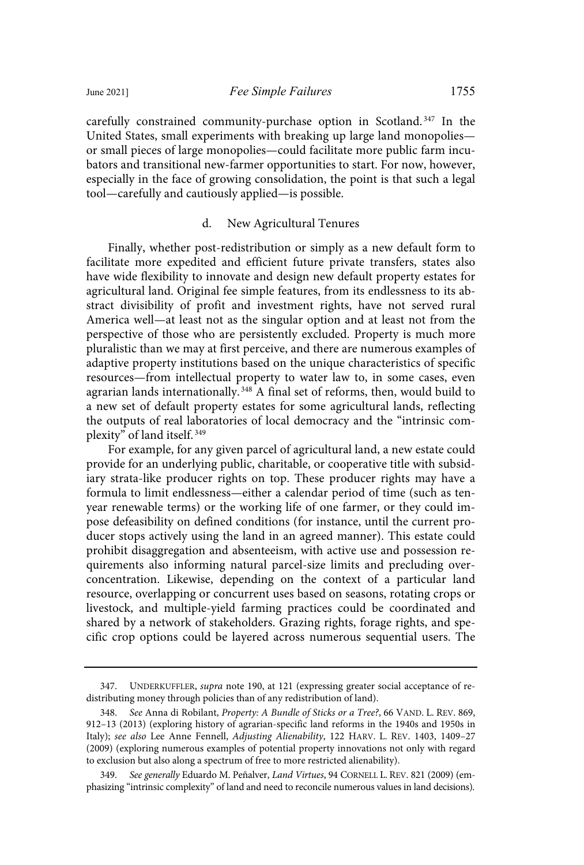carefully constrained community-purchase option in Scotland.<sup>347</sup> In the United States, small experiments with breaking up large land monopolies or small pieces of large monopolies—could facilitate more public farm incubators and transitional new-farmer opportunities to start. For now, however, especially in the face of growing consolidation, the point is that such a legal tool—carefully and cautiously applied—is possible.

#### d. New Agricultural Tenures

Finally, whether post-redistribution or simply as a new default form to facilitate more expedited and efficient future private transfers, states also have wide flexibility to innovate and design new default property estates for agricultural land. Original fee simple features, from its endlessness to its abstract divisibility of profit and investment rights, have not served rural America well—at least not as the singular option and at least not from the perspective of those who are persistently excluded. Property is much more pluralistic than we may at first perceive, and there are numerous examples of adaptive property institutions based on the unique characteristics of specific resources—from intellectual property to water law to, in some cases, even agrarian lands internationally. <sup>348</sup> A final set of reforms, then, would build to a new set of default property estates for some agricultural lands, reflecting the outputs of real laboratories of local democracy and the "intrinsic complexity" of land itself. 349

For example, for any given parcel of agricultural land, a new estate could provide for an underlying public, charitable, or cooperative title with subsidiary strata-like producer rights on top. These producer rights may have a formula to limit endlessness—either a calendar period of time (such as tenyear renewable terms) or the working life of one farmer, or they could impose defeasibility on defined conditions (for instance, until the current producer stops actively using the land in an agreed manner). This estate could prohibit disaggregation and absenteeism, with active use and possession requirements also informing natural parcel-size limits and precluding overconcentration. Likewise, depending on the context of a particular land resource, overlapping or concurrent uses based on seasons, rotating crops or livestock, and multiple-yield farming practices could be coordinated and shared by a network of stakeholders. Grazing rights, forage rights, and specific crop options could be layered across numerous sequential users. The

<sup>347.</sup> UNDERKUFFLER, supra note 190, at 121 (expressing greater social acceptance of redistributing money through policies than of any redistribution of land).

<sup>348.</sup> See Anna di Robilant, Property: A Bundle of Sticks or a Tree?, 66 VAND. L. REV. 869, 912–13 (2013) (exploring history of agrarian-specific land reforms in the 1940s and 1950s in Italy); see also Lee Anne Fennell, Adjusting Alienability, 122 HARV. L. REV. 1403, 1409–27 (2009) (exploring numerous examples of potential property innovations not only with regard to exclusion but also along a spectrum of free to more restricted alienability).

<sup>349.</sup> See generally Eduardo M. Peñalver, Land Virtues, 94 CORNELL L. REV. 821 (2009) (emphasizing "intrinsic complexity" of land and need to reconcile numerous values in land decisions).